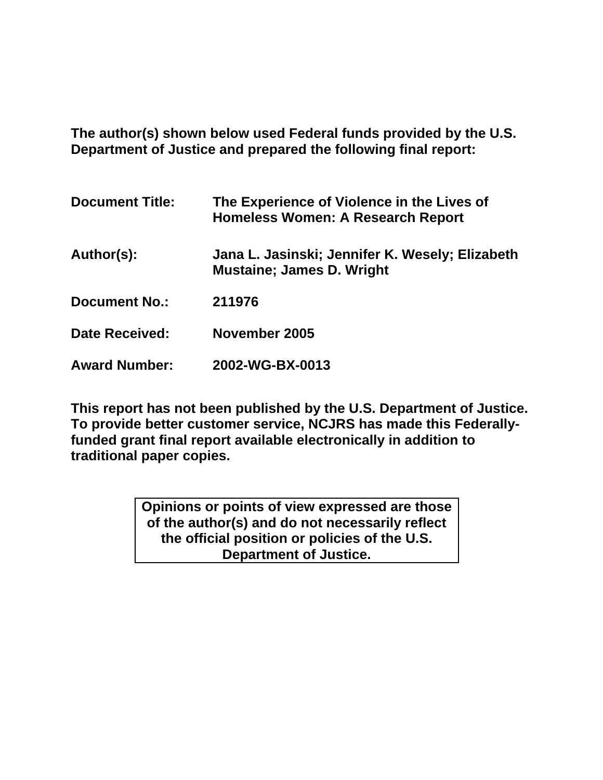**The author(s) shown below used Federal funds provided by the U.S. Department of Justice and prepared the following final report:** 

| <b>Document Title:</b> | The Experience of Violence in the Lives of<br><b>Homeless Women: A Research Report</b> |
|------------------------|----------------------------------------------------------------------------------------|
| Author(s):             | Jana L. Jasinski; Jennifer K. Wesely; Elizabeth<br><b>Mustaine; James D. Wright</b>    |
| <b>Document No.:</b>   | 211976                                                                                 |
| Date Received:         | November 2005                                                                          |
| <b>Award Number:</b>   | 2002-WG-BX-0013                                                                        |

**This report has not been published by the U.S. Department of Justice. To provide better customer service, NCJRS has made this Federallyfunded grant final report available electronically in addition to traditional paper copies.**

> **Opinions or points of view expressed are those of the author(s) and do not necessarily reflect the official position or policies of the U.S. Department of Justice.**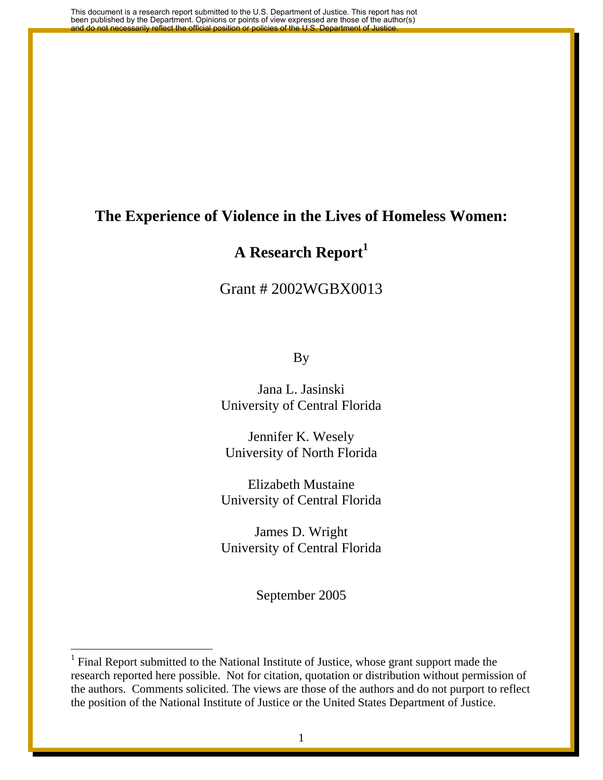# **The Experience of Violence in the Lives of Homeless Women:**

# A Research Report<sup>1</sup>

## Grant # 2002WGBX0013

By

Jana L. Jasinski University of Central Florida

Jennifer K. Wesely University of North Florida

Elizabeth Mustaine University of Central Florida

James D. Wright University of Central Florida

September 2005

 $\overline{a}$ 

<sup>&</sup>lt;sup>1</sup> Final Report submitted to the National Institute of Justice, whose grant support made the research reported here possible. Not for citation, quotation or distribution without permission of the authors. Comments solicited. The views are those of the authors and do not purport to reflect the position of the National Institute of Justice or the United States Department of Justice.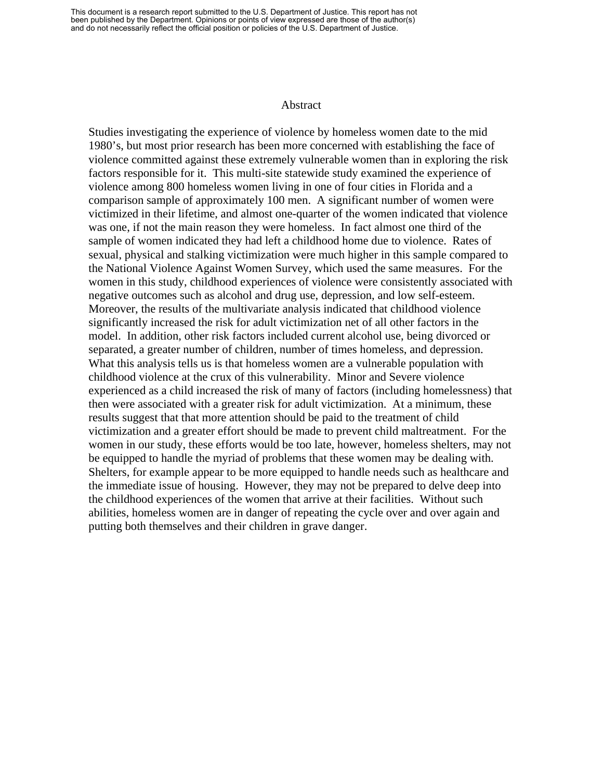This document is a research report submitted to the U.S. Department of Justice. This report has not been published by the Department. Opinions or points of view expressed are those of the author(s) and do not necessarily reflect the official position or policies of the U.S. Department of Justice.

#### Abstract

Studies investigating the experience of violence by homeless women date to the mid 1980's, but most prior research has been more concerned with establishing the face of violence committed against these extremely vulnerable women than in exploring the risk factors responsible for it. This multi-site statewide study examined the experience of violence among 800 homeless women living in one of four cities in Florida and a comparison sample of approximately 100 men. A significant number of women were victimized in their lifetime, and almost one-quarter of the women indicated that violence was one, if not the main reason they were homeless. In fact almost one third of the sample of women indicated they had left a childhood home due to violence. Rates of sexual, physical and stalking victimization were much higher in this sample compared to the National Violence Against Women Survey, which used the same measures. For the women in this study, childhood experiences of violence were consistently associated with negative outcomes such as alcohol and drug use, depression, and low self-esteem. Moreover, the results of the multivariate analysis indicated that childhood violence significantly increased the risk for adult victimization net of all other factors in the model. In addition, other risk factors included current alcohol use, being divorced or separated, a greater number of children, number of times homeless, and depression. What this analysis tells us is that homeless women are a vulnerable population with childhood violence at the crux of this vulnerability. Minor and Severe violence experienced as a child increased the risk of many of factors (including homelessness) that then were associated with a greater risk for adult victimization. At a minimum, these results suggest that that more attention should be paid to the treatment of child victimization and a greater effort should be made to prevent child maltreatment. For the women in our study, these efforts would be too late, however, homeless shelters, may not be equipped to handle the myriad of problems that these women may be dealing with. Shelters, for example appear to be more equipped to handle needs such as healthcare and the immediate issue of housing. However, they may not be prepared to delve deep into the childhood experiences of the women that arrive at their facilities. Without such abilities, homeless women are in danger of repeating the cycle over and over again and putting both themselves and their children in grave danger.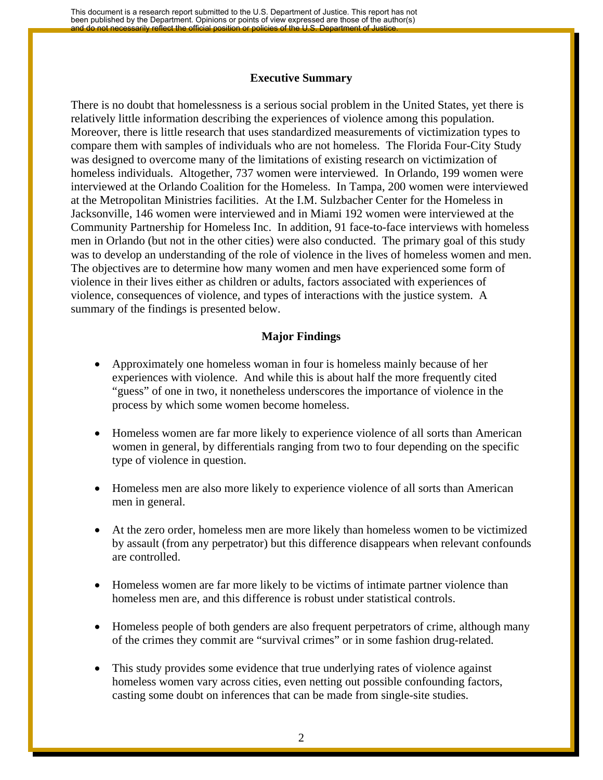This document is a research report submitted to the U.S. Department of Justice. This report has not been published by the Department. Opinions or points of view expressed are those of the author(s) and do not necessarily reflect the official position or policies of the U.S. Department of Justice.

#### **Executive Summary**

There is no doubt that homelessness is a serious social problem in the United States, yet there is relatively little information describing the experiences of violence among this population. Moreover, there is little research that uses standardized measurements of victimization types to compare them with samples of individuals who are not homeless. The Florida Four-City Study was designed to overcome many of the limitations of existing research on victimization of homeless individuals. Altogether, 737 women were interviewed. In Orlando, 199 women were interviewed at the Orlando Coalition for the Homeless. In Tampa, 200 women were interviewed at the Metropolitan Ministries facilities. At the I.M. Sulzbacher Center for the Homeless in Jacksonville, 146 women were interviewed and in Miami 192 women were interviewed at the Community Partnership for Homeless Inc. In addition, 91 face-to-face interviews with homeless men in Orlando (but not in the other cities) were also conducted. The primary goal of this study was to develop an understanding of the role of violence in the lives of homeless women and men. The objectives are to determine how many women and men have experienced some form of violence in their lives either as children or adults, factors associated with experiences of violence, consequences of violence, and types of interactions with the justice system. A summary of the findings is presented below.

#### **Major Findings**

- Approximately one homeless woman in four is homeless mainly because of her experiences with violence. And while this is about half the more frequently cited "guess" of one in two, it nonetheless underscores the importance of violence in the process by which some women become homeless.
- Homeless women are far more likely to experience violence of all sorts than American women in general, by differentials ranging from two to four depending on the specific type of violence in question.
- Homeless men are also more likely to experience violence of all sorts than American men in general.
- At the zero order, homeless men are more likely than homeless women to be victimized by assault (from any perpetrator) but this difference disappears when relevant confounds are controlled.
- Homeless women are far more likely to be victims of intimate partner violence than homeless men are, and this difference is robust under statistical controls.
- Homeless people of both genders are also frequent perpetrators of crime, although many of the crimes they commit are "survival crimes" or in some fashion drug-related.
- This study provides some evidence that true underlying rates of violence against homeless women vary across cities, even netting out possible confounding factors, casting some doubt on inferences that can be made from single-site studies.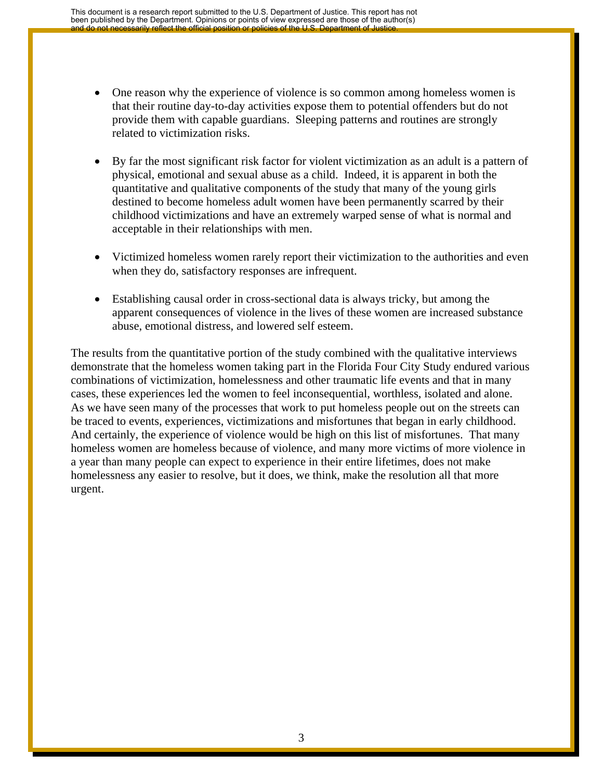- One reason why the experience of violence is so common among homeless women is that their routine day-to-day activities expose them to potential offenders but do not provide them with capable guardians. Sleeping patterns and routines are strongly related to victimization risks.
- By far the most significant risk factor for violent victimization as an adult is a pattern of physical, emotional and sexual abuse as a child. Indeed, it is apparent in both the quantitative and qualitative components of the study that many of the young girls destined to become homeless adult women have been permanently scarred by their childhood victimizations and have an extremely warped sense of what is normal and acceptable in their relationships with men.
- Victimized homeless women rarely report their victimization to the authorities and even when they do, satisfactory responses are infrequent.
- Establishing causal order in cross-sectional data is always tricky, but among the apparent consequences of violence in the lives of these women are increased substance abuse, emotional distress, and lowered self esteem.

The results from the quantitative portion of the study combined with the qualitative interviews demonstrate that the homeless women taking part in the Florida Four City Study endured various combinations of victimization, homelessness and other traumatic life events and that in many cases, these experiences led the women to feel inconsequential, worthless, isolated and alone. As we have seen many of the processes that work to put homeless people out on the streets can be traced to events, experiences, victimizations and misfortunes that began in early childhood. And certainly, the experience of violence would be high on this list of misfortunes. That many homeless women are homeless because of violence, and many more victims of more violence in a year than many people can expect to experience in their entire lifetimes, does not make homelessness any easier to resolve, but it does, we think, make the resolution all that more urgent.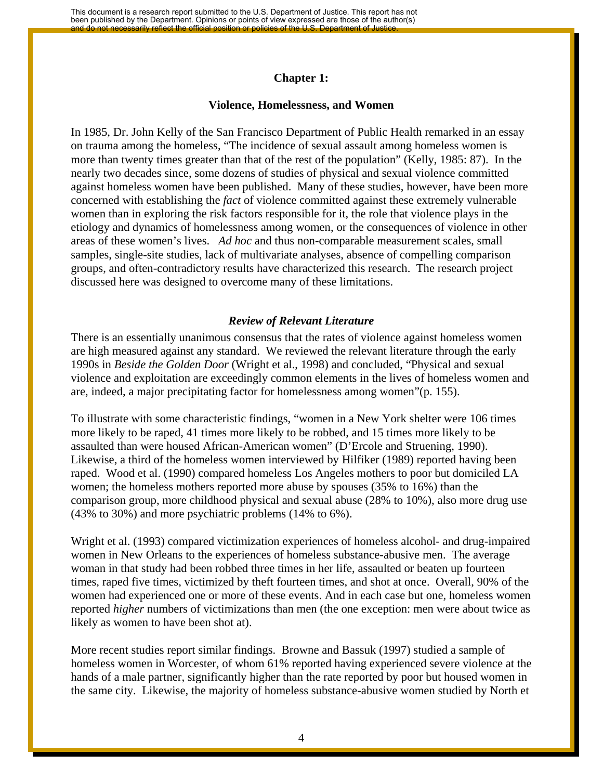#### **Chapter 1:**

#### **Violence, Homelessness, and Women**

In 1985, Dr. John Kelly of the San Francisco Department of Public Health remarked in an essay on trauma among the homeless, "The incidence of sexual assault among homeless women is more than twenty times greater than that of the rest of the population" (Kelly, 1985: 87). In the nearly two decades since, some dozens of studies of physical and sexual violence committed against homeless women have been published. Many of these studies, however, have been more concerned with establishing the *fact* of violence committed against these extremely vulnerable women than in exploring the risk factors responsible for it, the role that violence plays in the etiology and dynamics of homelessness among women, or the consequences of violence in other areas of these women's lives. *Ad hoc* and thus non-comparable measurement scales, small samples, single-site studies, lack of multivariate analyses, absence of compelling comparison groups, and often-contradictory results have characterized this research. The research project discussed here was designed to overcome many of these limitations.

#### *Review of Relevant Literature*

There is an essentially unanimous consensus that the rates of violence against homeless women are high measured against any standard. We reviewed the relevant literature through the early 1990s in *Beside the Golden Door* (Wright et al., 1998) and concluded, "Physical and sexual violence and exploitation are exceedingly common elements in the lives of homeless women and are, indeed, a major precipitating factor for homelessness among women"(p. 155).

To illustrate with some characteristic findings, "women in a New York shelter were 106 times more likely to be raped, 41 times more likely to be robbed, and 15 times more likely to be assaulted than were housed African-American women" (D'Ercole and Struening, 1990). Likewise, a third of the homeless women interviewed by Hilfiker (1989) reported having been raped. Wood et al. (1990) compared homeless Los Angeles mothers to poor but domiciled LA women; the homeless mothers reported more abuse by spouses (35% to 16%) than the comparison group, more childhood physical and sexual abuse (28% to 10%), also more drug use (43% to 30%) and more psychiatric problems (14% to 6%).

Wright et al. (1993) compared victimization experiences of homeless alcohol- and drug-impaired women in New Orleans to the experiences of homeless substance-abusive men. The average woman in that study had been robbed three times in her life, assaulted or beaten up fourteen times, raped five times, victimized by theft fourteen times, and shot at once. Overall, 90% of the women had experienced one or more of these events. And in each case but one, homeless women reported *higher* numbers of victimizations than men (the one exception: men were about twice as likely as women to have been shot at).

More recent studies report similar findings. Browne and Bassuk (1997) studied a sample of homeless women in Worcester, of whom 61% reported having experienced severe violence at the hands of a male partner, significantly higher than the rate reported by poor but housed women in the same city. Likewise, the majority of homeless substance-abusive women studied by North et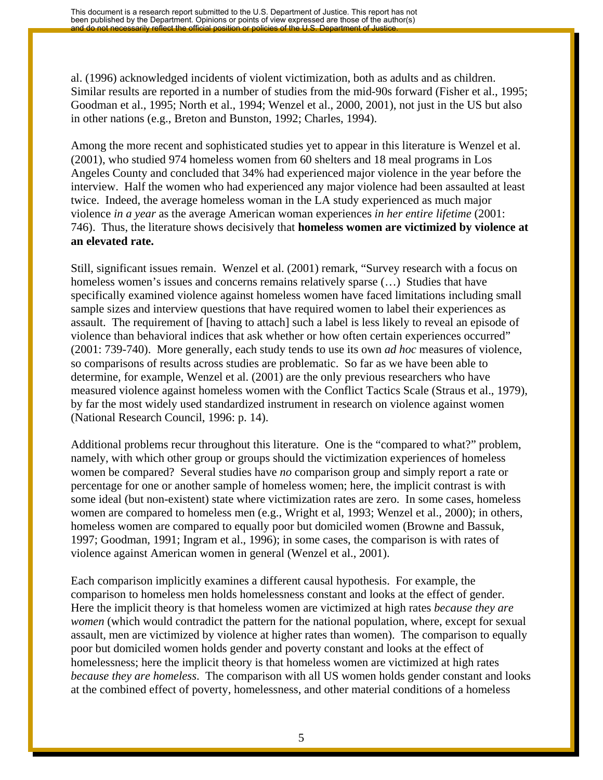This document is a research report submitted to the U.S. Department of Justice. This report has not been published by the Department. Opinions or points of view expressed are those of the author(s) and do not necessarily reflect the official position or policies of the U.S. Department of Justice. sarily reflect the official position or policies of the U.S. Department of Justic

al. (1996) acknowledged incidents of violent victimization, both as adults and as children. Similar results are reported in a number of studies from the mid-90s forward (Fisher et al., 1995; Goodman et al., 1995; North et al., 1994; Wenzel et al., 2000, 2001), not just in the US but also in other nations (e.g., Breton and Bunston, 1992; Charles, 1994).

Among the more recent and sophisticated studies yet to appear in this literature is Wenzel et al. (2001), who studied 974 homeless women from 60 shelters and 18 meal programs in Los Angeles County and concluded that 34% had experienced major violence in the year before the interview. Half the women who had experienced any major violence had been assaulted at least twice. Indeed, the average homeless woman in the LA study experienced as much major violence *in a year* as the average American woman experiences *in her entire lifetime* (2001: 746). Thus, the literature shows decisively that **homeless women are victimized by violence at an elevated rate.**

Still, significant issues remain. Wenzel et al. (2001) remark, "Survey research with a focus on homeless women's issues and concerns remains relatively sparse  $(...)$  Studies that have specifically examined violence against homeless women have faced limitations including small sample sizes and interview questions that have required women to label their experiences as assault. The requirement of [having to attach] such a label is less likely to reveal an episode of violence than behavioral indices that ask whether or how often certain experiences occurred" (2001: 739-740). More generally, each study tends to use its own *ad hoc* measures of violence, so comparisons of results across studies are problematic. So far as we have been able to determine, for example, Wenzel et al. (2001) are the only previous researchers who have measured violence against homeless women with the Conflict Tactics Scale (Straus et al., 1979), by far the most widely used standardized instrument in research on violence against women (National Research Council, 1996: p. 14).

Additional problems recur throughout this literature. One is the "compared to what?" problem, namely, with which other group or groups should the victimization experiences of homeless women be compared? Several studies have *no* comparison group and simply report a rate or percentage for one or another sample of homeless women; here, the implicit contrast is with some ideal (but non-existent) state where victimization rates are zero. In some cases, homeless women are compared to homeless men (e.g., Wright et al, 1993; Wenzel et al., 2000); in others, homeless women are compared to equally poor but domiciled women (Browne and Bassuk, 1997; Goodman, 1991; Ingram et al., 1996); in some cases, the comparison is with rates of violence against American women in general (Wenzel et al., 2001).

Each comparison implicitly examines a different causal hypothesis. For example, the comparison to homeless men holds homelessness constant and looks at the effect of gender. Here the implicit theory is that homeless women are victimized at high rates *because they are women* (which would contradict the pattern for the national population, where, except for sexual assault, men are victimized by violence at higher rates than women). The comparison to equally poor but domiciled women holds gender and poverty constant and looks at the effect of homelessness; here the implicit theory is that homeless women are victimized at high rates *because they are homeless*. The comparison with all US women holds gender constant and looks at the combined effect of poverty, homelessness, and other material conditions of a homeless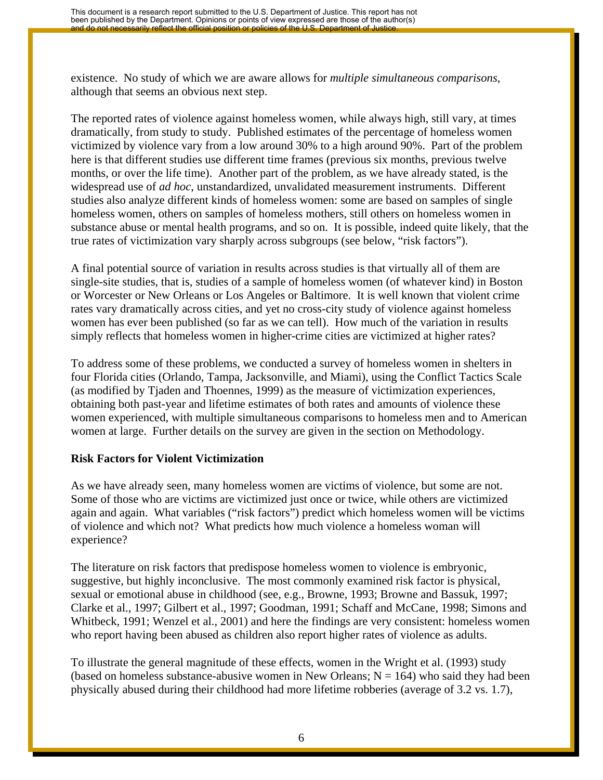existence. No study of which we are aware allows for *multiple simultaneous comparisons*, although that seems an obvious next step.

The reported rates of violence against homeless women, while always high, still vary, at times dramatically, from study to study. Published estimates of the percentage of homeless women victimized by violence vary from a low around 30% to a high around 90%. Part of the problem here is that different studies use different time frames (previous six months, previous twelve months, or over the life time). Another part of the problem, as we have already stated, is the widespread use of *ad hoc*, unstandardized, unvalidated measurement instruments. Different studies also analyze different kinds of homeless women: some are based on samples of single homeless women, others on samples of homeless mothers, still others on homeless women in substance abuse or mental health programs, and so on. It is possible, indeed quite likely, that the true rates of victimization vary sharply across subgroups (see below, "risk factors").

A final potential source of variation in results across studies is that virtually all of them are single-site studies, that is, studies of a sample of homeless women (of whatever kind) in Boston or Worcester or New Orleans or Los Angeles or Baltimore. It is well known that violent crime rates vary dramatically across cities, and yet no cross-city study of violence against homeless women has ever been published (so far as we can tell). How much of the variation in results simply reflects that homeless women in higher-crime cities are victimized at higher rates?

To address some of these problems, we conducted a survey of homeless women in shelters in four Florida cities (Orlando, Tampa, Jacksonville, and Miami), using the Conflict Tactics Scale (as modified by Tjaden and Thoennes, 1999) as the measure of victimization experiences, obtaining both past-year and lifetime estimates of both rates and amounts of violence these women experienced, with multiple simultaneous comparisons to homeless men and to American women at large. Further details on the survey are given in the section on Methodology.

#### **Risk Factors for Violent Victimization**

As we have already seen, many homeless women are victims of violence, but some are not. Some of those who are victims are victimized just once or twice, while others are victimized again and again. What variables ("risk factors") predict which homeless women will be victims of violence and which not? What predicts how much violence a homeless woman will experience?

The literature on risk factors that predispose homeless women to violence is embryonic, suggestive, but highly inconclusive. The most commonly examined risk factor is physical, sexual or emotional abuse in childhood (see, e.g., Browne, 1993; Browne and Bassuk, 1997; Clarke et al., 1997; Gilbert et al., 1997; Goodman, 1991; Schaff and McCane, 1998; Simons and Whitbeck, 1991; Wenzel et al., 2001) and here the findings are very consistent: homeless women who report having been abused as children also report higher rates of violence as adults.

To illustrate the general magnitude of these effects, women in the Wright et al. (1993) study (based on homeless substance-abusive women in New Orleans;  $N = 164$ ) who said they had been physically abused during their childhood had more lifetime robberies (average of 3.2 vs. 1.7),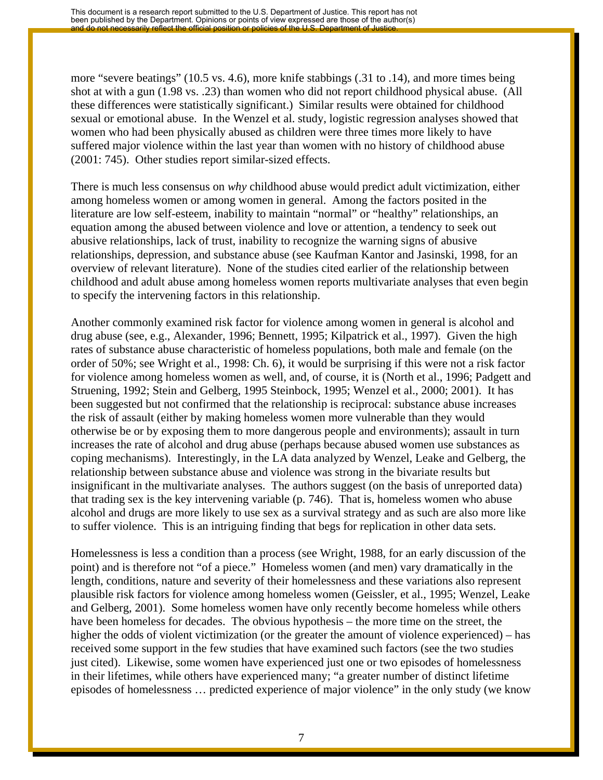more "severe beatings" (10.5 vs. 4.6), more knife stabbings (.31 to .14), and more times being shot at with a gun (1.98 vs. .23) than women who did not report childhood physical abuse. (All these differences were statistically significant.) Similar results were obtained for childhood sexual or emotional abuse. In the Wenzel et al. study, logistic regression analyses showed that women who had been physically abused as children were three times more likely to have suffered major violence within the last year than women with no history of childhood abuse (2001: 745). Other studies report similar-sized effects.

There is much less consensus on *why* childhood abuse would predict adult victimization, either among homeless women or among women in general. Among the factors posited in the literature are low self-esteem, inability to maintain "normal" or "healthy" relationships, an equation among the abused between violence and love or attention, a tendency to seek out abusive relationships, lack of trust, inability to recognize the warning signs of abusive relationships, depression, and substance abuse (see Kaufman Kantor and Jasinski, 1998, for an overview of relevant literature). None of the studies cited earlier of the relationship between childhood and adult abuse among homeless women reports multivariate analyses that even begin to specify the intervening factors in this relationship.

Another commonly examined risk factor for violence among women in general is alcohol and drug abuse (see, e.g., Alexander, 1996; Bennett, 1995; Kilpatrick et al., 1997). Given the high rates of substance abuse characteristic of homeless populations, both male and female (on the order of 50%; see Wright et al., 1998: Ch. 6), it would be surprising if this were not a risk factor for violence among homeless women as well, and, of course, it is (North et al., 1996; Padgett and Struening, 1992; Stein and Gelberg, 1995 Steinbock, 1995; Wenzel et al., 2000; 2001). It has been suggested but not confirmed that the relationship is reciprocal: substance abuse increases the risk of assault (either by making homeless women more vulnerable than they would otherwise be or by exposing them to more dangerous people and environments); assault in turn increases the rate of alcohol and drug abuse (perhaps because abused women use substances as coping mechanisms). Interestingly, in the LA data analyzed by Wenzel, Leake and Gelberg, the relationship between substance abuse and violence was strong in the bivariate results but insignificant in the multivariate analyses. The authors suggest (on the basis of unreported data) that trading sex is the key intervening variable (p. 746). That is, homeless women who abuse alcohol and drugs are more likely to use sex as a survival strategy and as such are also more like to suffer violence. This is an intriguing finding that begs for replication in other data sets.

Homelessness is less a condition than a process (see Wright, 1988, for an early discussion of the point) and is therefore not "of a piece." Homeless women (and men) vary dramatically in the length, conditions, nature and severity of their homelessness and these variations also represent plausible risk factors for violence among homeless women (Geissler, et al., 1995; Wenzel, Leake and Gelberg, 2001). Some homeless women have only recently become homeless while others have been homeless for decades. The obvious hypothesis – the more time on the street, the higher the odds of violent victimization (or the greater the amount of violence experienced) – has received some support in the few studies that have examined such factors (see the two studies just cited). Likewise, some women have experienced just one or two episodes of homelessness in their lifetimes, while others have experienced many; "a greater number of distinct lifetime episodes of homelessness … predicted experience of major violence" in the only study (we know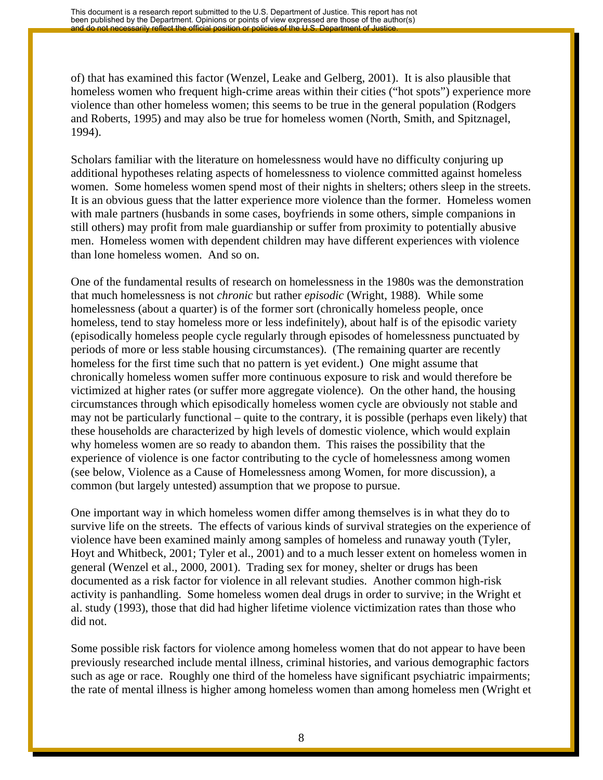This document is a research report submitted to the U.S. Department of Justice. This report has not been published by the Department. Opinions or points of view expressed are those of the author(s) and do not necessarily reflect the official position or policies of the U.S. Department of Justice. sarily reflect the official position or policies of the U.S. Department of Justic

of) that has examined this factor (Wenzel, Leake and Gelberg, 2001). It is also plausible that homeless women who frequent high-crime areas within their cities ("hot spots") experience more violence than other homeless women; this seems to be true in the general population (Rodgers and Roberts, 1995) and may also be true for homeless women (North, Smith, and Spitznagel, 1994).

Scholars familiar with the literature on homelessness would have no difficulty conjuring up additional hypotheses relating aspects of homelessness to violence committed against homeless women. Some homeless women spend most of their nights in shelters; others sleep in the streets. It is an obvious guess that the latter experience more violence than the former. Homeless women with male partners (husbands in some cases, boyfriends in some others, simple companions in still others) may profit from male guardianship or suffer from proximity to potentially abusive men. Homeless women with dependent children may have different experiences with violence than lone homeless women. And so on.

One of the fundamental results of research on homelessness in the 1980s was the demonstration that much homelessness is not *chronic* but rather *episodic* (Wright, 1988). While some homelessness (about a quarter) is of the former sort (chronically homeless people, once homeless, tend to stay homeless more or less indefinitely), about half is of the episodic variety (episodically homeless people cycle regularly through episodes of homelessness punctuated by periods of more or less stable housing circumstances). (The remaining quarter are recently homeless for the first time such that no pattern is yet evident.) One might assume that chronically homeless women suffer more continuous exposure to risk and would therefore be victimized at higher rates (or suffer more aggregate violence). On the other hand, the housing circumstances through which episodically homeless women cycle are obviously not stable and may not be particularly functional – quite to the contrary, it is possible (perhaps even likely) that these households are characterized by high levels of domestic violence, which would explain why homeless women are so ready to abandon them. This raises the possibility that the experience of violence is one factor contributing to the cycle of homelessness among women (see below, Violence as a Cause of Homelessness among Women, for more discussion), a common (but largely untested) assumption that we propose to pursue.

One important way in which homeless women differ among themselves is in what they do to survive life on the streets. The effects of various kinds of survival strategies on the experience of violence have been examined mainly among samples of homeless and runaway youth (Tyler, Hoyt and Whitbeck, 2001; Tyler et al., 2001) and to a much lesser extent on homeless women in general (Wenzel et al., 2000, 2001). Trading sex for money, shelter or drugs has been documented as a risk factor for violence in all relevant studies. Another common high-risk activity is panhandling. Some homeless women deal drugs in order to survive; in the Wright et al. study (1993), those that did had higher lifetime violence victimization rates than those who did not.

Some possible risk factors for violence among homeless women that do not appear to have been previously researched include mental illness, criminal histories, and various demographic factors such as age or race. Roughly one third of the homeless have significant psychiatric impairments; the rate of mental illness is higher among homeless women than among homeless men (Wright et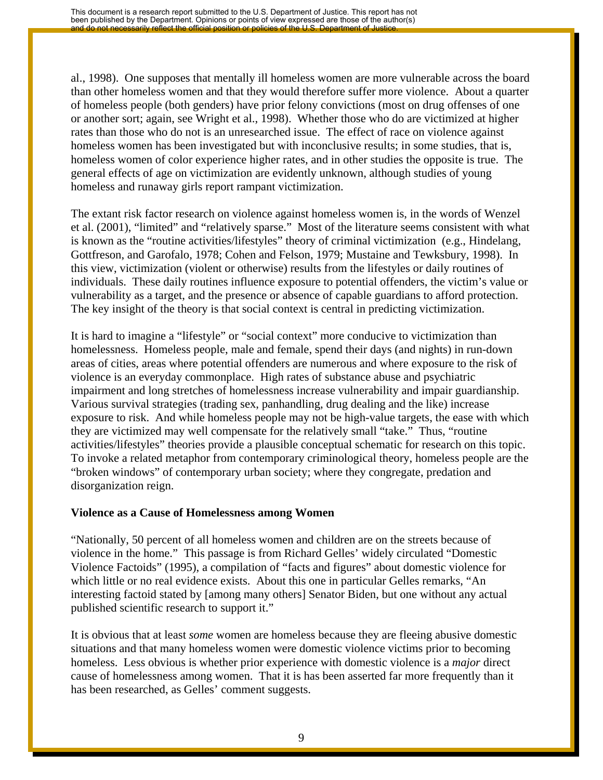al., 1998). One supposes that mentally ill homeless women are more vulnerable across the board than other homeless women and that they would therefore suffer more violence. About a quarter of homeless people (both genders) have prior felony convictions (most on drug offenses of one or another sort; again, see Wright et al., 1998). Whether those who do are victimized at higher rates than those who do not is an unresearched issue. The effect of race on violence against homeless women has been investigated but with inconclusive results; in some studies, that is, homeless women of color experience higher rates, and in other studies the opposite is true. The general effects of age on victimization are evidently unknown, although studies of young homeless and runaway girls report rampant victimization.

The extant risk factor research on violence against homeless women is, in the words of Wenzel et al. (2001), "limited" and "relatively sparse." Most of the literature seems consistent with what is known as the "routine activities/lifestyles" theory of criminal victimization (e.g., Hindelang, Gottfreson, and Garofalo, 1978; Cohen and Felson, 1979; Mustaine and Tewksbury, 1998). In this view, victimization (violent or otherwise) results from the lifestyles or daily routines of individuals. These daily routines influence exposure to potential offenders, the victim's value or vulnerability as a target, and the presence or absence of capable guardians to afford protection. The key insight of the theory is that social context is central in predicting victimization.

It is hard to imagine a "lifestyle" or "social context" more conducive to victimization than homelessness. Homeless people, male and female, spend their days (and nights) in run-down areas of cities, areas where potential offenders are numerous and where exposure to the risk of violence is an everyday commonplace. High rates of substance abuse and psychiatric impairment and long stretches of homelessness increase vulnerability and impair guardianship. Various survival strategies (trading sex, panhandling, drug dealing and the like) increase exposure to risk. And while homeless people may not be high-value targets, the ease with which they are victimized may well compensate for the relatively small "take." Thus, "routine activities/lifestyles" theories provide a plausible conceptual schematic for research on this topic. To invoke a related metaphor from contemporary criminological theory, homeless people are the "broken windows" of contemporary urban society; where they congregate, predation and disorganization reign.

#### **Violence as a Cause of Homelessness among Women**

"Nationally, 50 percent of all homeless women and children are on the streets because of violence in the home." This passage is from Richard Gelles' widely circulated "Domestic Violence Factoids" (1995), a compilation of "facts and figures" about domestic violence for which little or no real evidence exists. About this one in particular Gelles remarks, "An interesting factoid stated by [among many others] Senator Biden, but one without any actual published scientific research to support it."

It is obvious that at least *some* women are homeless because they are fleeing abusive domestic situations and that many homeless women were domestic violence victims prior to becoming homeless. Less obvious is whether prior experience with domestic violence is a *major* direct cause of homelessness among women. That it is has been asserted far more frequently than it has been researched, as Gelles' comment suggests.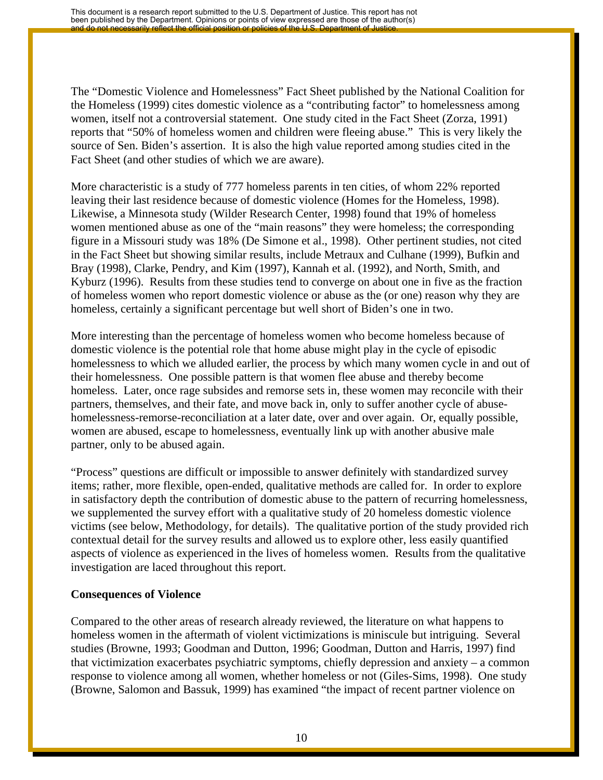The "Domestic Violence and Homelessness" Fact Sheet published by the National Coalition for the Homeless (1999) cites domestic violence as a "contributing factor" to homelessness among women, itself not a controversial statement. One study cited in the Fact Sheet (Zorza, 1991) reports that "50% of homeless women and children were fleeing abuse." This is very likely the source of Sen. Biden's assertion. It is also the high value reported among studies cited in the Fact Sheet (and other studies of which we are aware).

More characteristic is a study of 777 homeless parents in ten cities, of whom 22% reported leaving their last residence because of domestic violence (Homes for the Homeless, 1998). Likewise, a Minnesota study (Wilder Research Center, 1998) found that 19% of homeless women mentioned abuse as one of the "main reasons" they were homeless; the corresponding figure in a Missouri study was 18% (De Simone et al., 1998). Other pertinent studies, not cited in the Fact Sheet but showing similar results, include Metraux and Culhane (1999), Bufkin and Bray (1998), Clarke, Pendry, and Kim (1997), Kannah et al. (1992), and North, Smith, and Kyburz (1996). Results from these studies tend to converge on about one in five as the fraction of homeless women who report domestic violence or abuse as the (or one) reason why they are homeless, certainly a significant percentage but well short of Biden's one in two.

More interesting than the percentage of homeless women who become homeless because of domestic violence is the potential role that home abuse might play in the cycle of episodic homelessness to which we alluded earlier, the process by which many women cycle in and out of their homelessness. One possible pattern is that women flee abuse and thereby become homeless. Later, once rage subsides and remorse sets in, these women may reconcile with their partners, themselves, and their fate, and move back in, only to suffer another cycle of abusehomelessness-remorse-reconciliation at a later date, over and over again. Or, equally possible, women are abused, escape to homelessness, eventually link up with another abusive male partner, only to be abused again.

"Process" questions are difficult or impossible to answer definitely with standardized survey items; rather, more flexible, open-ended, qualitative methods are called for. In order to explore in satisfactory depth the contribution of domestic abuse to the pattern of recurring homelessness, we supplemented the survey effort with a qualitative study of 20 homeless domestic violence victims (see below, Methodology, for details). The qualitative portion of the study provided rich contextual detail for the survey results and allowed us to explore other, less easily quantified aspects of violence as experienced in the lives of homeless women. Results from the qualitative investigation are laced throughout this report.

#### **Consequences of Violence**

Compared to the other areas of research already reviewed, the literature on what happens to homeless women in the aftermath of violent victimizations is miniscule but intriguing. Several studies (Browne, 1993; Goodman and Dutton, 1996; Goodman, Dutton and Harris, 1997) find that victimization exacerbates psychiatric symptoms, chiefly depression and anxiety – a common response to violence among all women, whether homeless or not (Giles-Sims, 1998). One study (Browne, Salomon and Bassuk, 1999) has examined "the impact of recent partner violence on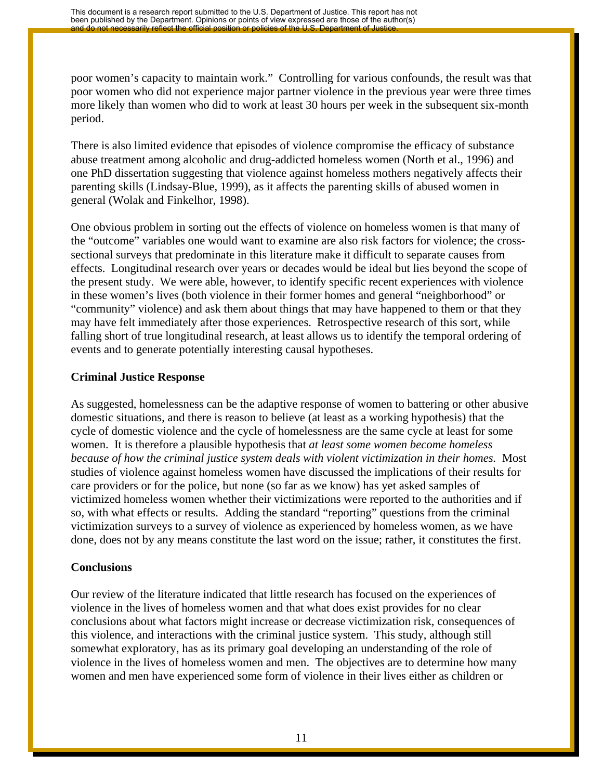poor women's capacity to maintain work." Controlling for various confounds, the result was that poor women who did not experience major partner violence in the previous year were three times more likely than women who did to work at least 30 hours per week in the subsequent six-month period.

There is also limited evidence that episodes of violence compromise the efficacy of substance abuse treatment among alcoholic and drug-addicted homeless women (North et al., 1996) and one PhD dissertation suggesting that violence against homeless mothers negatively affects their parenting skills (Lindsay-Blue, 1999), as it affects the parenting skills of abused women in general (Wolak and Finkelhor, 1998).

One obvious problem in sorting out the effects of violence on homeless women is that many of the "outcome" variables one would want to examine are also risk factors for violence; the crosssectional surveys that predominate in this literature make it difficult to separate causes from effects. Longitudinal research over years or decades would be ideal but lies beyond the scope of the present study. We were able, however, to identify specific recent experiences with violence in these women's lives (both violence in their former homes and general "neighborhood" or "community" violence) and ask them about things that may have happened to them or that they may have felt immediately after those experiences. Retrospective research of this sort, while falling short of true longitudinal research, at least allows us to identify the temporal ordering of events and to generate potentially interesting causal hypotheses.

## **Criminal Justice Response**

As suggested, homelessness can be the adaptive response of women to battering or other abusive domestic situations, and there is reason to believe (at least as a working hypothesis) that the cycle of domestic violence and the cycle of homelessness are the same cycle at least for some women. It is therefore a plausible hypothesis that *at least some women become homeless because of how the criminal justice system deals with violent victimization in their homes.* Most studies of violence against homeless women have discussed the implications of their results for care providers or for the police, but none (so far as we know) has yet asked samples of victimized homeless women whether their victimizations were reported to the authorities and if so, with what effects or results. Adding the standard "reporting" questions from the criminal victimization surveys to a survey of violence as experienced by homeless women, as we have done, does not by any means constitute the last word on the issue; rather, it constitutes the first.

## **Conclusions**

Our review of the literature indicated that little research has focused on the experiences of violence in the lives of homeless women and that what does exist provides for no clear conclusions about what factors might increase or decrease victimization risk, consequences of this violence, and interactions with the criminal justice system. This study, although still somewhat exploratory, has as its primary goal developing an understanding of the role of violence in the lives of homeless women and men. The objectives are to determine how many women and men have experienced some form of violence in their lives either as children or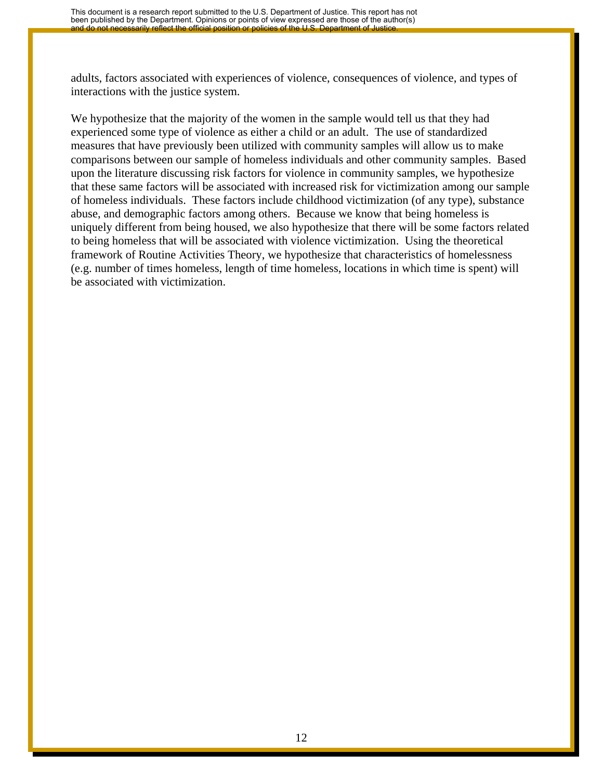adults, factors associated with experiences of violence, consequences of violence, and types of interactions with the justice system.

We hypothesize that the majority of the women in the sample would tell us that they had experienced some type of violence as either a child or an adult. The use of standardized measures that have previously been utilized with community samples will allow us to make comparisons between our sample of homeless individuals and other community samples. Based upon the literature discussing risk factors for violence in community samples, we hypothesize that these same factors will be associated with increased risk for victimization among our sample of homeless individuals. These factors include childhood victimization (of any type), substance abuse, and demographic factors among others. Because we know that being homeless is uniquely different from being housed, we also hypothesize that there will be some factors related to being homeless that will be associated with violence victimization. Using the theoretical framework of Routine Activities Theory, we hypothesize that characteristics of homelessness (e.g. number of times homeless, length of time homeless, locations in which time is spent) will be associated with victimization.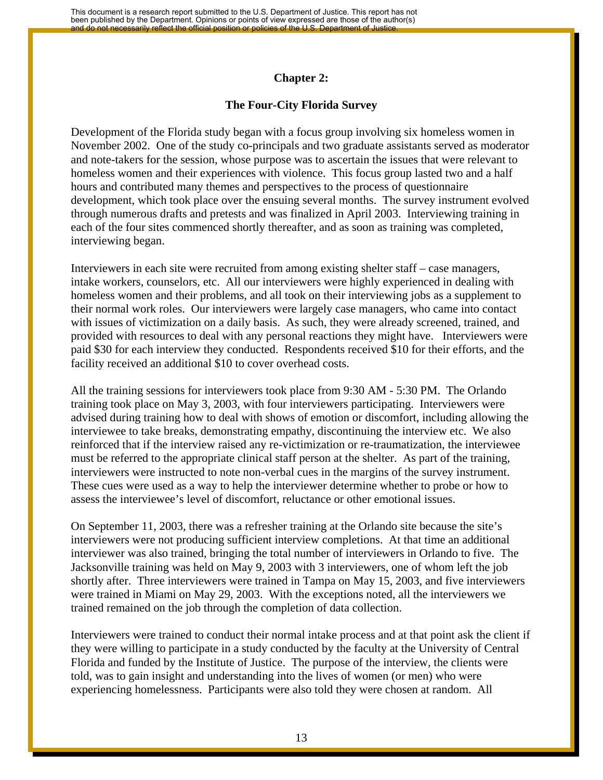#### **Chapter 2:**

#### **The Four-City Florida Survey**

Development of the Florida study began with a focus group involving six homeless women in November 2002. One of the study co-principals and two graduate assistants served as moderator and note-takers for the session, whose purpose was to ascertain the issues that were relevant to homeless women and their experiences with violence. This focus group lasted two and a half hours and contributed many themes and perspectives to the process of questionnaire development, which took place over the ensuing several months. The survey instrument evolved through numerous drafts and pretests and was finalized in April 2003. Interviewing training in each of the four sites commenced shortly thereafter, and as soon as training was completed, interviewing began.

Interviewers in each site were recruited from among existing shelter staff – case managers, intake workers, counselors, etc. All our interviewers were highly experienced in dealing with homeless women and their problems, and all took on their interviewing jobs as a supplement to their normal work roles. Our interviewers were largely case managers, who came into contact with issues of victimization on a daily basis. As such, they were already screened, trained, and provided with resources to deal with any personal reactions they might have. Interviewers were paid \$30 for each interview they conducted. Respondents received \$10 for their efforts, and the facility received an additional \$10 to cover overhead costs.

All the training sessions for interviewers took place from 9:30 AM - 5:30 PM. The Orlando training took place on May 3, 2003, with four interviewers participating. Interviewers were advised during training how to deal with shows of emotion or discomfort, including allowing the interviewee to take breaks, demonstrating empathy, discontinuing the interview etc. We also reinforced that if the interview raised any re-victimization or re-traumatization, the interviewee must be referred to the appropriate clinical staff person at the shelter. As part of the training, interviewers were instructed to note non-verbal cues in the margins of the survey instrument. These cues were used as a way to help the interviewer determine whether to probe or how to assess the interviewee's level of discomfort, reluctance or other emotional issues.

On September 11, 2003, there was a refresher training at the Orlando site because the site's interviewers were not producing sufficient interview completions. At that time an additional interviewer was also trained, bringing the total number of interviewers in Orlando to five. The Jacksonville training was held on May 9, 2003 with 3 interviewers, one of whom left the job shortly after. Three interviewers were trained in Tampa on May 15, 2003, and five interviewers were trained in Miami on May 29, 2003. With the exceptions noted, all the interviewers we trained remained on the job through the completion of data collection.

Interviewers were trained to conduct their normal intake process and at that point ask the client if they were willing to participate in a study conducted by the faculty at the University of Central Florida and funded by the Institute of Justice. The purpose of the interview, the clients were told, was to gain insight and understanding into the lives of women (or men) who were experiencing homelessness. Participants were also told they were chosen at random. All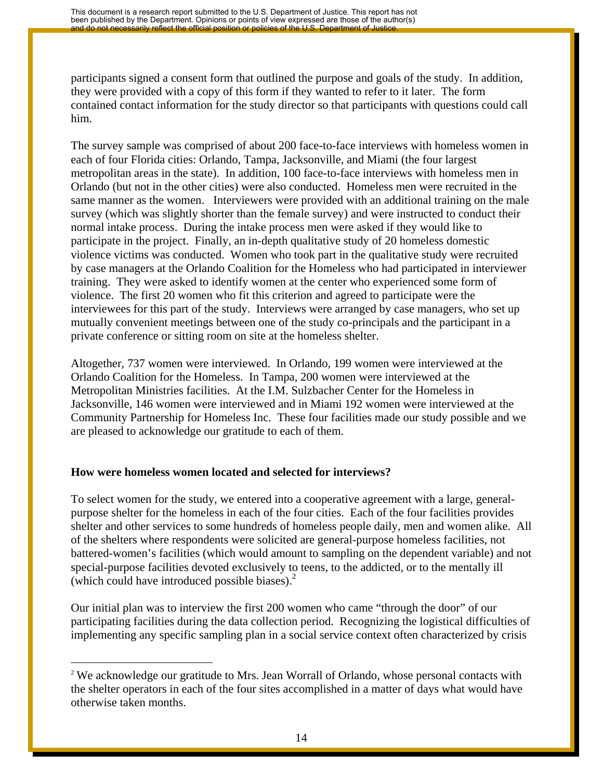participants signed a consent form that outlined the purpose and goals of the study. In addition, they were provided with a copy of this form if they wanted to refer to it later. The form contained contact information for the study director so that participants with questions could call him.

The survey sample was comprised of about 200 face-to-face interviews with homeless women in each of four Florida cities: Orlando, Tampa, Jacksonville, and Miami (the four largest metropolitan areas in the state). In addition, 100 face-to-face interviews with homeless men in Orlando (but not in the other cities) were also conducted. Homeless men were recruited in the same manner as the women. Interviewers were provided with an additional training on the male survey (which was slightly shorter than the female survey) and were instructed to conduct their normal intake process. During the intake process men were asked if they would like to participate in the project. Finally, an in-depth qualitative study of 20 homeless domestic violence victims was conducted. Women who took part in the qualitative study were recruited by case managers at the Orlando Coalition for the Homeless who had participated in interviewer training. They were asked to identify women at the center who experienced some form of violence. The first 20 women who fit this criterion and agreed to participate were the interviewees for this part of the study. Interviews were arranged by case managers, who set up mutually convenient meetings between one of the study co-principals and the participant in a private conference or sitting room on site at the homeless shelter.

Altogether, 737 women were interviewed. In Orlando, 199 women were interviewed at the Orlando Coalition for the Homeless. In Tampa, 200 women were interviewed at the Metropolitan Ministries facilities. At the I.M. Sulzbacher Center for the Homeless in Jacksonville, 146 women were interviewed and in Miami 192 women were interviewed at the Community Partnership for Homeless Inc. These four facilities made our study possible and we are pleased to acknowledge our gratitude to each of them.

## **How were homeless women located and selected for interviews?**

1

To select women for the study, we entered into a cooperative agreement with a large, generalpurpose shelter for the homeless in each of the four cities. Each of the four facilities provides shelter and other services to some hundreds of homeless people daily, men and women alike. All of the shelters where respondents were solicited are general-purpose homeless facilities, not battered-women's facilities (which would amount to sampling on the dependent variable) and not special-purpose facilities devoted exclusively to teens, to the addicted, or to the mentally ill (which could have introduced possible biases).<sup>2</sup>

Our initial plan was to interview the first 200 women who came "through the door" of our participating facilities during the data collection period. Recognizing the logistical difficulties of implementing any specific sampling plan in a social service context often characterized by crisis

<sup>2</sup> We acknowledge our gratitude to Mrs. Jean Worrall of Orlando, whose personal contacts with the shelter operators in each of the four sites accomplished in a matter of days what would have otherwise taken months.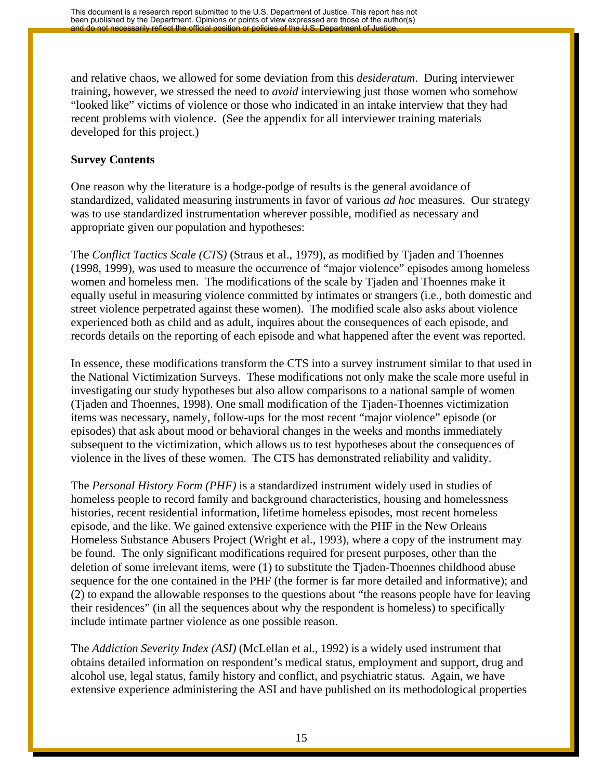and relative chaos, we allowed for some deviation from this *desideratum*. During interviewer training, however, we stressed the need to *avoid* interviewing just those women who somehow "looked like" victims of violence or those who indicated in an intake interview that they had recent problems with violence. (See the appendix for all interviewer training materials developed for this project.)

## **Survey Contents**

One reason why the literature is a hodge-podge of results is the general avoidance of standardized, validated measuring instruments in favor of various *ad hoc* measures. Our strategy was to use standardized instrumentation wherever possible, modified as necessary and appropriate given our population and hypotheses:

The *Conflict Tactics Scale (CTS)* (Straus et al., 1979), as modified by Tjaden and Thoennes (1998, 1999), was used to measure the occurrence of "major violence" episodes among homeless women and homeless men. The modifications of the scale by Tjaden and Thoennes make it equally useful in measuring violence committed by intimates or strangers (i.e., both domestic and street violence perpetrated against these women). The modified scale also asks about violence experienced both as child and as adult, inquires about the consequences of each episode, and records details on the reporting of each episode and what happened after the event was reported.

In essence, these modifications transform the CTS into a survey instrument similar to that used in the National Victimization Surveys. These modifications not only make the scale more useful in investigating our study hypotheses but also allow comparisons to a national sample of women (Tjaden and Thoennes, 1998). One small modification of the Tjaden-Thoennes victimization items was necessary, namely, follow-ups for the most recent "major violence" episode (or episodes) that ask about mood or behavioral changes in the weeks and months immediately subsequent to the victimization, which allows us to test hypotheses about the consequences of violence in the lives of these women. The CTS has demonstrated reliability and validity.

The *Personal History Form (PHF)* is a standardized instrument widely used in studies of homeless people to record family and background characteristics, housing and homelessness histories, recent residential information, lifetime homeless episodes, most recent homeless episode, and the like. We gained extensive experience with the PHF in the New Orleans Homeless Substance Abusers Project (Wright et al., 1993), where a copy of the instrument may be found. The only significant modifications required for present purposes, other than the deletion of some irrelevant items, were (1) to substitute the Tjaden-Thoennes childhood abuse sequence for the one contained in the PHF (the former is far more detailed and informative); and (2) to expand the allowable responses to the questions about "the reasons people have for leaving their residences" (in all the sequences about why the respondent is homeless) to specifically include intimate partner violence as one possible reason.

The *Addiction Severity Index (ASI)* (McLellan et al., 1992) is a widely used instrument that obtains detailed information on respondent's medical status, employment and support, drug and alcohol use, legal status, family history and conflict, and psychiatric status. Again, we have extensive experience administering the ASI and have published on its methodological properties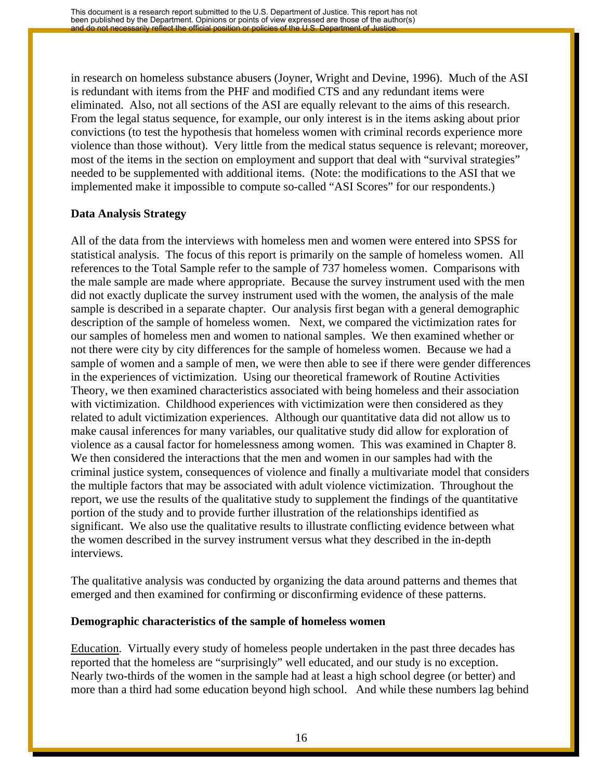in research on homeless substance abusers (Joyner, Wright and Devine, 1996). Much of the ASI is redundant with items from the PHF and modified CTS and any redundant items were eliminated. Also, not all sections of the ASI are equally relevant to the aims of this research. From the legal status sequence, for example, our only interest is in the items asking about prior convictions (to test the hypothesis that homeless women with criminal records experience more violence than those without). Very little from the medical status sequence is relevant; moreover, most of the items in the section on employment and support that deal with "survival strategies" needed to be supplemented with additional items. (Note: the modifications to the ASI that we implemented make it impossible to compute so-called "ASI Scores" for our respondents.)

## **Data Analysis Strategy**

All of the data from the interviews with homeless men and women were entered into SPSS for statistical analysis. The focus of this report is primarily on the sample of homeless women. All references to the Total Sample refer to the sample of 737 homeless women. Comparisons with the male sample are made where appropriate. Because the survey instrument used with the men did not exactly duplicate the survey instrument used with the women, the analysis of the male sample is described in a separate chapter. Our analysis first began with a general demographic description of the sample of homeless women. Next, we compared the victimization rates for our samples of homeless men and women to national samples. We then examined whether or not there were city by city differences for the sample of homeless women. Because we had a sample of women and a sample of men, we were then able to see if there were gender differences in the experiences of victimization. Using our theoretical framework of Routine Activities Theory, we then examined characteristics associated with being homeless and their association with victimization. Childhood experiences with victimization were then considered as they related to adult victimization experiences. Although our quantitative data did not allow us to make causal inferences for many variables, our qualitative study did allow for exploration of violence as a causal factor for homelessness among women. This was examined in Chapter 8. We then considered the interactions that the men and women in our samples had with the criminal justice system, consequences of violence and finally a multivariate model that considers the multiple factors that may be associated with adult violence victimization. Throughout the report, we use the results of the qualitative study to supplement the findings of the quantitative portion of the study and to provide further illustration of the relationships identified as significant. We also use the qualitative results to illustrate conflicting evidence between what the women described in the survey instrument versus what they described in the in-depth interviews.

The qualitative analysis was conducted by organizing the data around patterns and themes that emerged and then examined for confirming or disconfirming evidence of these patterns.

#### **Demographic characteristics of the sample of homeless women**

Education. Virtually every study of homeless people undertaken in the past three decades has reported that the homeless are "surprisingly" well educated, and our study is no exception. Nearly two-thirds of the women in the sample had at least a high school degree (or better) and more than a third had some education beyond high school. And while these numbers lag behind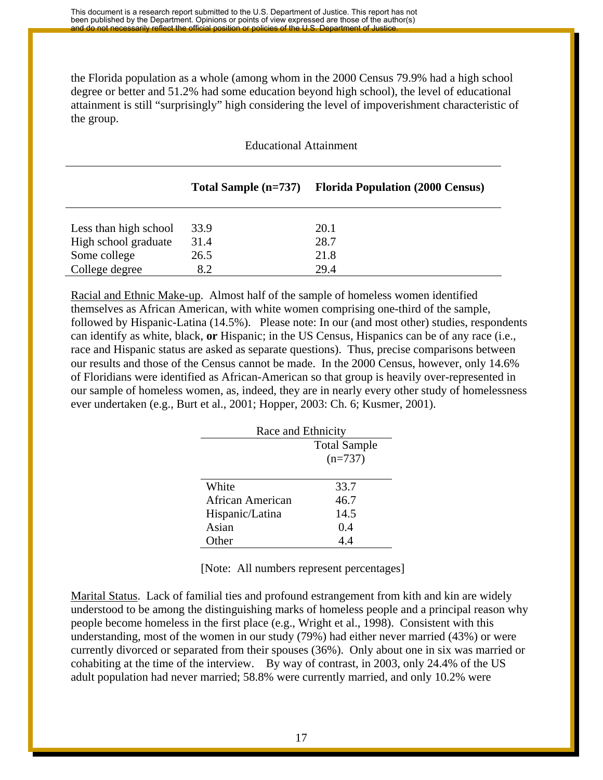#### This document is a research report submitted to the U.S. Department of Justice. This report has not been published by the Department. Opinions or points of view expressed are those of the author(s) and do not necessarily reflect the official position or policies of the U.S. Department of Justice. arily reflect the official position or policies of the U.S. Department of Justic

the Florida population as a whole (among whom in the 2000 Census 79.9% had a high school degree or better and 51.2% had some education beyond high school), the level of educational attainment is still "surprisingly" high considering the level of impoverishment characteristic of the group.

Educational Attainment

# **Total Sample (n=737) Florida Population (2000 Census)**  Less than high school 33.9 20.1 High school graduate 31.4 28.7 Some college 26.5 21.8 College degree 8.2 29.4

Racial and Ethnic Make-up. Almost half of the sample of homeless women identified themselves as African American, with white women comprising one-third of the sample, followed by Hispanic-Latina (14.5%). Please note: In our (and most other) studies, respondents can identify as white, black, **or** Hispanic; in the US Census, Hispanics can be of any race (i.e., race and Hispanic status are asked as separate questions). Thus, precise comparisons between our results and those of the Census cannot be made. In the 2000 Census, however, only 14.6% of Floridians were identified as African-American so that group is heavily over-represented in our sample of homeless women, as, indeed, they are in nearly every other study of homelessness ever undertaken (e.g., Burt et al., 2001; Hopper, 2003: Ch. 6; Kusmer, 2001).

| Race and Ethnicity  |           |  |  |
|---------------------|-----------|--|--|
| <b>Total Sample</b> |           |  |  |
|                     | $(n=737)$ |  |  |
|                     |           |  |  |
| White               | 33.7      |  |  |
| African American    | 46.7      |  |  |
| Hispanic/Latina     | 14.5      |  |  |
| Asian               | 0.4       |  |  |
| Other               | 44        |  |  |

[Note: All numbers represent percentages]

Marital Status. Lack of familial ties and profound estrangement from kith and kin are widely understood to be among the distinguishing marks of homeless people and a principal reason why people become homeless in the first place (e.g., Wright et al., 1998). Consistent with this understanding, most of the women in our study (79%) had either never married (43%) or were currently divorced or separated from their spouses (36%). Only about one in six was married or cohabiting at the time of the interview. By way of contrast, in 2003, only 24.4% of the US adult population had never married; 58.8% were currently married, and only 10.2% were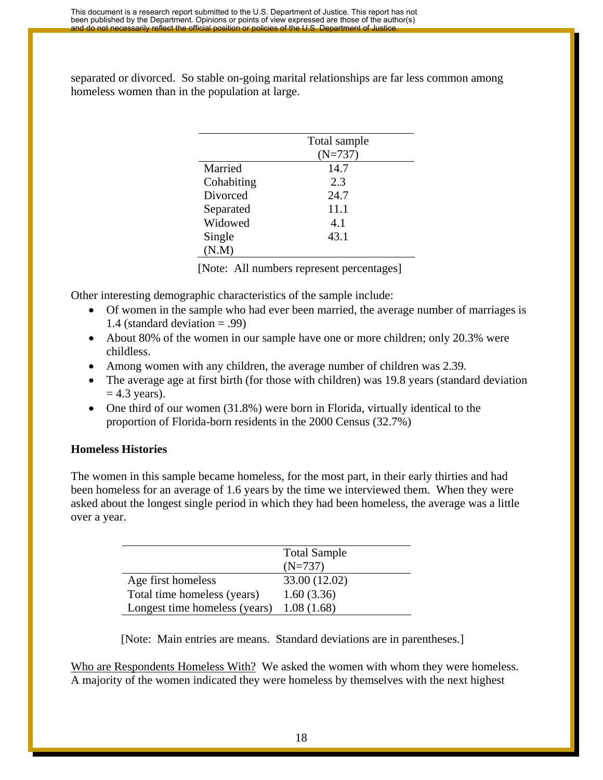separated or divorced. So stable on-going marital relationships are far less common among homeless women than in the population at large.

|            | Total sample |  |
|------------|--------------|--|
|            | $(N=737)$    |  |
| Married    | 14.7         |  |
| Cohabiting | 2.3          |  |
| Divorced   | 24.7         |  |
| Separated  | 11.1         |  |
| Widowed    | 4.1          |  |
| Single     | 43.1         |  |
| (N.M)      |              |  |

[Note: All numbers represent percentages]

Other interesting demographic characteristics of the sample include:

- Of women in the sample who had ever been married, the average number of marriages is 1.4 (standard deviation = .99)
- About 80% of the women in our sample have one or more children; only 20.3% were childless.
- Among women with any children, the average number of children was 2.39.
- The average age at first birth (for those with children) was 19.8 years (standard deviation  $= 4.3$  years).
- One third of our women (31.8%) were born in Florida, virtually identical to the proportion of Florida-born residents in the 2000 Census (32.7%)

## **Homeless Histories**

The women in this sample became homeless, for the most part, in their early thirties and had been homeless for an average of 1.6 years by the time we interviewed them. When they were asked about the longest single period in which they had been homeless, the average was a little over a year.

|                               | <b>Total Sample</b><br>$(N=737)$ |
|-------------------------------|----------------------------------|
| Age first homeless            | 33.00 (12.02)                    |
| Total time homeless (years)   | 1.60(3.36)                       |
| Longest time homeless (years) | 1.08(1.68)                       |

[Note: Main entries are means. Standard deviations are in parentheses.]

Who are Respondents Homeless With? We asked the women with whom they were homeless. A majority of the women indicated they were homeless by themselves with the next highest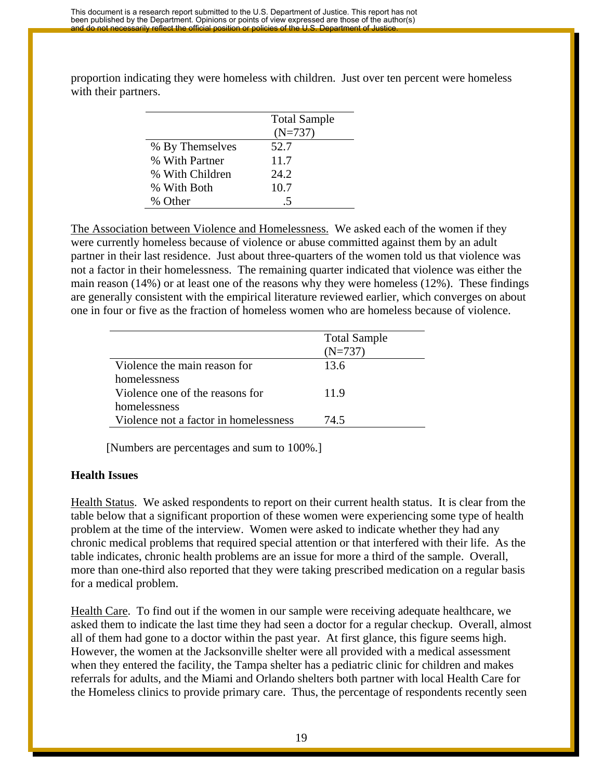This document is a research report submitted to the U.S. Department of Justice. This report has not been published by the Department. Opinions or points of view expressed are those of the author(s) and do not necessarily reflect the official position or policies of the U.S. Department of Justice. sarily reflect the official position or policies of the U.S. Department of Justic

|                 | <b>Total Sample</b> |  |  |
|-----------------|---------------------|--|--|
|                 | $(N=737)$           |  |  |
| % By Themselves | 52.7                |  |  |
| % With Partner  | 11.7                |  |  |
| % With Children | 24.2                |  |  |
| % With Both     | 10.7                |  |  |
| % Other         | $\rightarrow$       |  |  |

proportion indicating they were homeless with children. Just over ten percent were homeless with their partners.

The Association between Violence and Homelessness. We asked each of the women if they were currently homeless because of violence or abuse committed against them by an adult partner in their last residence. Just about three-quarters of the women told us that violence was not a factor in their homelessness. The remaining quarter indicated that violence was either the main reason (14%) or at least one of the reasons why they were homeless (12%). These findings are generally consistent with the empirical literature reviewed earlier, which converges on about one in four or five as the fraction of homeless women who are homeless because of violence.

|                                       | <b>Total Sample</b><br>$(N=737)$ |
|---------------------------------------|----------------------------------|
| Violence the main reason for          | 13.6                             |
| homelessness                          |                                  |
| Violence one of the reasons for       | 11.9                             |
| homelessness                          |                                  |
| Violence not a factor in homelessness | 74.5                             |
|                                       |                                  |

[Numbers are percentages and sum to 100%.]

#### **Health Issues**

Health Status. We asked respondents to report on their current health status. It is clear from the table below that a significant proportion of these women were experiencing some type of health problem at the time of the interview. Women were asked to indicate whether they had any chronic medical problems that required special attention or that interfered with their life. As the table indicates, chronic health problems are an issue for more a third of the sample. Overall, more than one-third also reported that they were taking prescribed medication on a regular basis for a medical problem.

Health Care. To find out if the women in our sample were receiving adequate healthcare, we asked them to indicate the last time they had seen a doctor for a regular checkup. Overall, almost all of them had gone to a doctor within the past year. At first glance, this figure seems high. However, the women at the Jacksonville shelter were all provided with a medical assessment when they entered the facility, the Tampa shelter has a pediatric clinic for children and makes referrals for adults, and the Miami and Orlando shelters both partner with local Health Care for the Homeless clinics to provide primary care. Thus, the percentage of respondents recently seen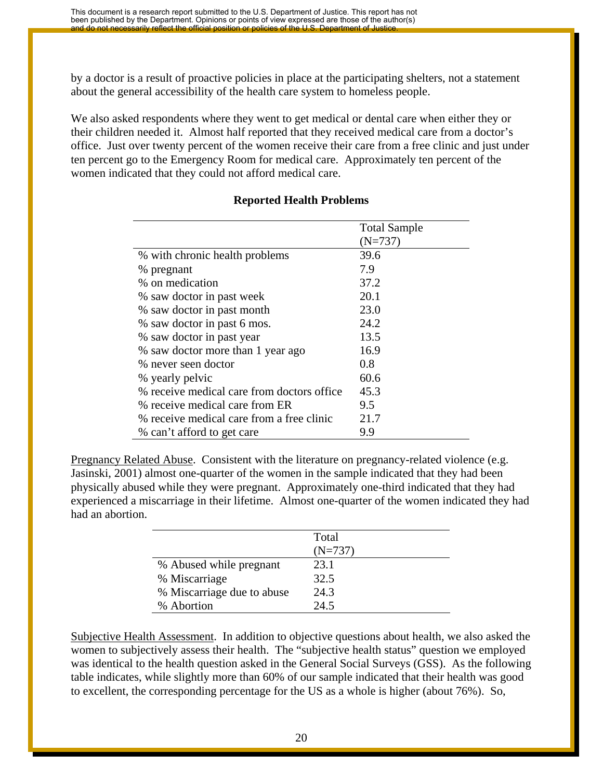by a doctor is a result of proactive policies in place at the participating shelters, not a statement about the general accessibility of the health care system to homeless people.

We also asked respondents where they went to get medical or dental care when either they or their children needed it. Almost half reported that they received medical care from a doctor's office. Just over twenty percent of the women receive their care from a free clinic and just under ten percent go to the Emergency Room for medical care. Approximately ten percent of the women indicated that they could not afford medical care.

|                                            | <b>Total Sample</b> |
|--------------------------------------------|---------------------|
|                                            | $(N=737)$           |
| % with chronic health problems             | 39.6                |
| % pregnant                                 | 7.9                 |
| % on medication                            | 37.2                |
| % saw doctor in past week                  | 20.1                |
| % saw doctor in past month                 | 23.0                |
| % saw doctor in past 6 mos.                | 24.2                |
| % saw doctor in past year                  | 13.5                |
| % saw doctor more than 1 year ago          | 16.9                |
| % never seen doctor                        | 0.8                 |
| % yearly pelvic                            | 60.6                |
| % receive medical care from doctors office | 45.3                |
| % receive medical care from ER             | 9.5                 |
| % receive medical care from a free clinic  | 21.7                |
| % can't afford to get care                 | 9.9                 |

## **Reported Health Problems**

Pregnancy Related Abuse. Consistent with the literature on pregnancy-related violence (e.g. Jasinski, 2001) almost one-quarter of the women in the sample indicated that they had been physically abused while they were pregnant. Approximately one-third indicated that they had experienced a miscarriage in their lifetime. Almost one-quarter of the women indicated they had had an abortion.

|                            | Total     |
|----------------------------|-----------|
|                            | $(N=737)$ |
| % Abused while pregnant    | 23.1      |
| % Miscarriage              | 32.5      |
| % Miscarriage due to abuse | 24.3      |
| % Abortion                 | 24.5      |

Subjective Health Assessment. In addition to objective questions about health, we also asked the women to subjectively assess their health. The "subjective health status" question we employed was identical to the health question asked in the General Social Surveys (GSS). As the following table indicates, while slightly more than 60% of our sample indicated that their health was good to excellent, the corresponding percentage for the US as a whole is higher (about 76%). So,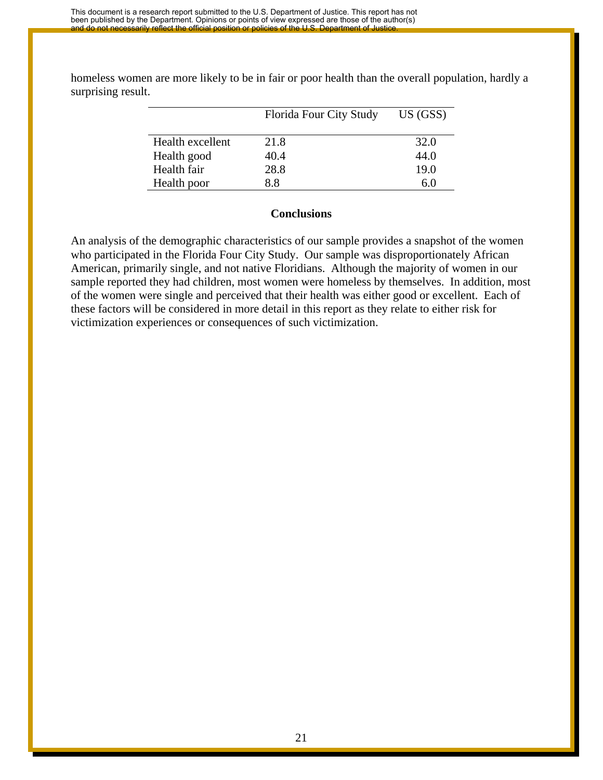|                  | Florida Four City Study | US(GSS) |
|------------------|-------------------------|---------|
|                  |                         |         |
| Health excellent | 21.8                    | 32.0    |
| Health good      | 40.4                    | 44.0    |
| Health fair      | 28.8                    | 19.0    |
| Health poor      | 88                      | 6 U     |

homeless women are more likely to be in fair or poor health than the overall population, hardly a surprising result.

## **Conclusions**

An analysis of the demographic characteristics of our sample provides a snapshot of the women who participated in the Florida Four City Study. Our sample was disproportionately African American, primarily single, and not native Floridians. Although the majority of women in our sample reported they had children, most women were homeless by themselves. In addition, most of the women were single and perceived that their health was either good or excellent. Each of these factors will be considered in more detail in this report as they relate to either risk for victimization experiences or consequences of such victimization.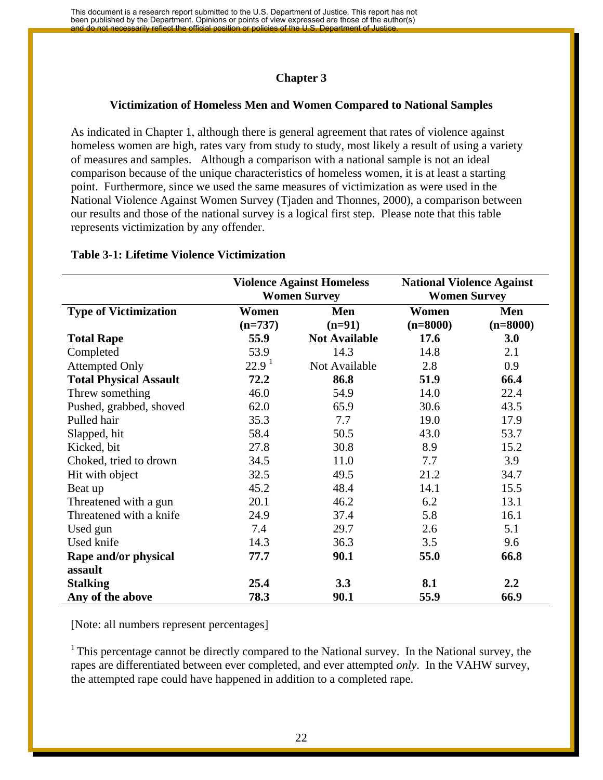## **Chapter 3**

## **Victimization of Homeless Men and Women Compared to National Samples**

As indicated in Chapter 1, although there is general agreement that rates of violence against homeless women are high, rates vary from study to study, most likely a result of using a variety of measures and samples. Although a comparison with a national sample is not an ideal comparison because of the unique characteristics of homeless women, it is at least a starting point. Furthermore, since we used the same measures of victimization as were used in the National Violence Against Women Survey (Tjaden and Thonnes, 2000), a comparison between our results and those of the national survey is a logical first step. Please note that this table represents victimization by any offender.

## **Table 3-1: Lifetime Violence Victimization**

|                               | <b>Violence Against Homeless</b><br><b>Women Survey</b> |                      | <b>National Violence Against</b><br><b>Women Survey</b> |                   |
|-------------------------------|---------------------------------------------------------|----------------------|---------------------------------------------------------|-------------------|
| <b>Type of Victimization</b>  | Women<br>$(n=737)$                                      | Men<br>$(n=91)$      | Women<br>$(n=8000)$                                     | Men<br>$(n=8000)$ |
| <b>Total Rape</b>             | 55.9                                                    | <b>Not Available</b> | 17.6                                                    | 3.0               |
| Completed                     | 53.9                                                    | 14.3                 | 14.8                                                    | 2.1               |
| <b>Attempted Only</b>         | 22.9 <sup>1</sup>                                       | Not Available        | 2.8                                                     | 0.9               |
| <b>Total Physical Assault</b> | 72.2                                                    | 86.8                 | 51.9                                                    | 66.4              |
| Threw something               | 46.0                                                    | 54.9                 | 14.0                                                    | 22.4              |
| Pushed, grabbed, shoved       | 62.0                                                    | 65.9                 | 30.6                                                    | 43.5              |
| Pulled hair                   | 35.3                                                    | 7.7                  | 19.0                                                    | 17.9              |
| Slapped, hit                  | 58.4                                                    | 50.5                 | 43.0                                                    | 53.7              |
| Kicked, bit                   | 27.8                                                    | 30.8                 | 8.9                                                     | 15.2              |
| Choked, tried to drown        | 34.5                                                    | 11.0                 | 7.7                                                     | 3.9               |
| Hit with object               | 32.5                                                    | 49.5                 | 21.2                                                    | 34.7              |
| Beat up                       | 45.2                                                    | 48.4                 | 14.1                                                    | 15.5              |
| Threatened with a gun         | 20.1                                                    | 46.2                 | 6.2                                                     | 13.1              |
| Threatened with a knife       | 24.9                                                    | 37.4                 | 5.8                                                     | 16.1              |
| Used gun                      | 7.4                                                     | 29.7                 | 2.6                                                     | 5.1               |
| Used knife                    | 14.3                                                    | 36.3                 | 3.5                                                     | 9.6               |
| Rape and/or physical          | 77.7                                                    | 90.1                 | 55.0                                                    | 66.8              |
| assault                       |                                                         |                      |                                                         |                   |
| <b>Stalking</b>               | 25.4                                                    | 3.3                  | 8.1                                                     | $2.2\phantom{0}$  |
| Any of the above              | 78.3                                                    | 90.1                 | 55.9                                                    | 66.9              |

[Note: all numbers represent percentages]

<sup>1</sup> This percentage cannot be directly compared to the National survey. In the National survey, the rapes are differentiated between ever completed, and ever attempted *only*. In the VAHW survey, the attempted rape could have happened in addition to a completed rape.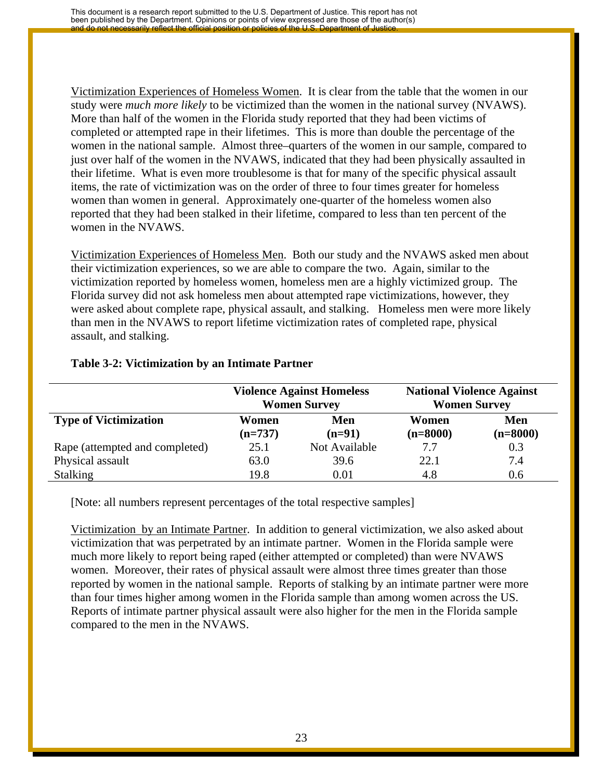Victimization Experiences of Homeless Women. It is clear from the table that the women in our study were *much more likely* to be victimized than the women in the national survey (NVAWS). More than half of the women in the Florida study reported that they had been victims of completed or attempted rape in their lifetimes. This is more than double the percentage of the women in the national sample. Almost three–quarters of the women in our sample, compared to just over half of the women in the NVAWS, indicated that they had been physically assaulted in their lifetime. What is even more troublesome is that for many of the specific physical assault items, the rate of victimization was on the order of three to four times greater for homeless women than women in general. Approximately one-quarter of the homeless women also reported that they had been stalked in their lifetime, compared to less than ten percent of the women in the NVAWS.

Victimization Experiences of Homeless Men. Both our study and the NVAWS asked men about their victimization experiences, so we are able to compare the two. Again, similar to the victimization reported by homeless women, homeless men are a highly victimized group. The Florida survey did not ask homeless men about attempted rape victimizations, however, they were asked about complete rape, physical assault, and stalking. Homeless men were more likely than men in the NVAWS to report lifetime victimization rates of completed rape, physical assault, and stalking.

|                                | <b>Violence Against Homeless</b><br><b>Women Survey</b> |               | <b>National Violence Against</b><br><b>Women Survey</b> |            |
|--------------------------------|---------------------------------------------------------|---------------|---------------------------------------------------------|------------|
|                                |                                                         |               |                                                         |            |
| <b>Type of Victimization</b>   | Women                                                   | Men           | Women                                                   | Men        |
|                                | $(n=737)$                                               | $(n=91)$      | $(n=8000)$                                              | $(n=8000)$ |
| Rape (attempted and completed) | 25.1                                                    | Not Available | 7.7                                                     | 0.3        |
| Physical assault               | 63.0                                                    | 39.6          | 22.1                                                    | 7.4        |
| <b>Stalking</b>                | 19.8                                                    | 0.01          | 4.8                                                     | 0.6        |

[Note: all numbers represent percentages of the total respective samples]

Victimization by an Intimate Partner. In addition to general victimization, we also asked about victimization that was perpetrated by an intimate partner. Women in the Florida sample were much more likely to report being raped (either attempted or completed) than were NVAWS women. Moreover, their rates of physical assault were almost three times greater than those reported by women in the national sample. Reports of stalking by an intimate partner were more than four times higher among women in the Florida sample than among women across the US. Reports of intimate partner physical assault were also higher for the men in the Florida sample compared to the men in the NVAWS.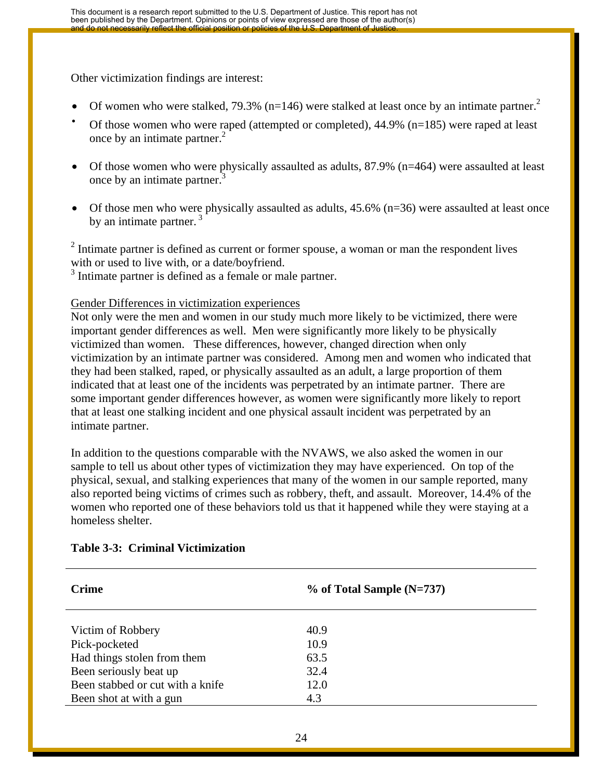Other victimization findings are interest:

- Of women who were stalked, 79.3% (n=146) were stalked at least once by an intimate partner.<sup>2</sup>
- Of those women who were raped (attempted or completed), 44.9% (n=185) were raped at least once by an intimate partner. $^{2}$
- Of those women who were physically assaulted as adults, 87.9% (n=464) were assaulted at least once by an intimate partner.<sup>3</sup>
- Of those men who were physically assaulted as adults,  $45.6\%$  (n=36) were assaulted at least once by an intimate partner.  $3$

 $2$  Intimate partner is defined as current or former spouse, a woman or man the respondent lives with or used to live with, or a date/boyfriend.

<sup>3</sup> Intimate partner is defined as a female or male partner.

### Gender Differences in victimization experiences

Not only were the men and women in our study much more likely to be victimized, there were important gender differences as well. Men were significantly more likely to be physically victimized than women. These differences, however, changed direction when only victimization by an intimate partner was considered. Among men and women who indicated that they had been stalked, raped, or physically assaulted as an adult, a large proportion of them indicated that at least one of the incidents was perpetrated by an intimate partner. There are some important gender differences however, as women were significantly more likely to report that at least one stalking incident and one physical assault incident was perpetrated by an intimate partner.

In addition to the questions comparable with the NVAWS, we also asked the women in our sample to tell us about other types of victimization they may have experienced. On top of the physical, sexual, and stalking experiences that many of the women in our sample reported, many also reported being victims of crimes such as robbery, theft, and assault. Moreover, 14.4% of the women who reported one of these behaviors told us that it happened while they were staying at a homeless shelter.

| <b>Crime</b>                     | $\%$ of Total Sample (N=737) |  |  |  |
|----------------------------------|------------------------------|--|--|--|
|                                  |                              |  |  |  |
| Victim of Robbery                | 40.9                         |  |  |  |
| Pick-pocketed                    | 10.9                         |  |  |  |
| Had things stolen from them      | 63.5                         |  |  |  |
| Been seriously beat up           | 32.4                         |  |  |  |
| Been stabbed or cut with a knife | 12.0                         |  |  |  |
| Been shot at with a gun          | 4.3                          |  |  |  |

## **Table 3-3: Criminal Victimization**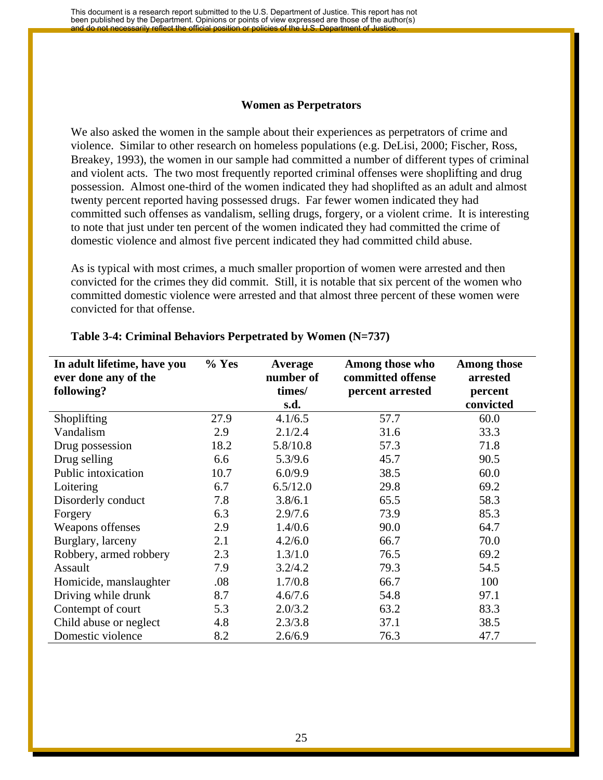#### **Women as Perpetrators**

We also asked the women in the sample about their experiences as perpetrators of crime and violence. Similar to other research on homeless populations (e.g. DeLisi, 2000; Fischer, Ross, Breakey, 1993), the women in our sample had committed a number of different types of criminal and violent acts. The two most frequently reported criminal offenses were shoplifting and drug possession. Almost one-third of the women indicated they had shoplifted as an adult and almost twenty percent reported having possessed drugs. Far fewer women indicated they had committed such offenses as vandalism, selling drugs, forgery, or a violent crime. It is interesting to note that just under ten percent of the women indicated they had committed the crime of domestic violence and almost five percent indicated they had committed child abuse.

As is typical with most crimes, a much smaller proportion of women were arrested and then convicted for the crimes they did commit. Still, it is notable that six percent of the women who committed domestic violence were arrested and that almost three percent of these women were convicted for that offense.

| In adult lifetime, have you<br>ever done any of the | $%$ Yes | Average<br>number of | Among those who<br>committed offense | <b>Among those</b><br>arrested |
|-----------------------------------------------------|---------|----------------------|--------------------------------------|--------------------------------|
| following?                                          |         | times/               | percent arrested                     | percent                        |
|                                                     |         | s.d.                 |                                      | convicted                      |
| Shoplifting                                         | 27.9    | 4.1/6.5              | 57.7                                 | 60.0                           |
| Vandalism                                           | 2.9     | 2.1/2.4              | 31.6                                 | 33.3                           |
| Drug possession                                     | 18.2    | 5.8/10.8             | 57.3                                 | 71.8                           |
| Drug selling                                        | 6.6     | 5.3/9.6              | 45.7                                 | 90.5                           |
| Public intoxication                                 | 10.7    | 6.0/9.9              | 38.5                                 | 60.0                           |
| Loitering                                           | 6.7     | 6.5/12.0             | 29.8                                 | 69.2                           |
| Disorderly conduct                                  | 7.8     | 3.8/6.1              | 65.5                                 | 58.3                           |
| Forgery                                             | 6.3     | 2.9/7.6              | 73.9                                 | 85.3                           |
| Weapons offenses                                    | 2.9     | 1.4/0.6              | 90.0                                 | 64.7                           |
| Burglary, larceny                                   | 2.1     | 4.2/6.0              | 66.7                                 | 70.0                           |
| Robbery, armed robbery                              | 2.3     | 1.3/1.0              | 76.5                                 | 69.2                           |
| Assault                                             | 7.9     | 3.2/4.2              | 79.3                                 | 54.5                           |
| Homicide, manslaughter                              | .08     | 1.7/0.8              | 66.7                                 | 100                            |
| Driving while drunk                                 | 8.7     | 4.6/7.6              | 54.8                                 | 97.1                           |
| Contempt of court                                   | 5.3     | 2.0/3.2              | 63.2                                 | 83.3                           |
| Child abuse or neglect                              | 4.8     | 2.3/3.8              | 37.1                                 | 38.5                           |
| Domestic violence                                   | 8.2     | 2.6/6.9              | 76.3                                 | 47.7                           |

#### **Table 3-4: Criminal Behaviors Perpetrated by Women (N=737)**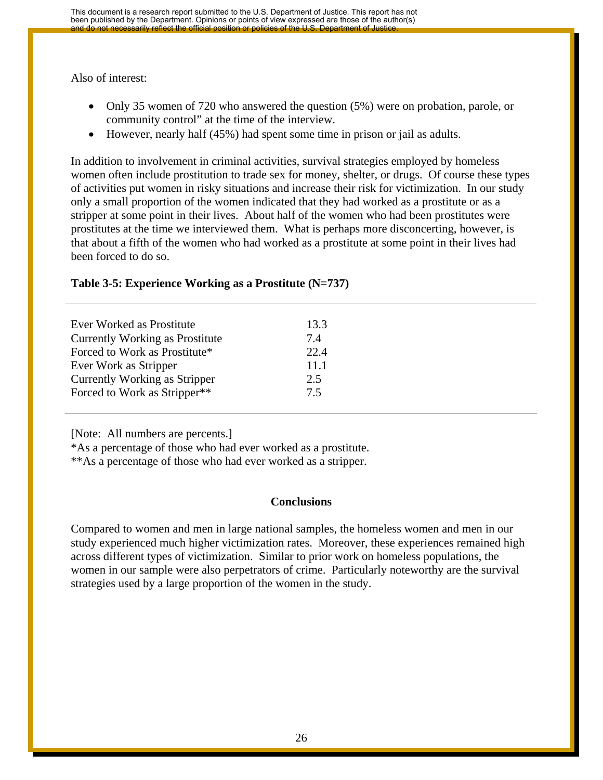Also of interest:

- Only 35 women of 720 who answered the question (5%) were on probation, parole, or community control" at the time of the interview.
- However, nearly half (45%) had spent some time in prison or jail as adults.

In addition to involvement in criminal activities, survival strategies employed by homeless women often include prostitution to trade sex for money, shelter, or drugs. Of course these types of activities put women in risky situations and increase their risk for victimization. In our study only a small proportion of the women indicated that they had worked as a prostitute or as a stripper at some point in their lives. About half of the women who had been prostitutes were prostitutes at the time we interviewed them. What is perhaps more disconcerting, however, is that about a fifth of the women who had worked as a prostitute at some point in their lives had been forced to do so.

|  | Table 3-5: Experience Working as a Prostitute (N=737) |
|--|-------------------------------------------------------|
|--|-------------------------------------------------------|

| Ever Worked as Prostitute              | 13.3 |  |
|----------------------------------------|------|--|
| <b>Currently Working as Prostitute</b> | 7.4  |  |
| Forced to Work as Prostitute*          | 22.4 |  |
| Ever Work as Stripper                  | 11.1 |  |
| Currently Working as Stripper          | 2.5  |  |
| Forced to Work as Stripper**           | 7.5  |  |
|                                        |      |  |

[Note: All numbers are percents.]

\*As a percentage of those who had ever worked as a prostitute.

\*\*As a percentage of those who had ever worked as a stripper.

## **Conclusions**

Compared to women and men in large national samples, the homeless women and men in our study experienced much higher victimization rates. Moreover, these experiences remained high across different types of victimization. Similar to prior work on homeless populations, the women in our sample were also perpetrators of crime. Particularly noteworthy are the survival strategies used by a large proportion of the women in the study.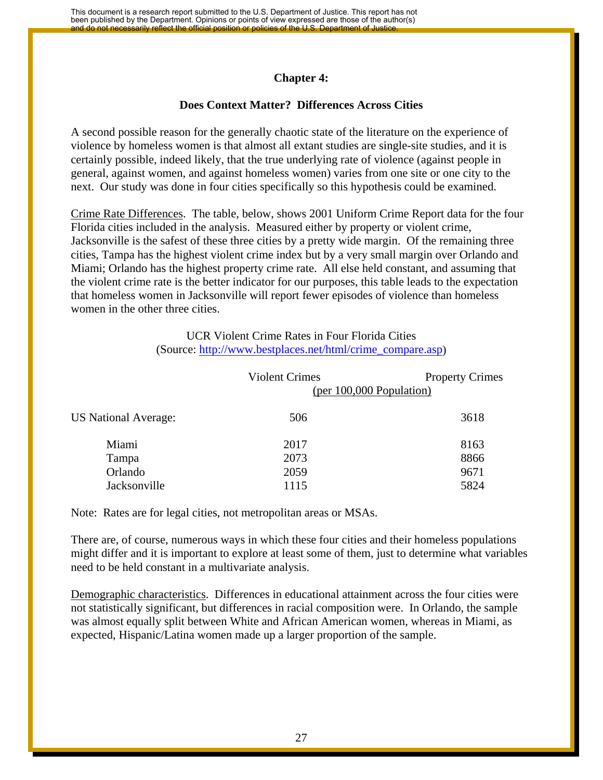#### **Chapter 4:**

## **Does Context Matter? Differences Across Cities**

A second possible reason for the generally chaotic state of the literature on the experience of violence by homeless women is that almost all extant studies are single-site studies, and it is certainly possible, indeed likely, that the true underlying rate of violence (against people in general, against women, and against homeless women) varies from one site or one city to the next. Our study was done in four cities specifically so this hypothesis could be examined.

Crime Rate Differences. The table, below, shows 2001 Uniform Crime Report data for the four Florida cities included in the analysis. Measured either by property or violent crime, Jacksonville is the safest of these three cities by a pretty wide margin. Of the remaining three cities, Tampa has the highest violent crime index but by a very small margin over Orlando and Miami; Orlando has the highest property crime rate. All else held constant, and assuming that the violent crime rate is the better indicator for our purposes, this table leads to the expectation that homeless women in Jacksonville will report fewer episodes of violence than homeless women in the other three cities.

> UCR Violent Crime Rates in Four Florida Cities (Source: http://www.bestplaces.net/html/crime\_compare.asp)

|                             | <b>Violent Crimes</b> | <b>Property Crimes</b><br>$(per 100,000$ Population) |
|-----------------------------|-----------------------|------------------------------------------------------|
|                             |                       |                                                      |
| <b>US National Average:</b> | 506                   | 3618                                                 |
| Miami                       | 2017                  | 8163                                                 |
| Tampa                       | 2073                  | 8866                                                 |
| Orlando                     | 2059                  | 9671                                                 |
| Jacksonville                | 1115                  | 5824                                                 |

Note: Rates are for legal cities, not metropolitan areas or MSAs.

There are, of course, numerous ways in which these four cities and their homeless populations might differ and it is important to explore at least some of them, just to determine what variables need to be held constant in a multivariate analysis.

Demographic characteristics. Differences in educational attainment across the four cities were not statistically significant, but differences in racial composition were. In Orlando, the sample was almost equally split between White and African American women, whereas in Miami, as expected, Hispanic/Latina women made up a larger proportion of the sample.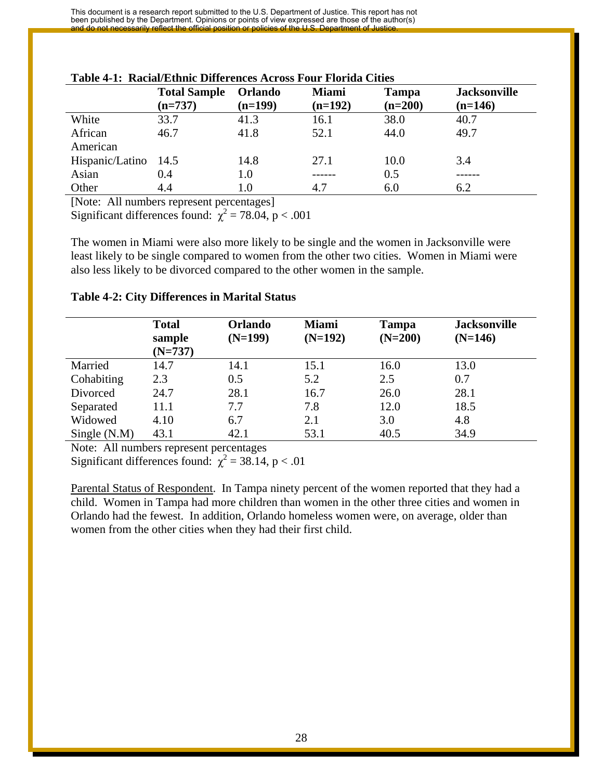This document is a research report submitted to the U.S. Department of Justice. This report has not been published by the Department. Opinions or points of view expressed are those of the author(s) and do not necessarily reflect the official position or policies of the U.S. Department of Justice.

|                 | <b>Total Sample</b><br>$(n=737)$ | Orlando<br>$(n=199)$ | <b>Miami</b><br>$(n=192)$ | <b>Tampa</b><br>$(n=200)$ | <b>Jacksonville</b><br>$(n=146)$ |
|-----------------|----------------------------------|----------------------|---------------------------|---------------------------|----------------------------------|
| White           | 33.7                             | 41.3                 | 16.1                      | 38.0                      | 40.7                             |
| African         | 46.7                             | 41.8                 | 52.1                      | 44.0                      | 49.7                             |
| American        |                                  |                      |                           |                           |                                  |
| Hispanic/Latino | 14.5                             | 14.8                 | 27.1                      | 10.0                      | 3.4                              |
| Asian           | 0.4                              | $1.0\,$              |                           | 0.5                       |                                  |
| Other           | 4.4                              | $1.0\,$              | 4.7                       | 6.0                       | 6.2                              |

#### **Table 4-1: Racial/Ethnic Differences Across Four Florida Cities**

[Note: All numbers represent percentages]

Significant differences found:  $\chi^2 = 78.04$ , p < .001

The women in Miami were also more likely to be single and the women in Jacksonville were least likely to be single compared to women from the other two cities. Women in Miami were also less likely to be divorced compared to the other women in the sample.

|  | <b>Table 4-2: City Differences in Marital Status</b> |  |  |
|--|------------------------------------------------------|--|--|
|--|------------------------------------------------------|--|--|

|                | <b>Total</b><br>sample<br>$(N=737)$ | <b>Orlando</b><br>$(N=199)$ | <b>Miami</b><br>$(N=192)$ | <b>Tampa</b><br>$(N=200)$ | <b>Jacksonville</b><br>$(N=146)$ |
|----------------|-------------------------------------|-----------------------------|---------------------------|---------------------------|----------------------------------|
| Married        | 14.7                                | 14.1                        | 15.1                      | 16.0                      | 13.0                             |
| Cohabiting     | 2.3                                 | 0.5                         | 5.2                       | 2.5                       | 0.7                              |
| Divorced       | 24.7                                | 28.1                        | 16.7                      | 26.0                      | 28.1                             |
| Separated      | 11.1                                | 7.7                         | 7.8                       | 12.0                      | 18.5                             |
| Widowed        | 4.10                                | 6.7                         | 2.1                       | 3.0                       | 4.8                              |
| Single $(N.M)$ | 43.1                                | 42.1                        | 53.1                      | 40.5                      | 34.9                             |

Note: All numbers represent percentages

Significant differences found:  $\chi^2 = 38.14$ , p < .01

Parental Status of Respondent. In Tampa ninety percent of the women reported that they had a child. Women in Tampa had more children than women in the other three cities and women in Orlando had the fewest. In addition, Orlando homeless women were, on average, older than women from the other cities when they had their first child.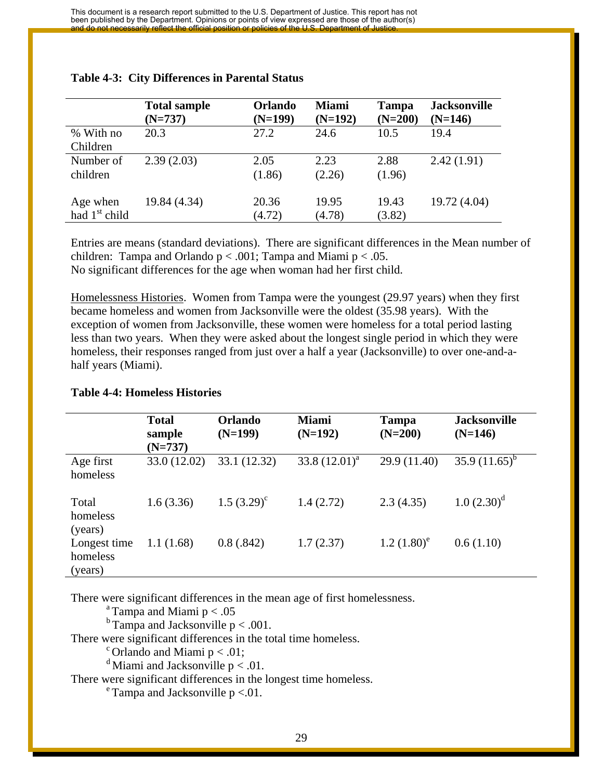|                             | <b>Total sample</b><br>$(N=737)$ | <b>Orlando</b><br>$(N=199)$ | <b>Miami</b><br>$(N=192)$ | <b>Tampa</b><br>$(N=200)$ | <b>Jacksonville</b><br>$(N=146)$ |
|-----------------------------|----------------------------------|-----------------------------|---------------------------|---------------------------|----------------------------------|
| % With no                   | 20.3                             | 27.2                        | 24.6                      | 10.5                      | 19.4                             |
| Children                    |                                  |                             |                           |                           |                                  |
| Number of<br>children       | 2.39(2.03)                       | 2.05<br>(1.86)              | 2.23<br>(2.26)            | 2.88<br>(1.96)            | 2.42(1.91)                       |
| Age when<br>had $1st$ child | 19.84 (4.34)                     | 20.36<br>(4.72)             | 19.95<br>(4.78)           | 19.43<br>(3.82)           | 19.72 (4.04)                     |

## **Table 4-3: City Differences in Parental Status**

Entries are means (standard deviations). There are significant differences in the Mean number of children: Tampa and Orlando  $p < .001$ ; Tampa and Miami  $p < .05$ . No significant differences for the age when woman had her first child.

Homelessness Histories. Women from Tampa were the youngest (29.97 years) when they first became homeless and women from Jacksonville were the oldest (35.98 years). With the exception of women from Jacksonville, these women were homeless for a total period lasting less than two years. When they were asked about the longest single period in which they were homeless, their responses ranged from just over a half a year (Jacksonville) to over one-and-ahalf years (Miami).

|                                     | <b>Total</b><br>sample<br>$(N=737)$ | <b>Orlando</b><br>$(N=199)$ | <b>Miami</b><br>$(N=192)$ | Tampa<br>$(N=200)$          | <b>Jacksonville</b><br>$(N=146)$ |
|-------------------------------------|-------------------------------------|-----------------------------|---------------------------|-----------------------------|----------------------------------|
| Age first<br>homeless               | 33.0 (12.02)                        | 33.1 (12.32)                | 33.8 $(12.01)^a$          | 29.9 (11.40)                | 35.9 $(11.65)^b$                 |
| Total<br>homeless<br>(years)        | 1.6(3.36)                           | $1.5(3.29)^c$               | 1.4(2.72)                 | 2.3(4.35)                   | $1.0 (2.30)^d$                   |
| Longest time<br>homeless<br>(years) | 1.1(1.68)                           | 0.8(.842)                   | 1.7(2.37)                 | $1.2$ $(1.80)$ <sup>e</sup> | 0.6(1.10)                        |

#### **Table 4-4: Homeless Histories**

There were significant differences in the mean age of first homelessness.<br><sup>a</sup> Tampa and Miami  $p < .05$ 

 $<sup>b</sup>$  Tampa and Jacksonville p < .001.</sup>

There were significant differences in the total time homeless.<br><sup>c</sup> Orlando and Miami  $p < .01$ ;

<sup>d</sup> Miami and Jacksonville  $p < .01$ .

There were significant differences in the longest time homeless.<br>  $\degree$ Tampa and Jacksonville p <.01.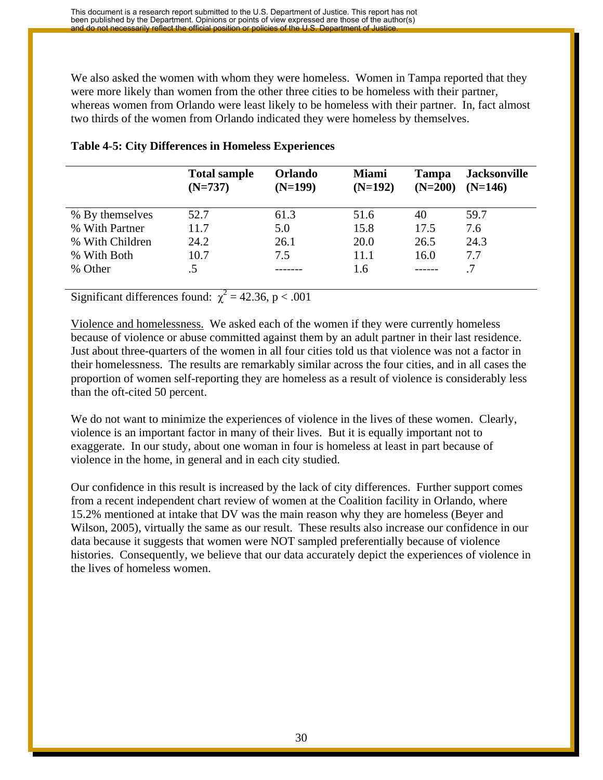We also asked the women with whom they were homeless. Women in Tampa reported that they were more likely than women from the other three cities to be homeless with their partner, whereas women from Orlando were least likely to be homeless with their partner. In, fact almost two thirds of the women from Orlando indicated they were homeless by themselves.

|                 | <b>Total sample</b><br>$(N=737)$ | <b>Orlando</b><br>$(N=199)$ | <b>Miami</b><br>$(N=192)$ | <b>Tampa</b><br>$(N=200)$ | <b>Jacksonville</b><br>$(N=146)$ |
|-----------------|----------------------------------|-----------------------------|---------------------------|---------------------------|----------------------------------|
| % By themselves | 52.7                             | 61.3                        | 51.6                      | 40                        | 59.7                             |
| % With Partner  | 11.7                             | 5.0                         | 15.8                      | 17.5                      | 7.6                              |
| % With Children | 24.2                             | 26.1                        | 20.0                      | 26.5                      | 24.3                             |
| % With Both     | 10.7                             | 7.5                         | 11.1                      | 16.0                      | 7.7                              |
| % Other         | $.5\,$                           |                             | 1.6                       |                           |                                  |

## **Table 4-5: City Differences in Homeless Experiences**

Significant differences found:  $\chi^2 = 42.36$ , p < .001

Violence and homelessness. We asked each of the women if they were currently homeless because of violence or abuse committed against them by an adult partner in their last residence. Just about three-quarters of the women in all four cities told us that violence was not a factor in their homelessness. The results are remarkably similar across the four cities, and in all cases the proportion of women self-reporting they are homeless as a result of violence is considerably less than the oft-cited 50 percent.

We do not want to minimize the experiences of violence in the lives of these women. Clearly, violence is an important factor in many of their lives. But it is equally important not to exaggerate. In our study, about one woman in four is homeless at least in part because of violence in the home, in general and in each city studied.

Our confidence in this result is increased by the lack of city differences. Further support comes from a recent independent chart review of women at the Coalition facility in Orlando, where 15.2% mentioned at intake that DV was the main reason why they are homeless (Beyer and Wilson, 2005), virtually the same as our result. These results also increase our confidence in our data because it suggests that women were NOT sampled preferentially because of violence histories. Consequently, we believe that our data accurately depict the experiences of violence in the lives of homeless women.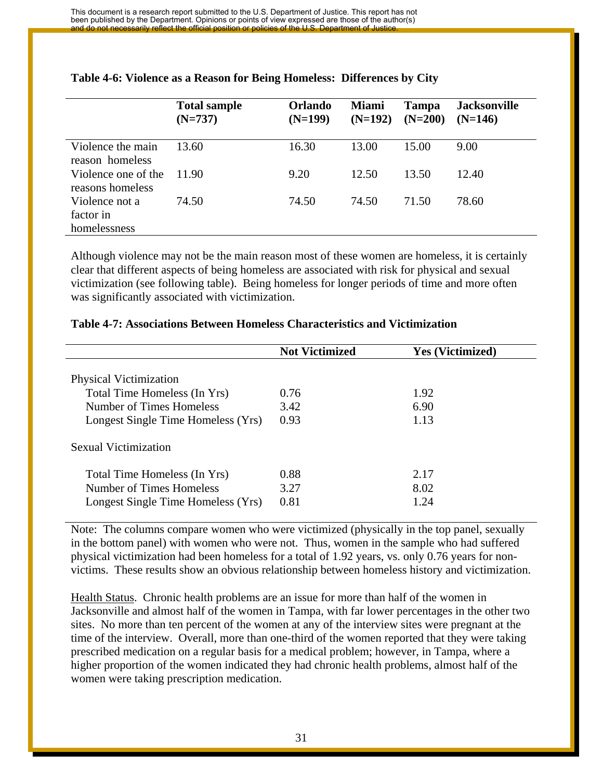This document is a research report submitted to the U.S. Department of Justice. This report has not been published by the Department. Opinions or points of view expressed are those of the author(s) and do not necessarily reflect the official position or policies of the U.S. Department of Justice.

|                                             | <b>Total sample</b><br>$(N=737)$ | <b>Orlando</b><br>$(N=199)$ | <b>Miami</b><br>$(N=192)$ | <b>Tampa</b><br>$(N=200)$ | <b>Jacksonville</b><br>$(N=146)$ |
|---------------------------------------------|----------------------------------|-----------------------------|---------------------------|---------------------------|----------------------------------|
| Violence the main<br>reason homeless        | 13.60                            | 16.30                       | 13.00                     | 15.00                     | 9.00                             |
| Violence one of the<br>reasons homeless     | 11.90                            | 9.20                        | 12.50                     | 13.50                     | 12.40                            |
| Violence not a<br>factor in<br>homelessness | 74.50                            | 74.50                       | 74.50                     | 71.50                     | 78.60                            |

### **Table 4-6: Violence as a Reason for Being Homeless: Differences by City**

Although violence may not be the main reason most of these women are homeless, it is certainly clear that different aspects of being homeless are associated with risk for physical and sexual victimization (see following table). Being homeless for longer periods of time and more often was significantly associated with victimization.

|                                    | <b>Not Victimized</b> | <b>Yes (Victimized)</b> |  |
|------------------------------------|-----------------------|-------------------------|--|
|                                    |                       |                         |  |
| <b>Physical Victimization</b>      |                       |                         |  |
| Total Time Homeless (In Yrs)       | 0.76                  | 1.92                    |  |
| Number of Times Homeless           | 3.42                  | 6.90                    |  |
| Longest Single Time Homeless (Yrs) | 0.93                  | 1.13                    |  |
| Sexual Victimization               |                       |                         |  |
| Total Time Homeless (In Yrs)       | 0.88                  | 2.17                    |  |
| Number of Times Homeless           | 3.27                  | 8.02                    |  |
| Longest Single Time Homeless (Yrs) | 0.81                  | 1.24                    |  |

#### **Table 4-7: Associations Between Homeless Characteristics and Victimization**

Note: The columns compare women who were victimized (physically in the top panel, sexually in the bottom panel) with women who were not. Thus, women in the sample who had suffered physical victimization had been homeless for a total of 1.92 years, vs. only 0.76 years for nonvictims. These results show an obvious relationship between homeless history and victimization.

Health Status. Chronic health problems are an issue for more than half of the women in Jacksonville and almost half of the women in Tampa, with far lower percentages in the other two sites. No more than ten percent of the women at any of the interview sites were pregnant at the time of the interview. Overall, more than one-third of the women reported that they were taking prescribed medication on a regular basis for a medical problem; however, in Tampa, where a higher proportion of the women indicated they had chronic health problems, almost half of the women were taking prescription medication.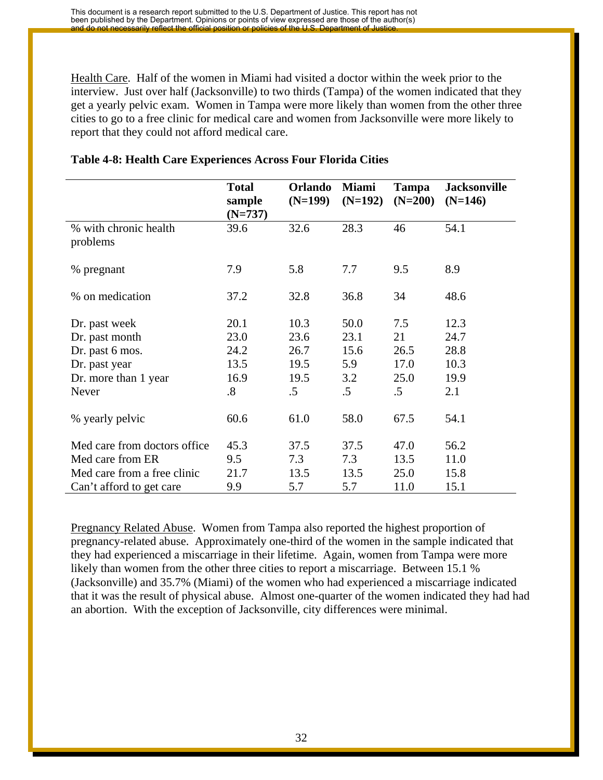Health Care. Half of the women in Miami had visited a doctor within the week prior to the interview. Just over half (Jacksonville) to two thirds (Tampa) of the women indicated that they get a yearly pelvic exam. Women in Tampa were more likely than women from the other three cities to go to a free clinic for medical care and women from Jacksonville were more likely to report that they could not afford medical care.

|                               | <b>Total</b>      | Orlando   | <b>Miami</b> | <b>Tampa</b> | <b>Jacksonville</b> |
|-------------------------------|-------------------|-----------|--------------|--------------|---------------------|
|                               | sample            | $(N=199)$ | $(N=192)$    | $(N=200)$    | $(N=146)$           |
|                               | $(N=737)$         |           |              |              |                     |
| % with chronic health         | 39.6              | 32.6      | 28.3         | 46           | 54.1                |
| problems                      |                   |           |              |              |                     |
|                               |                   |           |              |              |                     |
| % pregnant                    | 7.9               | 5.8       | 7.7          | 9.5          | 8.9                 |
|                               |                   |           |              |              |                     |
| % on medication               | 37.2              | 32.8      | 36.8         | 34           | 48.6                |
|                               |                   |           |              |              |                     |
| Dr. past week                 | 20.1              | 10.3      | 50.0         | 7.5          | 12.3                |
| Dr. past month                | 23.0              | 23.6      | 23.1         | 21           | 24.7                |
| Dr. past 6 mos.               | 24.2              | 26.7      | 15.6         | 26.5         | 28.8                |
| Dr. past year                 | 13.5              | 19.5      | 5.9          | 17.0         | 10.3                |
| Dr. more than 1 year          | 16.9              | 19.5      | 3.2          | 25.0         | 19.9                |
| Never                         | $\boldsymbol{.8}$ | .5        | .5           | $.5\,$       | 2.1                 |
|                               |                   |           |              |              |                     |
| % yearly pelvic               | 60.6              | 61.0      | 58.0         | 67.5         | 54.1                |
|                               |                   |           |              |              |                     |
| Med care from doctors office. | 45.3              | 37.5      | 37.5         | 47.0         | 56.2                |
| Med care from ER              | 9.5               | 7.3       | 7.3          | 13.5         | 11.0                |
| Med care from a free clinic   | 21.7              | 13.5      | 13.5         | 25.0         | 15.8                |
| Can't afford to get care      | 9.9               | 5.7       | 5.7          | 11.0         | 15.1                |

## **Table 4-8: Health Care Experiences Across Four Florida Cities**

Pregnancy Related Abuse. Women from Tampa also reported the highest proportion of pregnancy-related abuse. Approximately one-third of the women in the sample indicated that they had experienced a miscarriage in their lifetime. Again, women from Tampa were more likely than women from the other three cities to report a miscarriage. Between 15.1 % (Jacksonville) and 35.7% (Miami) of the women who had experienced a miscarriage indicated that it was the result of physical abuse. Almost one-quarter of the women indicated they had had an abortion. With the exception of Jacksonville, city differences were minimal.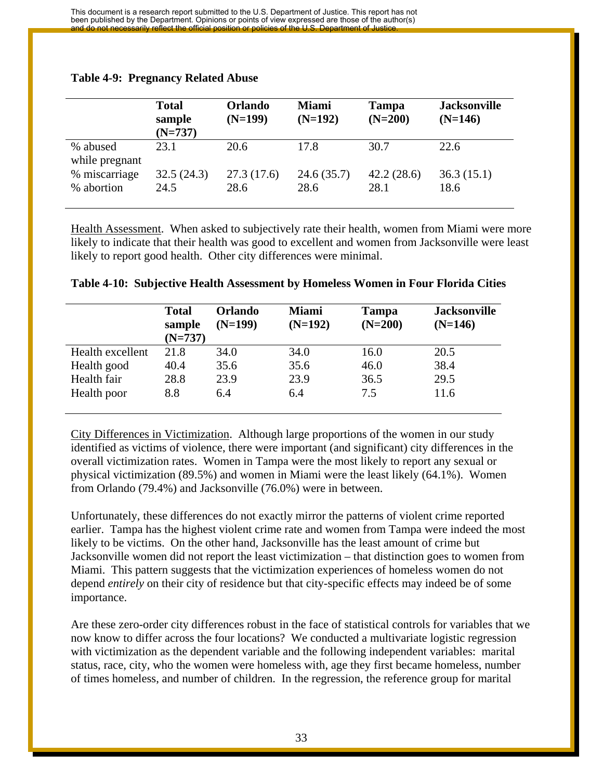|                             | <b>Total</b><br>sample<br>$(N=737)$ | Orlando<br>$(N=199)$ | <b>Miami</b><br>$(N=192)$ | <b>Tampa</b><br>$(N=200)$ | <b>Jacksonville</b><br>$(N=146)$ |
|-----------------------------|-------------------------------------|----------------------|---------------------------|---------------------------|----------------------------------|
| % abused<br>while pregnant  | 23.1                                | 20.6                 | 17.8                      | 30.7                      | 22.6                             |
| % miscarriage<br>% abortion | 32.5(24.3)<br>24.5                  | 27.3(17.6)<br>28.6   | 24.6(35.7)<br>28.6        | 42.2(28.6)<br>28.1        | 36.3(15.1)<br>18.6               |

## **Table 4-9: Pregnancy Related Abuse**

Health Assessment. When asked to subjectively rate their health, women from Miami were more likely to indicate that their health was good to excellent and women from Jacksonville were least likely to report good health. Other city differences were minimal.

|                  | <b>Total</b><br>sample<br>$(N=737)$ | <b>Orlando</b><br>$(N=199)$ | <b>Miami</b><br>$(N=192)$ | <b>Tampa</b><br>$(N=200)$ | <b>Jacksonville</b><br>$(N=146)$ |
|------------------|-------------------------------------|-----------------------------|---------------------------|---------------------------|----------------------------------|
| Health excellent | 21.8                                | 34.0                        | 34.0                      | 16.0                      | 20.5                             |
| Health good      | 40.4                                | 35.6                        | 35.6                      | 46.0                      | 38.4                             |
| Health fair      | 28.8                                | 23.9                        | 23.9                      | 36.5                      | 29.5                             |
| Health poor      | 8.8                                 | 6.4                         | 6.4                       | 7.5                       | 11.6                             |

|  |  |  |  |  | Table 4-10: Subjective Health Assessment by Homeless Women in Four Florida Cities |  |
|--|--|--|--|--|-----------------------------------------------------------------------------------|--|
|--|--|--|--|--|-----------------------------------------------------------------------------------|--|

City Differences in Victimization. Although large proportions of the women in our study identified as victims of violence, there were important (and significant) city differences in the overall victimization rates. Women in Tampa were the most likely to report any sexual or physical victimization (89.5%) and women in Miami were the least likely (64.1%). Women from Orlando (79.4%) and Jacksonville (76.0%) were in between.

Unfortunately, these differences do not exactly mirror the patterns of violent crime reported earlier. Tampa has the highest violent crime rate and women from Tampa were indeed the most likely to be victims. On the other hand, Jacksonville has the least amount of crime but Jacksonville women did not report the least victimization – that distinction goes to women from Miami. This pattern suggests that the victimization experiences of homeless women do not depend *entirely* on their city of residence but that city-specific effects may indeed be of some importance.

Are these zero-order city differences robust in the face of statistical controls for variables that we now know to differ across the four locations? We conducted a multivariate logistic regression with victimization as the dependent variable and the following independent variables: marital status, race, city, who the women were homeless with, age they first became homeless, number of times homeless, and number of children. In the regression, the reference group for marital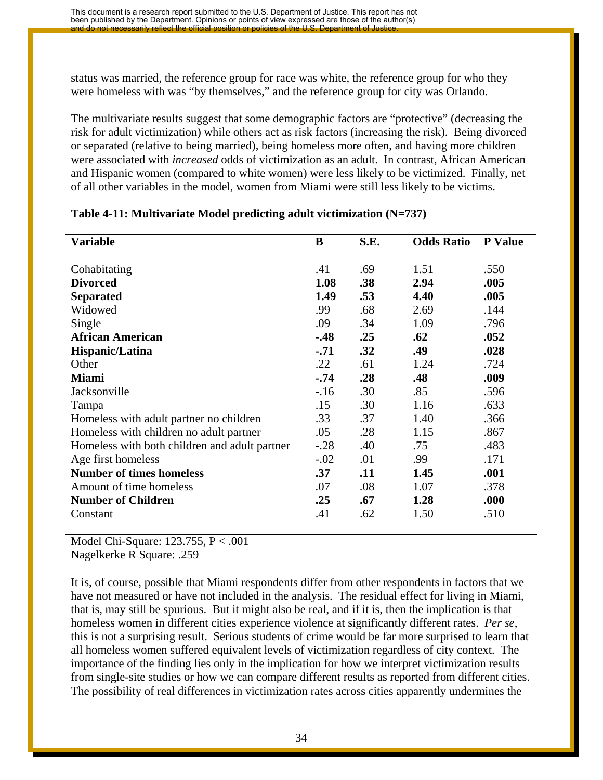status was married, the reference group for race was white, the reference group for who they were homeless with was "by themselves," and the reference group for city was Orlando.

The multivariate results suggest that some demographic factors are "protective" (decreasing the risk for adult victimization) while others act as risk factors (increasing the risk). Being divorced or separated (relative to being married), being homeless more often, and having more children were associated with *increased* odds of victimization as an adult. In contrast, African American and Hispanic women (compared to white women) were less likely to be victimized. Finally, net of all other variables in the model, women from Miami were still less likely to be victims.

| <b>Variable</b>                               | B      | S.E. | <b>Odds Ratio</b> | <b>P</b> Value |
|-----------------------------------------------|--------|------|-------------------|----------------|
| Cohabitating                                  | .41    | .69  | 1.51              | .550           |
| <b>Divorced</b>                               | 1.08   | .38  | 2.94              | .005           |
| <b>Separated</b>                              | 1.49   | .53  | 4.40              | .005           |
| Widowed                                       | .99    | .68  | 2.69              | .144           |
| Single                                        | .09    | .34  | 1.09              | .796           |
| <b>African American</b>                       | $-48$  | .25  | .62               | .052           |
| Hispanic/Latina                               | $-71$  | .32  | .49               | .028           |
| Other                                         | .22    | .61  | 1.24              | .724           |
| <b>Miami</b>                                  | $-.74$ | .28  | .48               | .009           |
| Jacksonville                                  | $-16$  | .30  | .85               | .596           |
| Tampa                                         | .15    | .30  | 1.16              | .633           |
| Homeless with a dult partner no children      | .33    | .37  | 1.40              | .366           |
| Homeless with children no adult partner       | .05    | .28  | 1.15              | .867           |
| Homeless with both children and adult partner | $-.28$ | .40  | .75               | .483           |
| Age first homeless                            | $-.02$ | .01  | .99               | .171           |
| <b>Number of times homeless</b>               | .37    | .11  | 1.45              | .001           |
| Amount of time homeless                       | .07    | .08  | 1.07              | .378           |
| <b>Number of Children</b>                     | .25    | .67  | 1.28              | .000           |
| Constant                                      | .41    | .62  | 1.50              | .510           |

| Table 4-11: Multivariate Model predicting adult victimization $(N=737)$ |  |
|-------------------------------------------------------------------------|--|
|                                                                         |  |

Model Chi-Square: 123.755, P < .001 Nagelkerke R Square: .259

It is, of course, possible that Miami respondents differ from other respondents in factors that we have not measured or have not included in the analysis. The residual effect for living in Miami, that is, may still be spurious. But it might also be real, and if it is, then the implication is that homeless women in different cities experience violence at significantly different rates. *Per se*, this is not a surprising result. Serious students of crime would be far more surprised to learn that all homeless women suffered equivalent levels of victimization regardless of city context. The importance of the finding lies only in the implication for how we interpret victimization results from single-site studies or how we can compare different results as reported from different cities. The possibility of real differences in victimization rates across cities apparently undermines the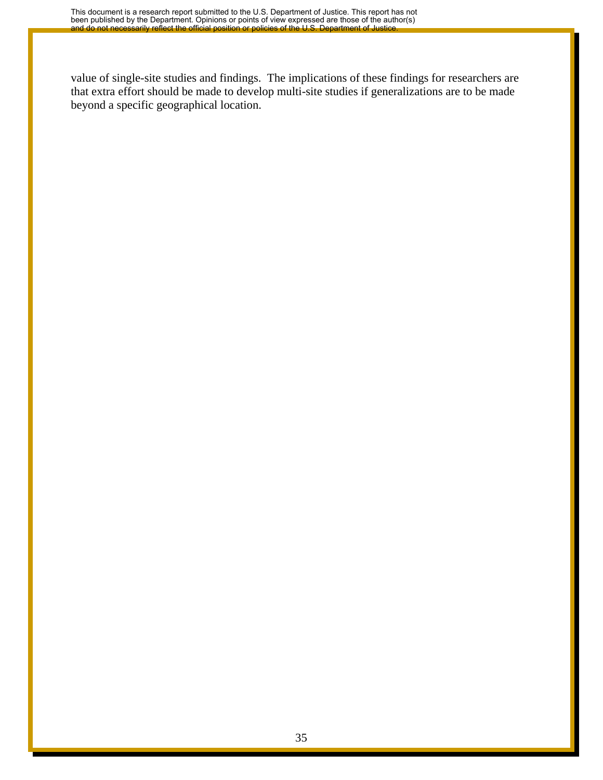value of single-site studies and findings. The implications of these findings for researchers are that extra effort should be made to develop multi-site studies if generalizations are to be made beyond a specific geographical location.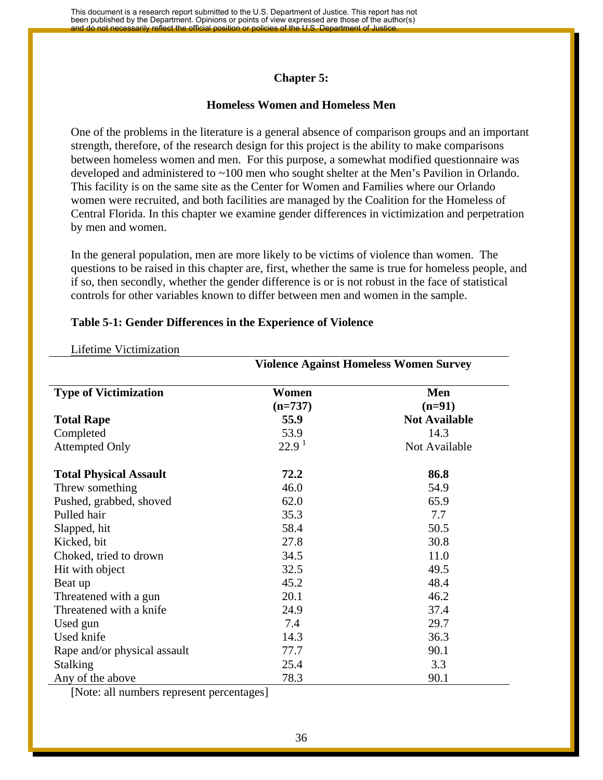## **Chapter 5:**

#### **Homeless Women and Homeless Men**

One of the problems in the literature is a general absence of comparison groups and an important strength, therefore, of the research design for this project is the ability to make comparisons between homeless women and men. For this purpose, a somewhat modified questionnaire was developed and administered to ~100 men who sought shelter at the Men's Pavilion in Orlando. This facility is on the same site as the Center for Women and Families where our Orlando women were recruited, and both facilities are managed by the Coalition for the Homeless of Central Florida. In this chapter we examine gender differences in victimization and perpetration by men and women.

In the general population, men are more likely to be victims of violence than women. The questions to be raised in this chapter are, first, whether the same is true for homeless people, and if so, then secondly, whether the gender difference is or is not robust in the face of statistical controls for other variables known to differ between men and women in the sample.

| Lifetime Victimization        |                                               |                      |  |
|-------------------------------|-----------------------------------------------|----------------------|--|
|                               | <b>Violence Against Homeless Women Survey</b> |                      |  |
| <b>Type of Victimization</b>  | Women<br>$(n=737)$                            | Men<br>$(n=91)$      |  |
| <b>Total Rape</b>             | 55.9                                          | <b>Not Available</b> |  |
| Completed                     | 53.9                                          | 14.3                 |  |
| <b>Attempted Only</b>         | 22.9 <sup>1</sup>                             | Not Available        |  |
| <b>Total Physical Assault</b> | 72.2                                          | 86.8                 |  |
| Threw something               | 46.0                                          | 54.9                 |  |
| Pushed, grabbed, shoved       | 62.0                                          | 65.9                 |  |
| Pulled hair                   | 35.3                                          | 7.7                  |  |
| Slapped, hit                  | 58.4                                          | 50.5                 |  |
| Kicked, bit                   | 27.8                                          | 30.8                 |  |
| Choked, tried to drown        | 34.5                                          | 11.0                 |  |
| Hit with object               | 32.5                                          | 49.5                 |  |
| Beat up                       | 45.2                                          | 48.4                 |  |
| Threatened with a gun         | 20.1                                          | 46.2                 |  |
| Threatened with a knife       | 24.9                                          | 37.4                 |  |
| Used gun                      | 7.4                                           | 29.7                 |  |
| Used knife                    | 14.3                                          | 36.3                 |  |
| Rape and/or physical assault  | 77.7                                          | 90.1                 |  |
| <b>Stalking</b>               | 25.4                                          | 3.3                  |  |
| Any of the above              | 78.3                                          | 90.1                 |  |

#### **Table 5-1: Gender Differences in the Experience of Violence**

[Note: all numbers represent percentages]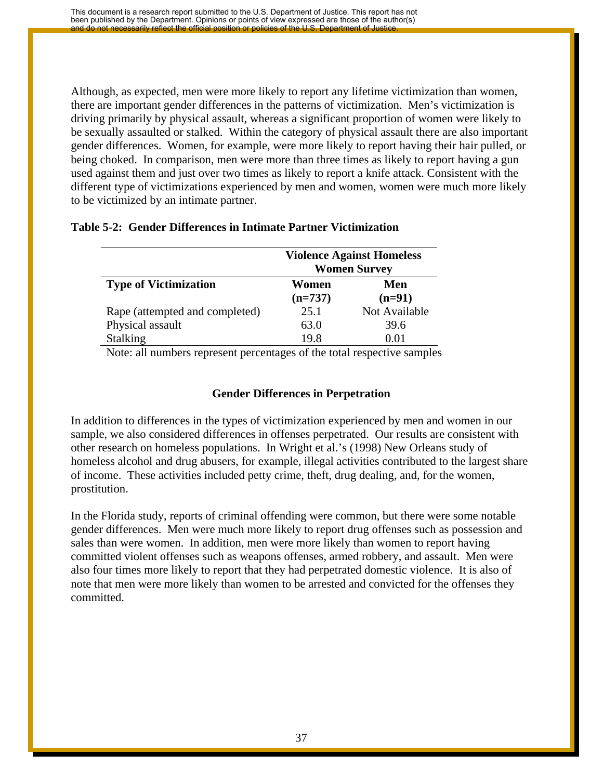This document is a research report submitted to the U.S. Department of Justice. This report has not been published by the Department. Opinions or points of view expressed are those of the author(s) and do not necessarily reflect the official position or policies of the U.S. Department of Justice. sarily reflect the official position or policies of the U.S. Department of Justic

Although, as expected, men were more likely to report any lifetime victimization than women, there are important gender differences in the patterns of victimization. Men's victimization is driving primarily by physical assault, whereas a significant proportion of women were likely to be sexually assaulted or stalked. Within the category of physical assault there are also important gender differences. Women, for example, were more likely to report having their hair pulled, or being choked. In comparison, men were more than three times as likely to report having a gun used against them and just over two times as likely to report a knife attack. Consistent with the different type of victimizations experienced by men and women, women were much more likely to be victimized by an intimate partner.

|                                | <b>Violence Against Homeless</b><br><b>Women Survey</b> |                 |  |
|--------------------------------|---------------------------------------------------------|-----------------|--|
| <b>Type of Victimization</b>   | Women<br>$(n=737)$                                      | Men<br>$(n=91)$ |  |
| Rape (attempted and completed) | 25.1                                                    | Not Available   |  |
| Physical assault               | 63.0                                                    | 39.6            |  |
| <b>Stalking</b>                | 19.8                                                    | 0.01            |  |

#### **Table 5-2: Gender Differences in Intimate Partner Victimization**

Note: all numbers represent percentages of the total respective samples

## **Gender Differences in Perpetration**

In addition to differences in the types of victimization experienced by men and women in our sample, we also considered differences in offenses perpetrated. Our results are consistent with other research on homeless populations. In Wright et al.'s (1998) New Orleans study of homeless alcohol and drug abusers, for example, illegal activities contributed to the largest share of income. These activities included petty crime, theft, drug dealing, and, for the women, prostitution.

In the Florida study, reports of criminal offending were common, but there were some notable gender differences. Men were much more likely to report drug offenses such as possession and sales than were women. In addition, men were more likely than women to report having committed violent offenses such as weapons offenses, armed robbery, and assault. Men were also four times more likely to report that they had perpetrated domestic violence. It is also of note that men were more likely than women to be arrested and convicted for the offenses they committed.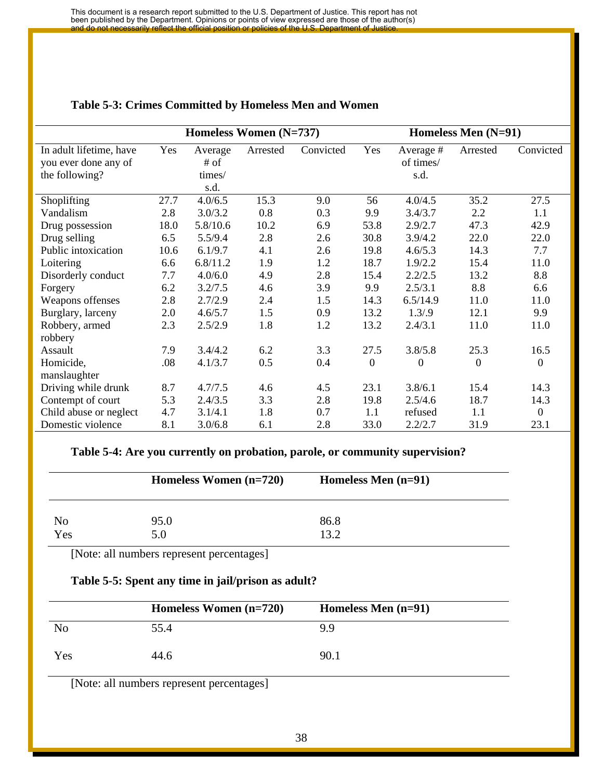|                                                                   | Homeless Women (N=737) |                                     |          | Homeless Men (N=91) |                |                                |                  |                  |
|-------------------------------------------------------------------|------------------------|-------------------------------------|----------|---------------------|----------------|--------------------------------|------------------|------------------|
| In adult lifetime, have<br>you ever done any of<br>the following? | Yes                    | Average<br>$#$ of<br>times/<br>s.d. | Arrested | Convicted           | Yes            | Average #<br>of times/<br>s.d. | Arrested         | Convicted        |
| Shoplifting                                                       | 27.7                   | 4.0/6.5                             | 15.3     | 9.0                 | 56             | 4.0/4.5                        | 35.2             | 27.5             |
| Vandalism                                                         | 2.8                    | 3.0/3.2                             | 0.8      | 0.3                 | 9.9            | 3.4/3.7                        | 2.2              | 1.1              |
| Drug possession                                                   | 18.0                   | 5.8/10.6                            | 10.2     | 6.9                 | 53.8           | 2.9/2.7                        | 47.3             | 42.9             |
| Drug selling                                                      | 6.5                    | 5.5/9.4                             | 2.8      | 2.6                 | 30.8           | 3.9/4.2                        | 22.0             | 22.0             |
| Public intoxication                                               | 10.6                   | 6.1/9.7                             | 4.1      | 2.6                 | 19.8           | 4.6/5.3                        | 14.3             | 7.7              |
| Loitering                                                         | 6.6                    | 6.8/11.2                            | 1.9      | 1.2                 | 18.7           | 1.9/2.2                        | 15.4             | 11.0             |
| Disorderly conduct                                                | 7.7                    | 4.0/6.0                             | 4.9      | 2.8                 | 15.4           | 2.2/2.5                        | 13.2             | 8.8              |
| Forgery                                                           | 6.2                    | 3.2/7.5                             | 4.6      | 3.9                 | 9.9            | 2.5/3.1                        | 8.8              | 6.6              |
| Weapons offenses                                                  | 2.8                    | 2.7/2.9                             | 2.4      | 1.5                 | 14.3           | 6.5/14.9                       | 11.0             | 11.0             |
| Burglary, larceny                                                 | 2.0                    | 4.6/5.7                             | 1.5      | 0.9                 | 13.2           | 1.3/9                          | 12.1             | 9.9              |
| Robbery, armed                                                    | 2.3                    | 2.5/2.9                             | 1.8      | 1.2                 | 13.2           | 2.4/3.1                        | 11.0             | 11.0             |
| robbery                                                           |                        |                                     |          |                     |                |                                |                  |                  |
| Assault                                                           | 7.9                    | 3.4/4.2                             | 6.2      | 3.3                 | 27.5           | 3.8/5.8                        | 25.3             | 16.5             |
| Homicide,                                                         | .08                    | 4.1/3.7                             | 0.5      | 0.4                 | $\overline{0}$ | $\boldsymbol{0}$               | $\boldsymbol{0}$ | $\boldsymbol{0}$ |
| manslaughter                                                      |                        |                                     |          |                     |                |                                |                  |                  |
| Driving while drunk                                               | 8.7                    | 4.7/7.5                             | 4.6      | 4.5                 | 23.1           | 3.8/6.1                        | 15.4             | 14.3             |
| Contempt of court                                                 | 5.3                    | 2.4/3.5                             | 3.3      | 2.8                 | 19.8           | 2.5/4.6                        | 18.7             | 14.3             |
| Child abuse or neglect                                            | 4.7                    | 3.1/4.1                             | 1.8      | 0.7                 | 1.1            | refused                        | 1.1              | $\mathbf{0}$     |
| Domestic violence                                                 | 8.1                    | 3.0/6.8                             | 6.1      | 2.8                 | 33.0           | 2.2/2.7                        | 31.9             | 23.1             |

# **Table 5-3: Crimes Committed by Homeless Men and Women**

# **Table 5-4: Are you currently on probation, parole, or community supervision?**

|     | Homeless Women $(n=720)$ | Homeless Men $(n=91)$ |  |
|-----|--------------------------|-----------------------|--|
| No  | 95.0                     | 86.8                  |  |
| Yes | 5.0                      | 13.2                  |  |

[Note: all numbers represent percentages]

# **Table 5-5: Spent any time in jail/prison as adult?**

|                | Homeless Women $(n=720)$ | Homeless Men $(n=91)$ |
|----------------|--------------------------|-----------------------|
| N <sub>o</sub> | 55.4                     | 9.9                   |
| Yes            | 44.6                     | 90.1                  |

[Note: all numbers represent percentages]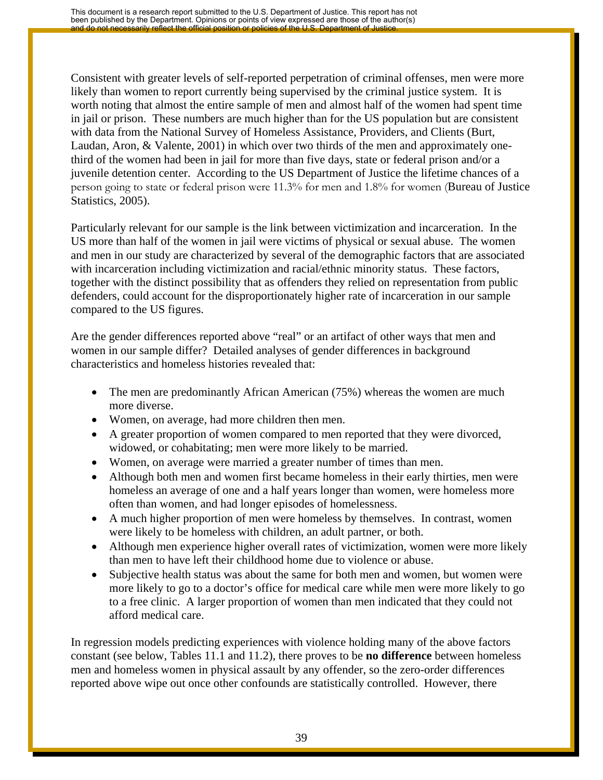Consistent with greater levels of self-reported perpetration of criminal offenses, men were more likely than women to report currently being supervised by the criminal justice system. It is worth noting that almost the entire sample of men and almost half of the women had spent time in jail or prison. These numbers are much higher than for the US population but are consistent with data from the National Survey of Homeless Assistance, Providers, and Clients (Burt, Laudan, Aron, & Valente, 2001) in which over two thirds of the men and approximately onethird of the women had been in jail for more than five days, state or federal prison and/or a juvenile detention center. According to the US Department of Justice the lifetime chances of a person going to state or federal prison were 11.3% for men and 1.8% for women (Bureau of Justice Statistics, 2005).

Particularly relevant for our sample is the link between victimization and incarceration. In the US more than half of the women in jail were victims of physical or sexual abuse. The women and men in our study are characterized by several of the demographic factors that are associated with incarceration including victimization and racial/ethnic minority status. These factors, together with the distinct possibility that as offenders they relied on representation from public defenders, could account for the disproportionately higher rate of incarceration in our sample compared to the US figures.

Are the gender differences reported above "real" or an artifact of other ways that men and women in our sample differ? Detailed analyses of gender differences in background characteristics and homeless histories revealed that:

- The men are predominantly African American (75%) whereas the women are much more diverse.
- Women, on average, had more children then men.
- A greater proportion of women compared to men reported that they were divorced, widowed, or cohabitating; men were more likely to be married.
- Women, on average were married a greater number of times than men.
- Although both men and women first became homeless in their early thirties, men were homeless an average of one and a half years longer than women, were homeless more often than women, and had longer episodes of homelessness.
- A much higher proportion of men were homeless by themselves. In contrast, women were likely to be homeless with children, an adult partner, or both.
- Although men experience higher overall rates of victimization, women were more likely than men to have left their childhood home due to violence or abuse.
- Subjective health status was about the same for both men and women, but women were more likely to go to a doctor's office for medical care while men were more likely to go to a free clinic. A larger proportion of women than men indicated that they could not afford medical care.

In regression models predicting experiences with violence holding many of the above factors constant (see below, Tables 11.1 and 11.2), there proves to be **no difference** between homeless men and homeless women in physical assault by any offender, so the zero-order differences reported above wipe out once other confounds are statistically controlled. However, there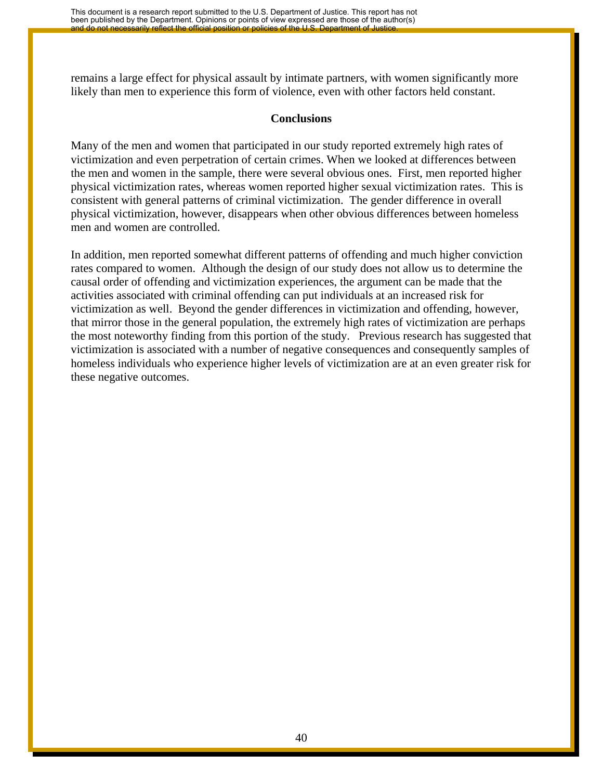remains a large effect for physical assault by intimate partners, with women significantly more likely than men to experience this form of violence, even with other factors held constant.

#### **Conclusions**

Many of the men and women that participated in our study reported extremely high rates of victimization and even perpetration of certain crimes. When we looked at differences between the men and women in the sample, there were several obvious ones. First, men reported higher physical victimization rates, whereas women reported higher sexual victimization rates. This is consistent with general patterns of criminal victimization. The gender difference in overall physical victimization, however, disappears when other obvious differences between homeless men and women are controlled.

In addition, men reported somewhat different patterns of offending and much higher conviction rates compared to women. Although the design of our study does not allow us to determine the causal order of offending and victimization experiences, the argument can be made that the activities associated with criminal offending can put individuals at an increased risk for victimization as well. Beyond the gender differences in victimization and offending, however, that mirror those in the general population, the extremely high rates of victimization are perhaps the most noteworthy finding from this portion of the study. Previous research has suggested that victimization is associated with a number of negative consequences and consequently samples of homeless individuals who experience higher levels of victimization are at an even greater risk for these negative outcomes.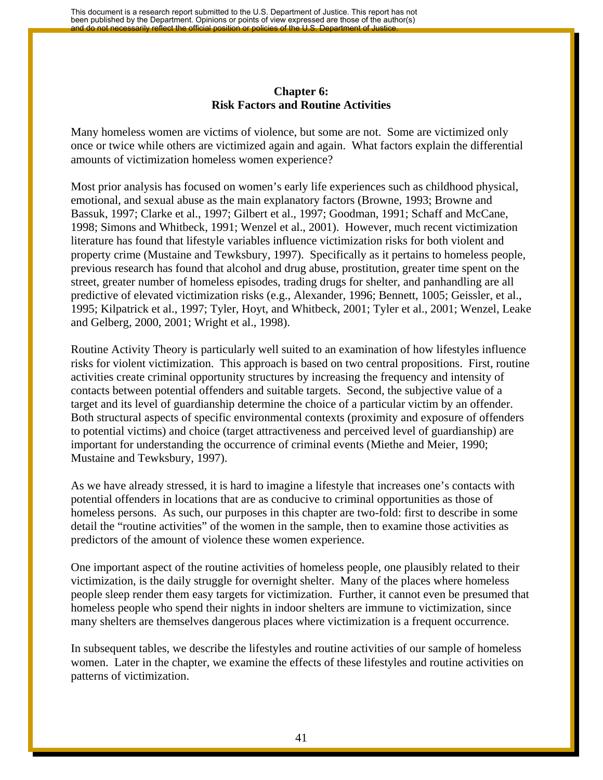## **Chapter 6: Risk Factors and Routine Activities**

Many homeless women are victims of violence, but some are not. Some are victimized only once or twice while others are victimized again and again. What factors explain the differential amounts of victimization homeless women experience?

Most prior analysis has focused on women's early life experiences such as childhood physical, emotional, and sexual abuse as the main explanatory factors (Browne, 1993; Browne and Bassuk, 1997; Clarke et al., 1997; Gilbert et al., 1997; Goodman, 1991; Schaff and McCane, 1998; Simons and Whitbeck, 1991; Wenzel et al., 2001). However, much recent victimization literature has found that lifestyle variables influence victimization risks for both violent and property crime (Mustaine and Tewksbury, 1997). Specifically as it pertains to homeless people, previous research has found that alcohol and drug abuse, prostitution, greater time spent on the street, greater number of homeless episodes, trading drugs for shelter, and panhandling are all predictive of elevated victimization risks (e.g., Alexander, 1996; Bennett, 1005; Geissler, et al., 1995; Kilpatrick et al., 1997; Tyler, Hoyt, and Whitbeck, 2001; Tyler et al., 2001; Wenzel, Leake and Gelberg, 2000, 2001; Wright et al., 1998).

Routine Activity Theory is particularly well suited to an examination of how lifestyles influence risks for violent victimization. This approach is based on two central propositions. First, routine activities create criminal opportunity structures by increasing the frequency and intensity of contacts between potential offenders and suitable targets. Second, the subjective value of a target and its level of guardianship determine the choice of a particular victim by an offender. Both structural aspects of specific environmental contexts (proximity and exposure of offenders to potential victims) and choice (target attractiveness and perceived level of guardianship) are important for understanding the occurrence of criminal events (Miethe and Meier, 1990; Mustaine and Tewksbury, 1997).

As we have already stressed, it is hard to imagine a lifestyle that increases one's contacts with potential offenders in locations that are as conducive to criminal opportunities as those of homeless persons. As such, our purposes in this chapter are two-fold: first to describe in some detail the "routine activities" of the women in the sample, then to examine those activities as predictors of the amount of violence these women experience.

One important aspect of the routine activities of homeless people, one plausibly related to their victimization, is the daily struggle for overnight shelter. Many of the places where homeless people sleep render them easy targets for victimization. Further, it cannot even be presumed that homeless people who spend their nights in indoor shelters are immune to victimization, since many shelters are themselves dangerous places where victimization is a frequent occurrence.

In subsequent tables, we describe the lifestyles and routine activities of our sample of homeless women. Later in the chapter, we examine the effects of these lifestyles and routine activities on patterns of victimization.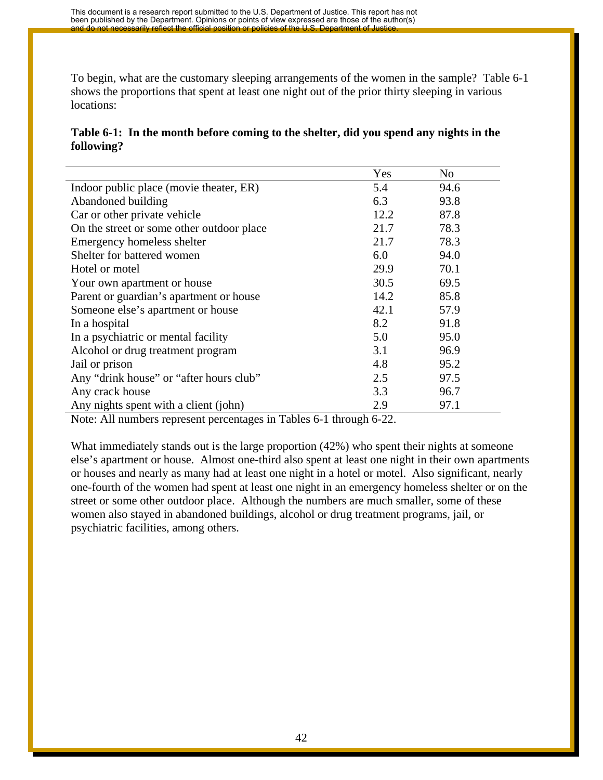To begin, what are the customary sleeping arrangements of the women in the sample? Table 6-1 shows the proportions that spent at least one night out of the prior thirty sleeping in various locations:

|            | Table 6-1: In the month before coming to the shelter, did you spend any nights in the |  |
|------------|---------------------------------------------------------------------------------------|--|
| following? |                                                                                       |  |

|                                           | Yes  | N <sub>0</sub> |
|-------------------------------------------|------|----------------|
| Indoor public place (movie theater, ER)   | 5.4  | 94.6           |
| Abandoned building                        | 6.3  | 93.8           |
| Car or other private vehicle              | 12.2 | 87.8           |
| On the street or some other outdoor place | 21.7 | 78.3           |
| Emergency homeless shelter                | 21.7 | 78.3           |
| Shelter for battered women                | 6.0  | 94.0           |
| Hotel or motel                            | 29.9 | 70.1           |
| Your own apartment or house               | 30.5 | 69.5           |
| Parent or guardian's apartment or house   | 14.2 | 85.8           |
| Someone else's apartment or house         | 42.1 | 57.9           |
| In a hospital                             | 8.2  | 91.8           |
| In a psychiatric or mental facility       | 5.0  | 95.0           |
| Alcohol or drug treatment program         | 3.1  | 96.9           |
| Jail or prison                            | 4.8  | 95.2           |
| Any "drink house" or "after hours club"   | 2.5  | 97.5           |
| Any crack house                           | 3.3  | 96.7           |
| Any nights spent with a client (john)     | 2.9  | 97.1           |

Note: All numbers represent percentages in Tables 6-1 through 6-22.

What immediately stands out is the large proportion  $(42%)$  who spent their nights at someone else's apartment or house. Almost one-third also spent at least one night in their own apartments or houses and nearly as many had at least one night in a hotel or motel. Also significant, nearly one-fourth of the women had spent at least one night in an emergency homeless shelter or on the street or some other outdoor place. Although the numbers are much smaller, some of these women also stayed in abandoned buildings, alcohol or drug treatment programs, jail, or psychiatric facilities, among others.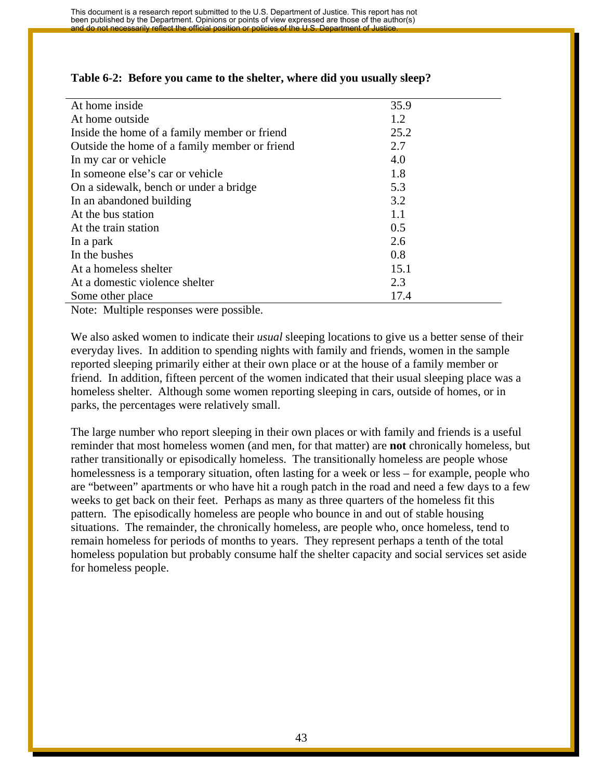| At home inside                                | 35.9 |  |
|-----------------------------------------------|------|--|
| At home outside                               | 1.2  |  |
| Inside the home of a family member or friend  | 25.2 |  |
| Outside the home of a family member or friend | 2.7  |  |
| In my car or vehicle                          | 4.0  |  |
| In someone else's car or vehicle              | 1.8  |  |
| On a sidewalk, bench or under a bridge        | 5.3  |  |
| In an abandoned building                      | 3.2  |  |
| At the bus station                            | 1.1  |  |
| At the train station                          | 0.5  |  |
| In a park                                     | 2.6  |  |
| In the bushes                                 | 0.8  |  |
| At a homeless shelter                         | 15.1 |  |
| At a domestic violence shelter                | 2.3  |  |
| Some other place                              | 17.4 |  |

## **Table 6-2: Before you came to the shelter, where did you usually sleep?**

Note: Multiple responses were possible.

We also asked women to indicate their *usual* sleeping locations to give us a better sense of their everyday lives. In addition to spending nights with family and friends, women in the sample reported sleeping primarily either at their own place or at the house of a family member or friend. In addition, fifteen percent of the women indicated that their usual sleeping place was a homeless shelter. Although some women reporting sleeping in cars, outside of homes, or in parks, the percentages were relatively small.

The large number who report sleeping in their own places or with family and friends is a useful reminder that most homeless women (and men, for that matter) are **not** chronically homeless, but rather transitionally or episodically homeless. The transitionally homeless are people whose homelessness is a temporary situation, often lasting for a week or less – for example, people who are "between" apartments or who have hit a rough patch in the road and need a few days to a few weeks to get back on their feet. Perhaps as many as three quarters of the homeless fit this pattern. The episodically homeless are people who bounce in and out of stable housing situations. The remainder, the chronically homeless, are people who, once homeless, tend to remain homeless for periods of months to years. They represent perhaps a tenth of the total homeless population but probably consume half the shelter capacity and social services set aside for homeless people.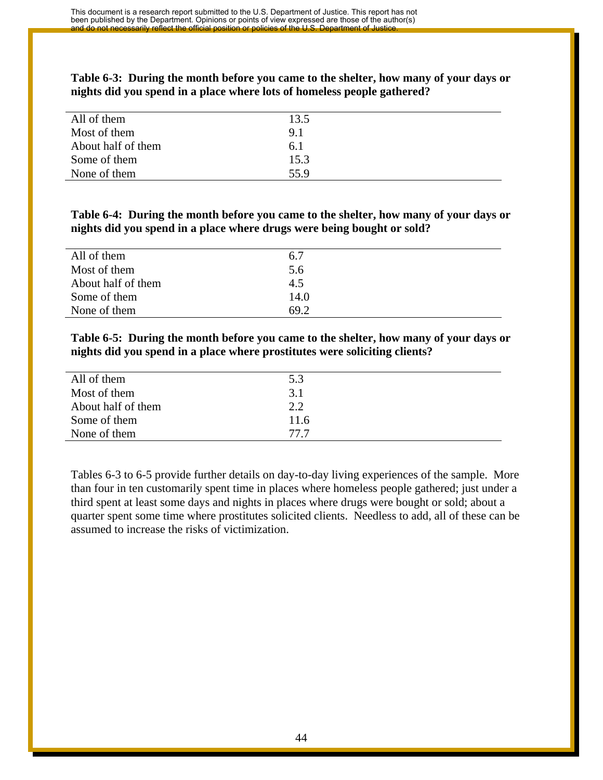**Table 6-3: During the month before you came to the shelter, how many of your days or nights did you spend in a place where lots of homeless people gathered?** 

| All of them        | 13.5 |
|--------------------|------|
| Most of them       | 9.1  |
| About half of them | 6.1  |
| Some of them       | 15.3 |
| None of them       | 55.9 |

**Table 6-4: During the month before you came to the shelter, how many of your days or nights did you spend in a place where drugs were being bought or sold?** 

| All of them        | 6.7  |
|--------------------|------|
| Most of them       | 5.6  |
| About half of them | 4.5  |
| Some of them       | 14.0 |
| None of them       | 69.2 |

**Table 6-5: During the month before you came to the shelter, how many of your days or nights did you spend in a place where prostitutes were soliciting clients?** 

| All of them        | 5.3  |
|--------------------|------|
| Most of them       | 3.1  |
| About half of them | 2.2  |
| Some of them       | 11.6 |
| None of them       | 77 7 |

Tables 6-3 to 6-5 provide further details on day-to-day living experiences of the sample. More than four in ten customarily spent time in places where homeless people gathered; just under a third spent at least some days and nights in places where drugs were bought or sold; about a quarter spent some time where prostitutes solicited clients. Needless to add, all of these can be assumed to increase the risks of victimization.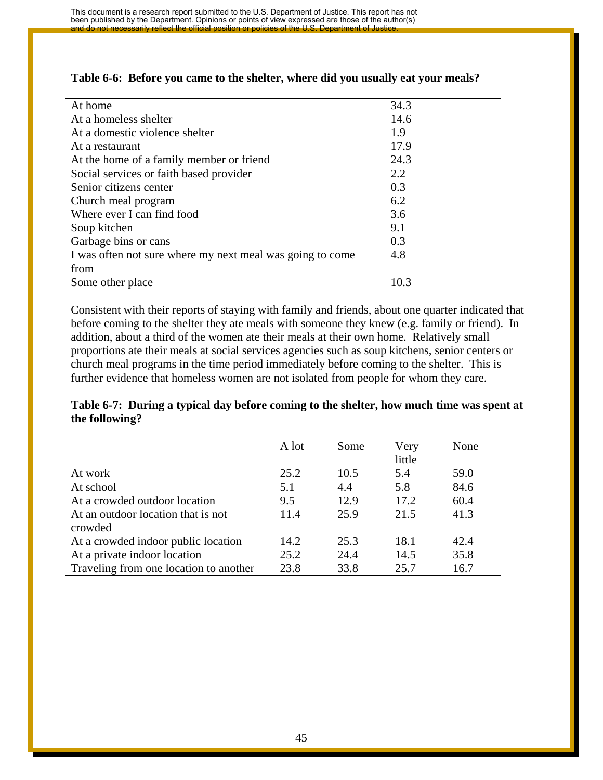| At home                                                   | 34.3 |
|-----------------------------------------------------------|------|
| At a homeless shelter                                     | 14.6 |
| At a domestic violence shelter                            | 1.9  |
| At a restaurant                                           | 17.9 |
| At the home of a family member or friend                  | 24.3 |
| Social services or faith based provider                   | 2.2  |
| Senior citizens center                                    | 0.3  |
| Church meal program                                       | 6.2  |
| Where ever I can find food                                | 3.6  |
| Soup kitchen                                              | 9.1  |
| Garbage bins or cans                                      | 0.3  |
| I was often not sure where my next meal was going to come | 4.8  |
| from                                                      |      |
| Some other place                                          | 10.3 |

## **Table 6-6: Before you came to the shelter, where did you usually eat your meals?**

Consistent with their reports of staying with family and friends, about one quarter indicated that before coming to the shelter they ate meals with someone they knew (e.g. family or friend). In addition, about a third of the women ate their meals at their own home. Relatively small proportions ate their meals at social services agencies such as soup kitchens, senior centers or church meal programs in the time period immediately before coming to the shelter. This is further evidence that homeless women are not isolated from people for whom they care.

## **Table 6-7: During a typical day before coming to the shelter, how much time was spent at the following?**

|                                        | A lot | Some | Very<br>little | None |
|----------------------------------------|-------|------|----------------|------|
| At work                                | 25.2  | 10.5 | 5.4            | 59.0 |
| At school                              | 5.1   | 4.4  | 5.8            | 84.6 |
| At a crowded outdoor location          | 9.5   | 12.9 | 17.2           | 60.4 |
| At an outdoor location that is not     | 11.4  | 25.9 | 21.5           | 41.3 |
| crowded                                |       |      |                |      |
| At a crowded indoor public location    | 14.2  | 25.3 | 18.1           | 42.4 |
| At a private indoor location           | 25.2  | 24.4 | 14.5           | 35.8 |
| Traveling from one location to another | 23.8  | 33.8 | 25.7           | 16.7 |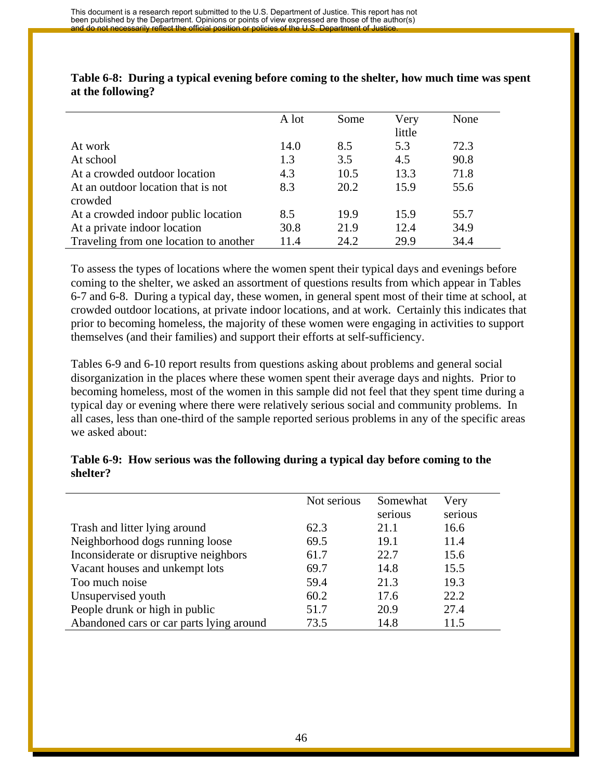|                                        | A lot | Some | Very   | None |
|----------------------------------------|-------|------|--------|------|
|                                        |       |      | little |      |
| At work                                | 14.0  | 8.5  | 5.3    | 72.3 |
| At school                              | 1.3   | 3.5  | 4.5    | 90.8 |
| At a crowded outdoor location          | 4.3   | 10.5 | 13.3   | 71.8 |
| At an outdoor location that is not     | 8.3   | 20.2 | 15.9   | 55.6 |
| crowded                                |       |      |        |      |
| At a crowded indoor public location    | 8.5   | 19.9 | 15.9   | 55.7 |
| At a private indoor location           | 30.8  | 21.9 | 12.4   | 34.9 |
| Traveling from one location to another | 11.4  | 24.2 | 29.9   | 34.4 |

# **Table 6-8: During a typical evening before coming to the shelter, how much time was spent at the following?**

This document is a research report submitted to the U.S. Department of Justice. This report has not been published by the Department. Opinions or points of view expressed are those of the author(s) and do not necessarily reflect the official position or policies of the U.S. Department of Justice.

arily reflect the official position or policies of the U.S. Department of Justic

To assess the types of locations where the women spent their typical days and evenings before coming to the shelter, we asked an assortment of questions results from which appear in Tables 6-7 and 6-8. During a typical day, these women, in general spent most of their time at school, at crowded outdoor locations, at private indoor locations, and at work. Certainly this indicates that prior to becoming homeless, the majority of these women were engaging in activities to support themselves (and their families) and support their efforts at self-sufficiency.

Tables 6-9 and 6-10 report results from questions asking about problems and general social disorganization in the places where these women spent their average days and nights. Prior to becoming homeless, most of the women in this sample did not feel that they spent time during a typical day or evening where there were relatively serious social and community problems. In all cases, less than one-third of the sample reported serious problems in any of the specific areas we asked about:

|                                          | Not serious | Somewhat | Very    |
|------------------------------------------|-------------|----------|---------|
|                                          |             | serious  | serious |
| Trash and litter lying around            | 62.3        | 21.1     | 16.6    |
| Neighborhood dogs running loose          | 69.5        | 19.1     | 11.4    |
| Inconsiderate or disruptive neighbors    | 61.7        | 22.7     | 15.6    |
| Vacant houses and unkempt lots           | 69.7        | 14.8     | 15.5    |
| Too much noise                           | 59.4        | 21.3     | 19.3    |
| Unsupervised youth                       | 60.2        | 17.6     | 22.2    |
| People drunk or high in public           | 51.7        | 20.9     | 27.4    |
| Abandoned cars or car parts lying around | 73.5        | 14.8     | 11.5    |

#### **Table 6-9: How serious was the following during a typical day before coming to the shelter?**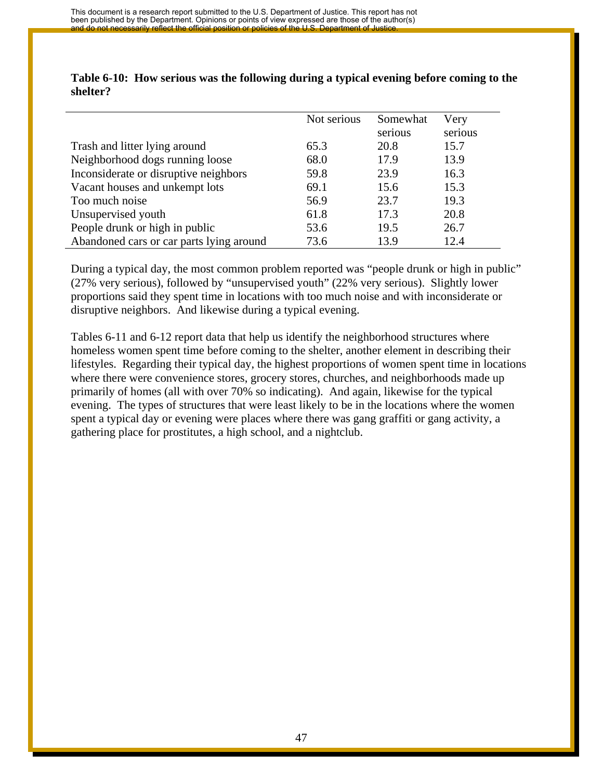|                                          | Not serious | Somewhat | Very    |
|------------------------------------------|-------------|----------|---------|
|                                          |             | serious  | serious |
| Trash and litter lying around            | 65.3        | 20.8     | 15.7    |
| Neighborhood dogs running loose          | 68.0        | 17.9     | 13.9    |
| Inconsiderate or disruptive neighbors    | 59.8        | 23.9     | 16.3    |
| Vacant houses and unkempt lots           | 69.1        | 15.6     | 15.3    |
| Too much noise                           | 56.9        | 23.7     | 19.3    |
| Unsupervised youth                       | 61.8        | 17.3     | 20.8    |
| People drunk or high in public           | 53.6        | 19.5     | 26.7    |
| Abandoned cars or car parts lying around | 73.6        | 13.9     | 12.4    |

# **Table 6-10: How serious was the following during a typical evening before coming to the shelter?**

During a typical day, the most common problem reported was "people drunk or high in public" (27% very serious), followed by "unsupervised youth" (22% very serious). Slightly lower proportions said they spent time in locations with too much noise and with inconsiderate or disruptive neighbors. And likewise during a typical evening.

Tables 6-11 and 6-12 report data that help us identify the neighborhood structures where homeless women spent time before coming to the shelter, another element in describing their lifestyles. Regarding their typical day, the highest proportions of women spent time in locations where there were convenience stores, grocery stores, churches, and neighborhoods made up primarily of homes (all with over 70% so indicating). And again, likewise for the typical evening. The types of structures that were least likely to be in the locations where the women spent a typical day or evening were places where there was gang graffiti or gang activity, a gathering place for prostitutes, a high school, and a nightclub.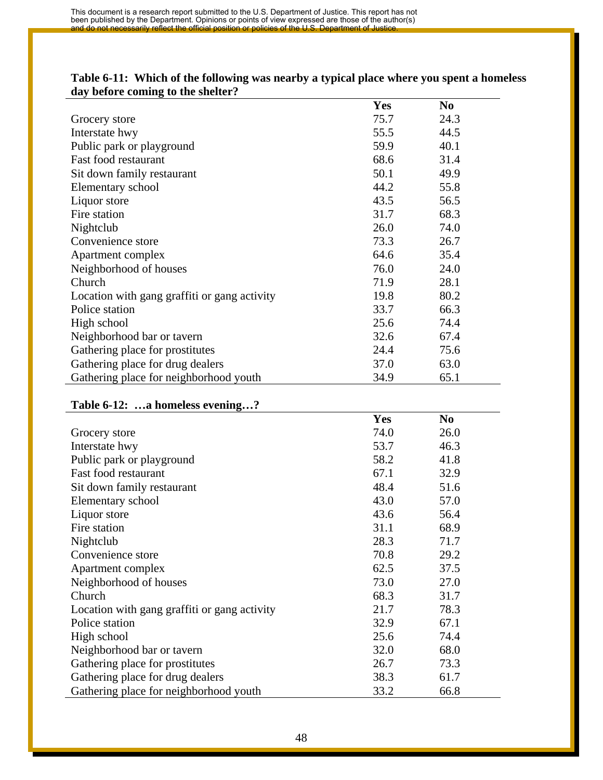|                                              | <b>Yes</b> | N <sub>0</sub> |  |
|----------------------------------------------|------------|----------------|--|
| Grocery store                                | 75.7       | 24.3           |  |
| Interstate hwy                               | 55.5       | 44.5           |  |
| Public park or playground                    | 59.9       | 40.1           |  |
| Fast food restaurant                         | 68.6       | 31.4           |  |
| Sit down family restaurant                   | 50.1       | 49.9           |  |
| Elementary school                            | 44.2       | 55.8           |  |
| Liquor store                                 | 43.5       | 56.5           |  |
| Fire station                                 | 31.7       | 68.3           |  |
| Nightclub                                    | 26.0       | 74.0           |  |
| Convenience store                            | 73.3       | 26.7           |  |
| Apartment complex                            | 64.6       | 35.4           |  |
| Neighborhood of houses                       | 76.0       | 24.0           |  |
| Church                                       | 71.9       | 28.1           |  |
| Location with gang graffiti or gang activity | 19.8       | 80.2           |  |
| Police station                               | 33.7       | 66.3           |  |
| High school                                  | 25.6       | 74.4           |  |
| Neighborhood bar or tavern                   | 32.6       | 67.4           |  |
| Gathering place for prostitutes              | 24.4       | 75.6           |  |
| Gathering place for drug dealers             | 37.0       | 63.0           |  |
| Gathering place for neighborhood youth       | 34.9       | 65.1           |  |

# **Table 6-11: Which of the following was nearby a typical place where you spent a homeless day before coming to the shelter?**

# **Table 6-12: …a homeless evening…?**

|                                              | Yes  | N <sub>0</sub> |  |
|----------------------------------------------|------|----------------|--|
| Grocery store                                | 74.0 | 26.0           |  |
| Interstate hwy                               | 53.7 | 46.3           |  |
| Public park or playground                    | 58.2 | 41.8           |  |
| Fast food restaurant                         | 67.1 | 32.9           |  |
| Sit down family restaurant                   | 48.4 | 51.6           |  |
| Elementary school                            | 43.0 | 57.0           |  |
| Liquor store                                 | 43.6 | 56.4           |  |
| Fire station                                 | 31.1 | 68.9           |  |
| Nightclub                                    | 28.3 | 71.7           |  |
| Convenience store                            | 70.8 | 29.2           |  |
| Apartment complex                            | 62.5 | 37.5           |  |
| Neighborhood of houses                       | 73.0 | 27.0           |  |
| Church                                       | 68.3 | 31.7           |  |
| Location with gang graffiti or gang activity | 21.7 | 78.3           |  |
| Police station                               | 32.9 | 67.1           |  |
| High school                                  | 25.6 | 74.4           |  |
| Neighborhood bar or tavern                   | 32.0 | 68.0           |  |
| Gathering place for prostitutes              | 26.7 | 73.3           |  |
| Gathering place for drug dealers             | 38.3 | 61.7           |  |
| Gathering place for neighborhood youth       | 33.2 | 66.8           |  |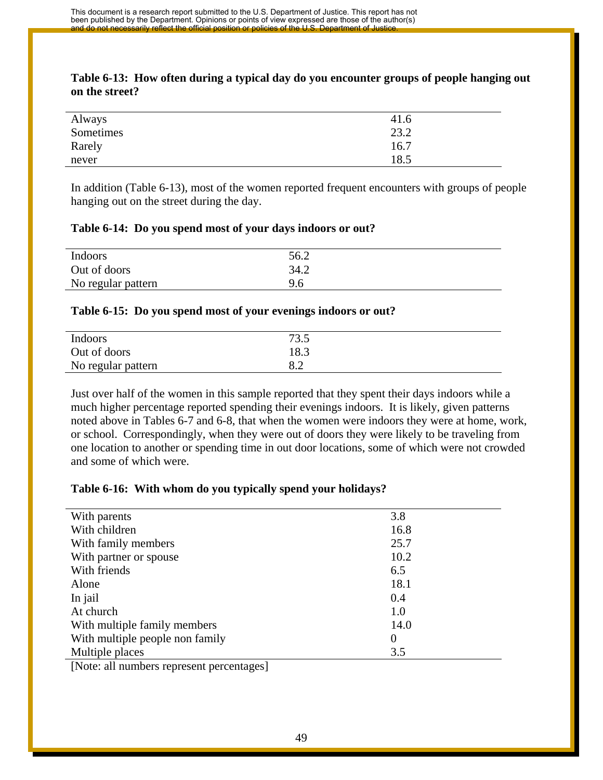## **Table 6-13: How often during a typical day do you encounter groups of people hanging out on the street?**

| Always    | 41.6 |
|-----------|------|
| Sometimes | 23.2 |
| Rarely    | 16.7 |
| never     | 18.5 |

In addition (Table 6-13), most of the women reported frequent encounters with groups of people hanging out on the street during the day.

#### **Table 6-14: Do you spend most of your days indoors or out?**

| Indoors            | 56.2 |
|--------------------|------|
| Out of doors       | 34.2 |
| No regular pattern | 9.6  |

#### **Table 6-15: Do you spend most of your evenings indoors or out?**

| Indoors            | 73.5 |
|--------------------|------|
| Out of doors       | 18.3 |
| No regular pattern |      |

Just over half of the women in this sample reported that they spent their days indoors while a much higher percentage reported spending their evenings indoors. It is likely, given patterns noted above in Tables 6-7 and 6-8, that when the women were indoors they were at home, work, or school. Correspondingly, when they were out of doors they were likely to be traveling from one location to another or spending time in out door locations, some of which were not crowded and some of which were.

#### **Table 6-16: With whom do you typically spend your holidays?**

| With parents                              | 3.8      |
|-------------------------------------------|----------|
| With children                             | 16.8     |
| With family members                       | 25.7     |
| With partner or spouse                    | 10.2     |
| With friends                              | 6.5      |
| Alone                                     | 18.1     |
| In jail                                   | 0.4      |
| At church                                 | 1.0      |
| With multiple family members              | 14.0     |
| With multiple people non family           | $\Omega$ |
| Multiple places                           | 3.5      |
| $[Noto: all numbers measurement process]$ |          |

[Note: all numbers represent percentages]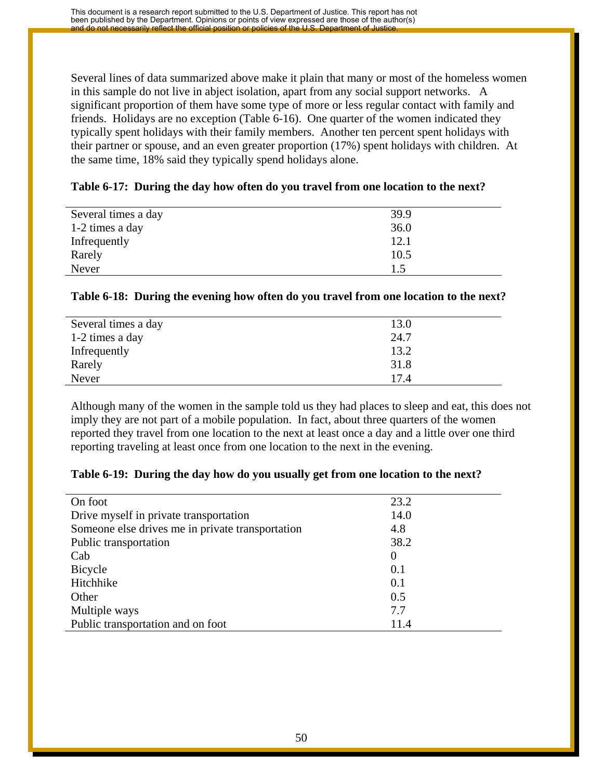This document is a research report submitted to the U.S. Department of Justice. This report has not been published by the Department. Opinions or points of view expressed are those of the author(s) and do not necessarily reflect the official position or policies of the U.S. Department of Justice.

Several lines of data summarized above make it plain that many or most of the homeless women in this sample do not live in abject isolation, apart from any social support networks. A significant proportion of them have some type of more or less regular contact with family and friends. Holidays are no exception (Table 6-16). One quarter of the women indicated they typically spent holidays with their family members. Another ten percent spent holidays with their partner or spouse, and an even greater proportion (17%) spent holidays with children. At the same time, 18% said they typically spend holidays alone.

| Table 6-17: During the day how often do you travel from one location to the next? |  |  |  |  |  |  |
|-----------------------------------------------------------------------------------|--|--|--|--|--|--|
|                                                                                   |  |  |  |  |  |  |

| Several times a day | 39.9 |  |
|---------------------|------|--|
| 1-2 times a day     | 36.0 |  |
| Infrequently        | 12.1 |  |
| Rarely              | 10.5 |  |
| Never               | 15   |  |
|                     |      |  |

## **Table 6-18: During the evening how often do you travel from one location to the next?**

| Several times a day | 13.0 |
|---------------------|------|
| 1-2 times a day     | 24.7 |
| Infrequently        | 13.2 |
| Rarely              | 31.8 |
| Never               | 17.4 |

Although many of the women in the sample told us they had places to sleep and eat, this does not imply they are not part of a mobile population. In fact, about three quarters of the women reported they travel from one location to the next at least once a day and a little over one third reporting traveling at least once from one location to the next in the evening.

## **Table 6-19: During the day how do you usually get from one location to the next?**

| On foot                                          | 23.2     |
|--------------------------------------------------|----------|
| Drive myself in private transportation           | 14.0     |
| Someone else drives me in private transportation | 4.8      |
| Public transportation                            | 38.2     |
| Cab                                              | $\theta$ |
| Bicycle                                          | 0.1      |
| Hitchhike                                        | 0.1      |
| Other                                            | 0.5      |
| Multiple ways                                    | 7.7      |
| Public transportation and on foot                | 11.4     |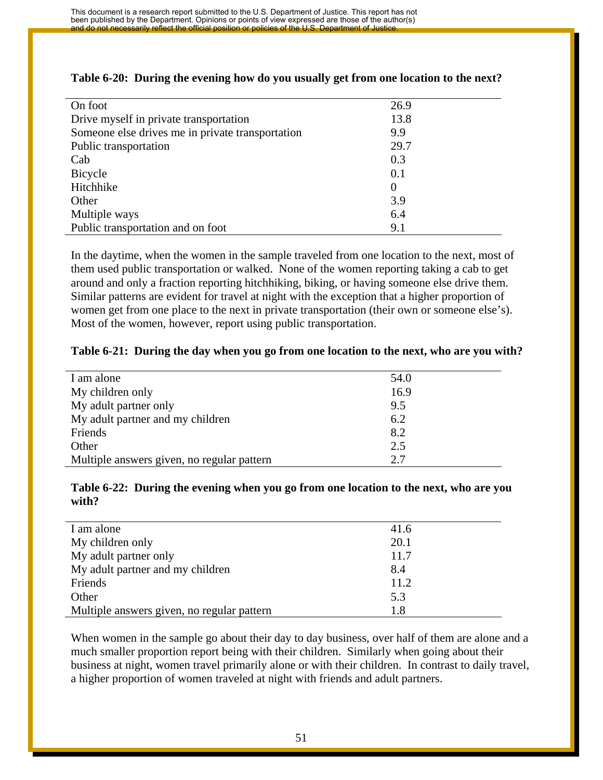This document is a research report submitted to the U.S. Department of Justice. This report has not been published by the Department. Opinions or points of view expressed are those of the author(s) and do not necessarily reflect the official position or policies of the U.S. Department of Justice. sarily reflect the official position or policies of the U.S. Department of Justic

| On foot                                          | 26.9 |
|--------------------------------------------------|------|
| Drive myself in private transportation           | 13.8 |
| Someone else drives me in private transportation | 9.9  |
| Public transportation                            | 29.7 |
| Cab                                              | 0.3  |
| Bicycle                                          | 0.1  |
| Hitchhike                                        | 0    |
| Other                                            | 3.9  |
| Multiple ways                                    | 6.4  |
| Public transportation and on foot                | 9.1  |

## **Table 6-20: During the evening how do you usually get from one location to the next?**

In the daytime, when the women in the sample traveled from one location to the next, most of them used public transportation or walked. None of the women reporting taking a cab to get around and only a fraction reporting hitchhiking, biking, or having someone else drive them. Similar patterns are evident for travel at night with the exception that a higher proportion of women get from one place to the next in private transportation (their own or someone else's). Most of the women, however, report using public transportation.

#### **Table 6-21: During the day when you go from one location to the next, who are you with?**

| I am alone                                 | 54.0 |
|--------------------------------------------|------|
| My children only                           | 16.9 |
| My adult partner only                      | 9.5  |
| My adult partner and my children           | 6.2  |
| Friends                                    | 8.2  |
| Other                                      | 2.5  |
| Multiple answers given, no regular pattern | 2.7  |
|                                            |      |

## **Table 6-22: During the evening when you go from one location to the next, who are you with?**

| I am alone                                 | 41.6 |
|--------------------------------------------|------|
| My children only                           | 20.1 |
| My adult partner only                      | 11.7 |
| My adult partner and my children           | 8.4  |
| Friends                                    | 11.2 |
| Other                                      | 5.3  |
| Multiple answers given, no regular pattern | 1.8  |

When women in the sample go about their day to day business, over half of them are alone and a much smaller proportion report being with their children. Similarly when going about their business at night, women travel primarily alone or with their children. In contrast to daily travel, a higher proportion of women traveled at night with friends and adult partners.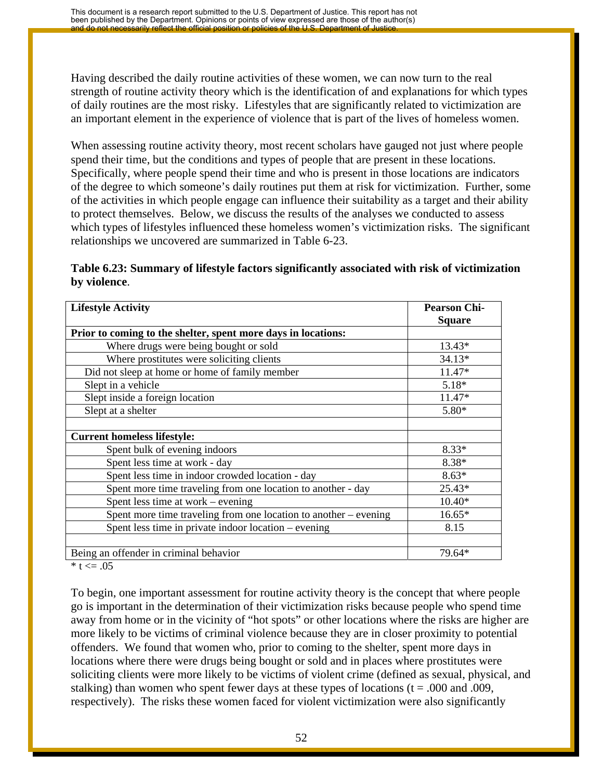Having described the daily routine activities of these women, we can now turn to the real strength of routine activity theory which is the identification of and explanations for which types of daily routines are the most risky. Lifestyles that are significantly related to victimization are an important element in the experience of violence that is part of the lives of homeless women.

When assessing routine activity theory, most recent scholars have gauged not just where people spend their time, but the conditions and types of people that are present in these locations. Specifically, where people spend their time and who is present in those locations are indicators of the degree to which someone's daily routines put them at risk for victimization. Further, some of the activities in which people engage can influence their suitability as a target and their ability to protect themselves. Below, we discuss the results of the analyses we conducted to assess which types of lifestyles influenced these homeless women's victimization risks. The significant relationships we uncovered are summarized in Table 6-23.

**Table 6.23: Summary of lifestyle factors significantly associated with risk of victimization by violence**.

| <b>Lifestyle Activity</b>                                          | <b>Pearson Chi-</b><br><b>Square</b> |
|--------------------------------------------------------------------|--------------------------------------|
| Prior to coming to the shelter, spent more days in locations:      |                                      |
| Where drugs were being bought or sold                              | 13.43*                               |
| Where prostitutes were soliciting clients                          | 34.13*                               |
| Did not sleep at home or home of family member                     | $11.47*$                             |
| Slept in a vehicle                                                 | $5.18*$                              |
| Slept inside a foreign location                                    | $11.47*$                             |
| Slept at a shelter                                                 | 5.80*                                |
|                                                                    |                                      |
| <b>Current homeless lifestyle:</b>                                 |                                      |
| Spent bulk of evening indoors                                      | $8.33*$                              |
| Spent less time at work - day                                      | $8.38*$                              |
| Spent less time in indoor crowded location - day                   | $8.63*$                              |
| Spent more time traveling from one location to another - day       | $25.43*$                             |
| Spent less time at work $-$ evening                                | $10.40*$                             |
| Spent more time traveling from one location to another $-$ evening | $16.65*$                             |
| Spent less time in private indoor location – evening               | 8.15                                 |
|                                                                    |                                      |
| Being an offender in criminal behavior                             | 79.64*                               |

\* t  $\leq$  0.5

To begin, one important assessment for routine activity theory is the concept that where people go is important in the determination of their victimization risks because people who spend time away from home or in the vicinity of "hot spots" or other locations where the risks are higher are more likely to be victims of criminal violence because they are in closer proximity to potential offenders. We found that women who, prior to coming to the shelter, spent more days in locations where there were drugs being bought or sold and in places where prostitutes were soliciting clients were more likely to be victims of violent crime (defined as sexual, physical, and stalking) than women who spent fewer days at these types of locations ( $t = .000$  and .009, respectively). The risks these women faced for violent victimization were also significantly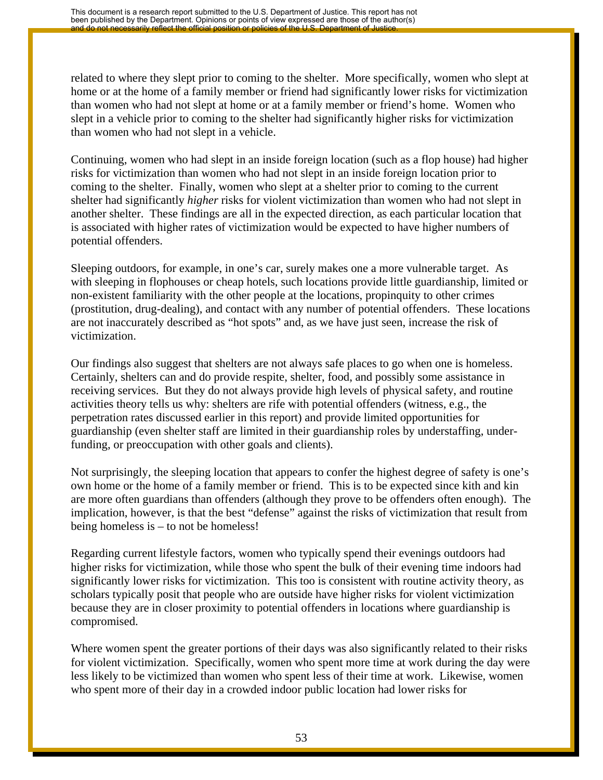related to where they slept prior to coming to the shelter. More specifically, women who slept at home or at the home of a family member or friend had significantly lower risks for victimization than women who had not slept at home or at a family member or friend's home. Women who slept in a vehicle prior to coming to the shelter had significantly higher risks for victimization than women who had not slept in a vehicle.

Continuing, women who had slept in an inside foreign location (such as a flop house) had higher risks for victimization than women who had not slept in an inside foreign location prior to coming to the shelter. Finally, women who slept at a shelter prior to coming to the current shelter had significantly *higher* risks for violent victimization than women who had not slept in another shelter. These findings are all in the expected direction, as each particular location that is associated with higher rates of victimization would be expected to have higher numbers of potential offenders.

Sleeping outdoors, for example, in one's car, surely makes one a more vulnerable target. As with sleeping in flophouses or cheap hotels, such locations provide little guardianship, limited or non-existent familiarity with the other people at the locations, propinquity to other crimes (prostitution, drug-dealing), and contact with any number of potential offenders. These locations are not inaccurately described as "hot spots" and, as we have just seen, increase the risk of victimization.

Our findings also suggest that shelters are not always safe places to go when one is homeless. Certainly, shelters can and do provide respite, shelter, food, and possibly some assistance in receiving services. But they do not always provide high levels of physical safety, and routine activities theory tells us why: shelters are rife with potential offenders (witness, e.g., the perpetration rates discussed earlier in this report) and provide limited opportunities for guardianship (even shelter staff are limited in their guardianship roles by understaffing, underfunding, or preoccupation with other goals and clients).

Not surprisingly, the sleeping location that appears to confer the highest degree of safety is one's own home or the home of a family member or friend. This is to be expected since kith and kin are more often guardians than offenders (although they prove to be offenders often enough). The implication, however, is that the best "defense" against the risks of victimization that result from being homeless is – to not be homeless!

Regarding current lifestyle factors, women who typically spend their evenings outdoors had higher risks for victimization, while those who spent the bulk of their evening time indoors had significantly lower risks for victimization. This too is consistent with routine activity theory, as scholars typically posit that people who are outside have higher risks for violent victimization because they are in closer proximity to potential offenders in locations where guardianship is compromised.

Where women spent the greater portions of their days was also significantly related to their risks for violent victimization. Specifically, women who spent more time at work during the day were less likely to be victimized than women who spent less of their time at work. Likewise, women who spent more of their day in a crowded indoor public location had lower risks for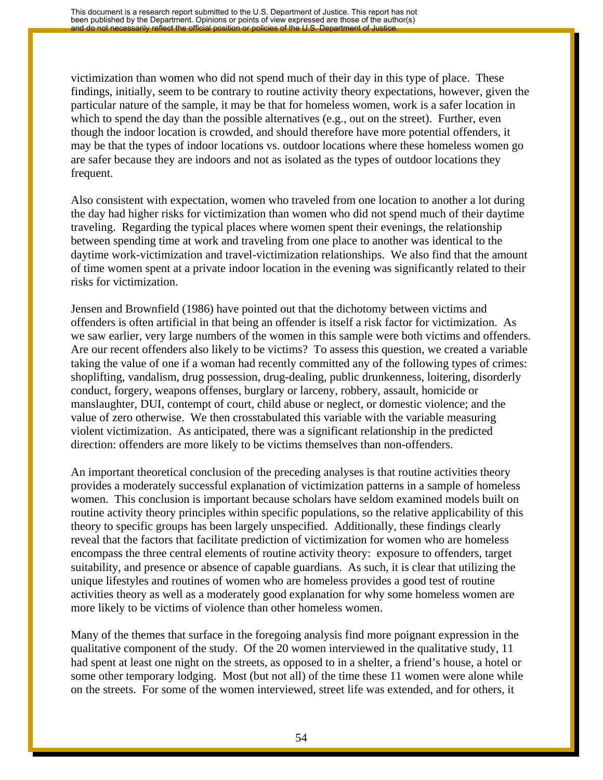This document is a research report submitted to the U.S. Department of Justice. This report has not been published by the Department. Opinions or points of view expressed are those of the author(s) and do not necessarily reflect the official position or policies of the U.S. Department of Justice. sarily reflect the official position or policies of the U.S. Department of Justic

victimization than women who did not spend much of their day in this type of place. These findings, initially, seem to be contrary to routine activity theory expectations, however, given the particular nature of the sample, it may be that for homeless women, work is a safer location in which to spend the day than the possible alternatives (e.g., out on the street). Further, even though the indoor location is crowded, and should therefore have more potential offenders, it may be that the types of indoor locations vs. outdoor locations where these homeless women go are safer because they are indoors and not as isolated as the types of outdoor locations they frequent.

Also consistent with expectation, women who traveled from one location to another a lot during the day had higher risks for victimization than women who did not spend much of their daytime traveling. Regarding the typical places where women spent their evenings, the relationship between spending time at work and traveling from one place to another was identical to the daytime work-victimization and travel-victimization relationships. We also find that the amount of time women spent at a private indoor location in the evening was significantly related to their risks for victimization.

Jensen and Brownfield (1986) have pointed out that the dichotomy between victims and offenders is often artificial in that being an offender is itself a risk factor for victimization. As we saw earlier, very large numbers of the women in this sample were both victims and offenders. Are our recent offenders also likely to be victims? To assess this question, we created a variable taking the value of one if a woman had recently committed any of the following types of crimes: shoplifting, vandalism, drug possession, drug-dealing, public drunkenness, loitering, disorderly conduct, forgery, weapons offenses, burglary or larceny, robbery, assault, homicide or manslaughter, DUI, contempt of court, child abuse or neglect, or domestic violence; and the value of zero otherwise. We then crosstabulated this variable with the variable measuring violent victimization. As anticipated, there was a significant relationship in the predicted direction: offenders are more likely to be victims themselves than non-offenders.

An important theoretical conclusion of the preceding analyses is that routine activities theory provides a moderately successful explanation of victimization patterns in a sample of homeless women. This conclusion is important because scholars have seldom examined models built on routine activity theory principles within specific populations, so the relative applicability of this theory to specific groups has been largely unspecified. Additionally, these findings clearly reveal that the factors that facilitate prediction of victimization for women who are homeless encompass the three central elements of routine activity theory: exposure to offenders, target suitability, and presence or absence of capable guardians. As such, it is clear that utilizing the unique lifestyles and routines of women who are homeless provides a good test of routine activities theory as well as a moderately good explanation for why some homeless women are more likely to be victims of violence than other homeless women.

Many of the themes that surface in the foregoing analysis find more poignant expression in the qualitative component of the study. Of the 20 women interviewed in the qualitative study, 11 had spent at least one night on the streets, as opposed to in a shelter, a friend's house, a hotel or some other temporary lodging. Most (but not all) of the time these 11 women were alone while on the streets. For some of the women interviewed, street life was extended, and for others, it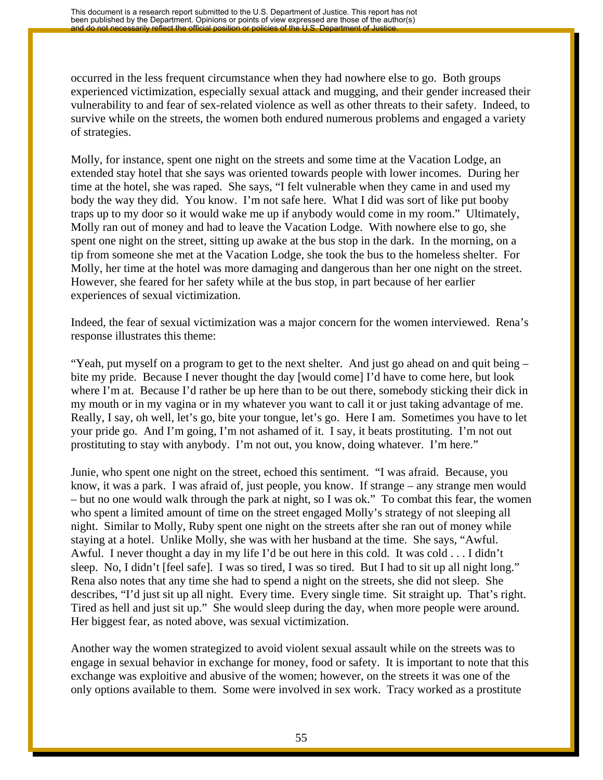occurred in the less frequent circumstance when they had nowhere else to go. Both groups experienced victimization, especially sexual attack and mugging, and their gender increased their vulnerability to and fear of sex-related violence as well as other threats to their safety. Indeed, to survive while on the streets, the women both endured numerous problems and engaged a variety of strategies.

Molly, for instance, spent one night on the streets and some time at the Vacation Lodge, an extended stay hotel that she says was oriented towards people with lower incomes. During her time at the hotel, she was raped. She says, "I felt vulnerable when they came in and used my body the way they did. You know. I'm not safe here. What I did was sort of like put booby traps up to my door so it would wake me up if anybody would come in my room." Ultimately, Molly ran out of money and had to leave the Vacation Lodge. With nowhere else to go, she spent one night on the street, sitting up awake at the bus stop in the dark. In the morning, on a tip from someone she met at the Vacation Lodge, she took the bus to the homeless shelter. For Molly, her time at the hotel was more damaging and dangerous than her one night on the street. However, she feared for her safety while at the bus stop, in part because of her earlier experiences of sexual victimization.

Indeed, the fear of sexual victimization was a major concern for the women interviewed. Rena's response illustrates this theme:

"Yeah, put myself on a program to get to the next shelter. And just go ahead on and quit being – bite my pride. Because I never thought the day [would come] I'd have to come here, but look where I'm at. Because I'd rather be up here than to be out there, somebody sticking their dick in my mouth or in my vagina or in my whatever you want to call it or just taking advantage of me. Really, I say, oh well, let's go, bite your tongue, let's go. Here I am. Sometimes you have to let your pride go. And I'm going, I'm not ashamed of it. I say, it beats prostituting. I'm not out prostituting to stay with anybody. I'm not out, you know, doing whatever. I'm here."

Junie, who spent one night on the street, echoed this sentiment. "I was afraid. Because, you know, it was a park. I was afraid of, just people, you know. If strange – any strange men would – but no one would walk through the park at night, so I was ok." To combat this fear, the women who spent a limited amount of time on the street engaged Molly's strategy of not sleeping all night. Similar to Molly, Ruby spent one night on the streets after she ran out of money while staying at a hotel. Unlike Molly, she was with her husband at the time. She says, "Awful. Awful. I never thought a day in my life I'd be out here in this cold. It was cold . . . I didn't sleep. No, I didn't [feel safe]. I was so tired, I was so tired. But I had to sit up all night long." Rena also notes that any time she had to spend a night on the streets, she did not sleep. She describes, "I'd just sit up all night. Every time. Every single time. Sit straight up. That's right. Tired as hell and just sit up." She would sleep during the day, when more people were around. Her biggest fear, as noted above, was sexual victimization.

Another way the women strategized to avoid violent sexual assault while on the streets was to engage in sexual behavior in exchange for money, food or safety. It is important to note that this exchange was exploitive and abusive of the women; however, on the streets it was one of the only options available to them. Some were involved in sex work. Tracy worked as a prostitute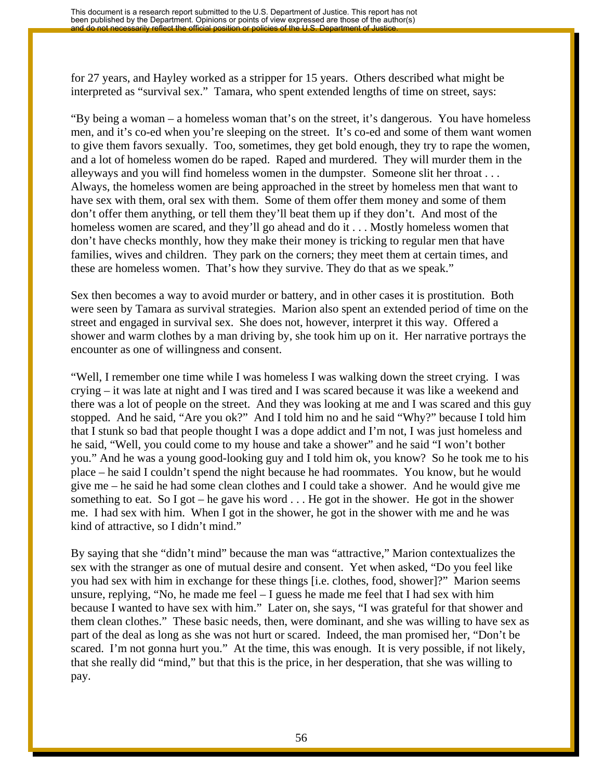for 27 years, and Hayley worked as a stripper for 15 years. Others described what might be interpreted as "survival sex." Tamara, who spent extended lengths of time on street, says:

"By being a woman – a homeless woman that's on the street, it's dangerous. You have homeless men, and it's co-ed when you're sleeping on the street. It's co-ed and some of them want women to give them favors sexually. Too, sometimes, they get bold enough, they try to rape the women, and a lot of homeless women do be raped. Raped and murdered. They will murder them in the alleyways and you will find homeless women in the dumpster. Someone slit her throat . . . Always, the homeless women are being approached in the street by homeless men that want to have sex with them, oral sex with them. Some of them offer them money and some of them don't offer them anything, or tell them they'll beat them up if they don't. And most of the homeless women are scared, and they'll go ahead and do it . . . Mostly homeless women that don't have checks monthly, how they make their money is tricking to regular men that have families, wives and children. They park on the corners; they meet them at certain times, and these are homeless women. That's how they survive. They do that as we speak."

Sex then becomes a way to avoid murder or battery, and in other cases it is prostitution. Both were seen by Tamara as survival strategies. Marion also spent an extended period of time on the street and engaged in survival sex. She does not, however, interpret it this way. Offered a shower and warm clothes by a man driving by, she took him up on it. Her narrative portrays the encounter as one of willingness and consent.

"Well, I remember one time while I was homeless I was walking down the street crying. I was crying – it was late at night and I was tired and I was scared because it was like a weekend and there was a lot of people on the street. And they was looking at me and I was scared and this guy stopped. And he said, "Are you ok?" And I told him no and he said "Why?" because I told him that I stunk so bad that people thought I was a dope addict and I'm not, I was just homeless and he said, "Well, you could come to my house and take a shower" and he said "I won't bother you." And he was a young good-looking guy and I told him ok, you know? So he took me to his place – he said I couldn't spend the night because he had roommates. You know, but he would give me – he said he had some clean clothes and I could take a shower. And he would give me something to eat. So I got – he gave his word  $\ldots$  He got in the shower. He got in the shower me. I had sex with him. When I got in the shower, he got in the shower with me and he was kind of attractive, so I didn't mind."

By saying that she "didn't mind" because the man was "attractive," Marion contextualizes the sex with the stranger as one of mutual desire and consent. Yet when asked, "Do you feel like you had sex with him in exchange for these things [i.e. clothes, food, shower]?" Marion seems unsure, replying, "No, he made me feel – I guess he made me feel that I had sex with him because I wanted to have sex with him." Later on, she says, "I was grateful for that shower and them clean clothes." These basic needs, then, were dominant, and she was willing to have sex as part of the deal as long as she was not hurt or scared. Indeed, the man promised her, "Don't be scared. I'm not gonna hurt you." At the time, this was enough. It is very possible, if not likely, that she really did "mind," but that this is the price, in her desperation, that she was willing to pay.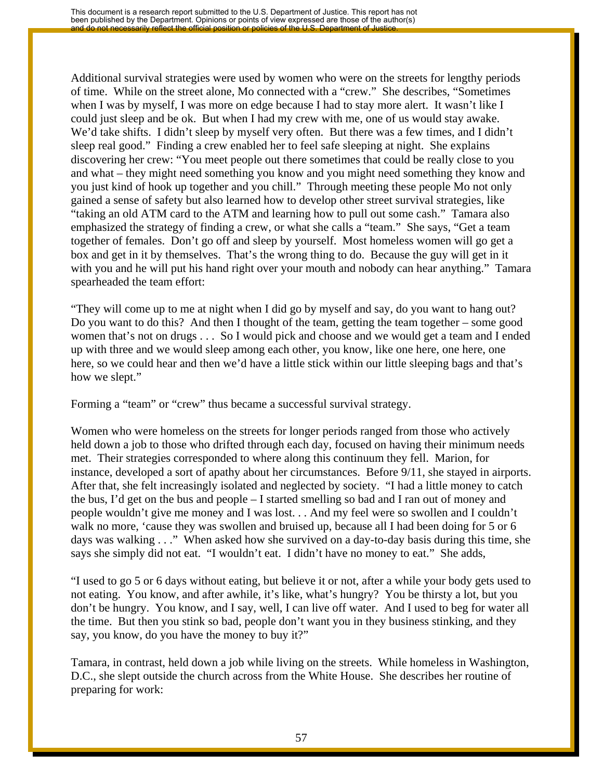Additional survival strategies were used by women who were on the streets for lengthy periods of time. While on the street alone, Mo connected with a "crew." She describes, "Sometimes when I was by myself, I was more on edge because I had to stay more alert. It wasn't like I could just sleep and be ok. But when I had my crew with me, one of us would stay awake. We'd take shifts. I didn't sleep by myself very often. But there was a few times, and I didn't sleep real good." Finding a crew enabled her to feel safe sleeping at night. She explains discovering her crew: "You meet people out there sometimes that could be really close to you and what – they might need something you know and you might need something they know and you just kind of hook up together and you chill." Through meeting these people Mo not only gained a sense of safety but also learned how to develop other street survival strategies, like "taking an old ATM card to the ATM and learning how to pull out some cash." Tamara also emphasized the strategy of finding a crew, or what she calls a "team." She says, "Get a team together of females. Don't go off and sleep by yourself. Most homeless women will go get a box and get in it by themselves. That's the wrong thing to do. Because the guy will get in it with you and he will put his hand right over your mouth and nobody can hear anything." Tamara spearheaded the team effort:

"They will come up to me at night when I did go by myself and say, do you want to hang out? Do you want to do this? And then I thought of the team, getting the team together – some good women that's not on drugs . . . So I would pick and choose and we would get a team and I ended up with three and we would sleep among each other, you know, like one here, one here, one here, so we could hear and then we'd have a little stick within our little sleeping bags and that's how we slept."

Forming a "team" or "crew" thus became a successful survival strategy.

Women who were homeless on the streets for longer periods ranged from those who actively held down a job to those who drifted through each day, focused on having their minimum needs met. Their strategies corresponded to where along this continuum they fell. Marion, for instance, developed a sort of apathy about her circumstances. Before 9/11, she stayed in airports. After that, she felt increasingly isolated and neglected by society. "I had a little money to catch the bus, I'd get on the bus and people – I started smelling so bad and I ran out of money and people wouldn't give me money and I was lost. . . And my feel were so swollen and I couldn't walk no more, 'cause they was swollen and bruised up, because all I had been doing for 5 or 6 days was walking . . ." When asked how she survived on a day-to-day basis during this time, she says she simply did not eat. "I wouldn't eat. I didn't have no money to eat." She adds,

"I used to go 5 or 6 days without eating, but believe it or not, after a while your body gets used to not eating. You know, and after awhile, it's like, what's hungry? You be thirsty a lot, but you don't be hungry. You know, and I say, well, I can live off water. And I used to beg for water all the time. But then you stink so bad, people don't want you in they business stinking, and they say, you know, do you have the money to buy it?"

Tamara, in contrast, held down a job while living on the streets. While homeless in Washington, D.C., she slept outside the church across from the White House. She describes her routine of preparing for work: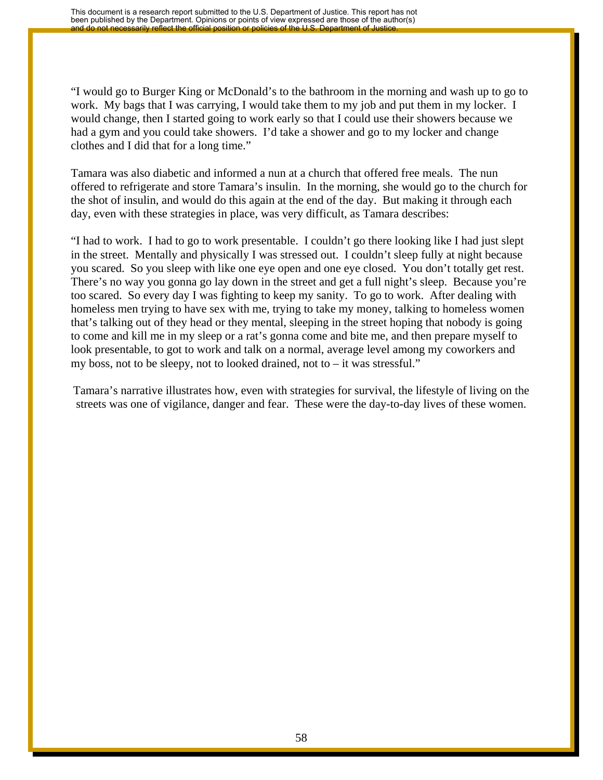"I would go to Burger King or McDonald's to the bathroom in the morning and wash up to go to work. My bags that I was carrying, I would take them to my job and put them in my locker. I would change, then I started going to work early so that I could use their showers because we had a gym and you could take showers. I'd take a shower and go to my locker and change clothes and I did that for a long time."

Tamara was also diabetic and informed a nun at a church that offered free meals. The nun offered to refrigerate and store Tamara's insulin. In the morning, she would go to the church for the shot of insulin, and would do this again at the end of the day. But making it through each day, even with these strategies in place, was very difficult, as Tamara describes:

"I had to work. I had to go to work presentable. I couldn't go there looking like I had just slept in the street. Mentally and physically I was stressed out. I couldn't sleep fully at night because you scared. So you sleep with like one eye open and one eye closed. You don't totally get rest. There's no way you gonna go lay down in the street and get a full night's sleep. Because you're too scared. So every day I was fighting to keep my sanity. To go to work. After dealing with homeless men trying to have sex with me, trying to take my money, talking to homeless women that's talking out of they head or they mental, sleeping in the street hoping that nobody is going to come and kill me in my sleep or a rat's gonna come and bite me, and then prepare myself to look presentable, to got to work and talk on a normal, average level among my coworkers and my boss, not to be sleepy, not to looked drained, not to – it was stressful."

Tamara's narrative illustrates how, even with strategies for survival, the lifestyle of living on the streets was one of vigilance, danger and fear. These were the day-to-day lives of these women.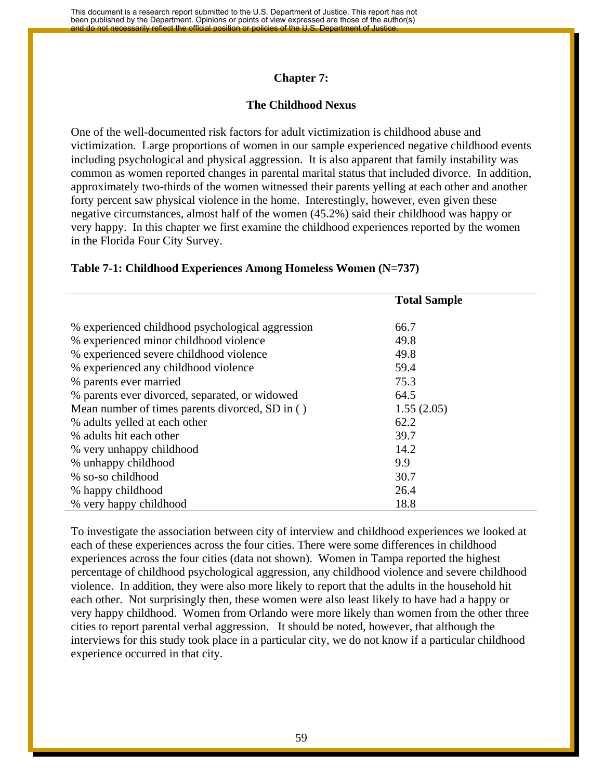#### **Chapter 7:**

## **The Childhood Nexus**

One of the well-documented risk factors for adult victimization is childhood abuse and victimization. Large proportions of women in our sample experienced negative childhood events including psychological and physical aggression. It is also apparent that family instability was common as women reported changes in parental marital status that included divorce. In addition, approximately two-thirds of the women witnessed their parents yelling at each other and another forty percent saw physical violence in the home. Interestingly, however, even given these negative circumstances, almost half of the women (45.2%) said their childhood was happy or very happy. In this chapter we first examine the childhood experiences reported by the women in the Florida Four City Survey.

|                                                  | <b>Total Sample</b> |  |
|--------------------------------------------------|---------------------|--|
|                                                  |                     |  |
| % experienced childhood psychological aggression | 66.7                |  |
| % experienced minor childhood violence           | 49.8                |  |
| % experienced severe childhood violence          | 49.8                |  |
| % experienced any childhood violence             | 59.4                |  |
| % parents ever married                           | 75.3                |  |
| % parents ever divorced, separated, or widowed   | 64.5                |  |
| Mean number of times parents divorced, SD in ()  | 1.55(2.05)          |  |
| % adults yelled at each other                    | 62.2                |  |
| % adults hit each other                          | 39.7                |  |
| % very unhappy childhood                         | 14.2                |  |
| % unhappy childhood                              | 9.9                 |  |
| % so-so childhood                                | 30.7                |  |
| % happy childhood                                | 26.4                |  |
| % very happy childhood                           | 18.8                |  |

To investigate the association between city of interview and childhood experiences we looked at each of these experiences across the four cities. There were some differences in childhood experiences across the four cities (data not shown). Women in Tampa reported the highest percentage of childhood psychological aggression, any childhood violence and severe childhood violence. In addition, they were also more likely to report that the adults in the household hit each other. Not surprisingly then, these women were also least likely to have had a happy or very happy childhood. Women from Orlando were more likely than women from the other three cities to report parental verbal aggression. It should be noted, however, that although the interviews for this study took place in a particular city, we do not know if a particular childhood experience occurred in that city.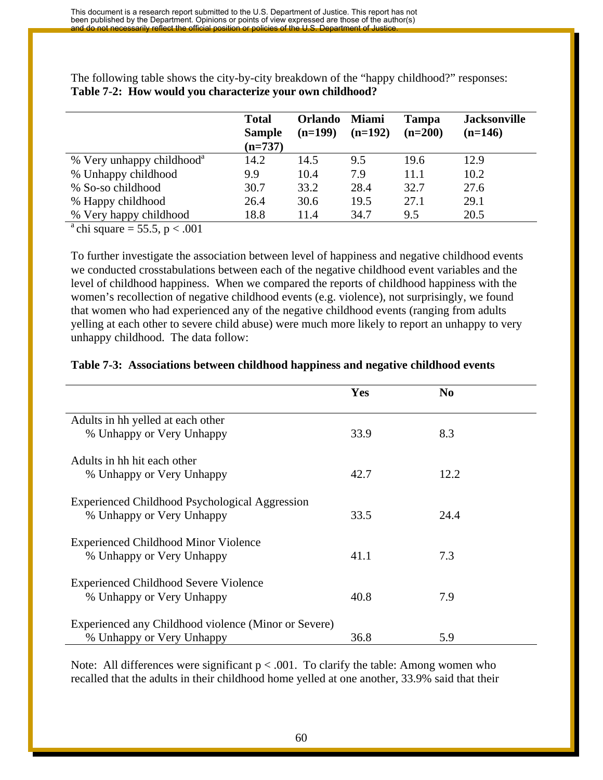|                                       | <b>Total</b><br><b>Sample</b> | Orlando Miami<br>$(n=199)$ | $(n=192)$ | <b>Tampa</b><br>$(n=200)$ | <b>Jacksonville</b><br>$(n=146)$ |
|---------------------------------------|-------------------------------|----------------------------|-----------|---------------------------|----------------------------------|
|                                       | $(n=737)$                     |                            |           |                           |                                  |
| % Very unhappy childhood <sup>a</sup> | 14.2                          | 14.5                       | 9.5       | 19.6                      | 12.9                             |
| % Unhappy childhood                   | 9.9                           | 10.4                       | 7.9       | 11.1                      | 10.2                             |
| % So-so childhood                     | 30.7                          | 33.2                       | 28.4      | 32.7                      | 27.6                             |
| % Happy childhood                     | 26.4                          | 30.6                       | 19.5      | 27.1                      | 29.1                             |
| % Very happy childhood                | 18.8                          | 11.4                       | 34.7      | 9.5                       | 20.5                             |

The following table shows the city-by-city breakdown of the "happy childhood?" responses: **Table 7-2: How would you characterize your own childhood?** 

<sup>a</sup> chi square = 55.5, p < .001

To further investigate the association between level of happiness and negative childhood events we conducted crosstabulations between each of the negative childhood event variables and the level of childhood happiness. When we compared the reports of childhood happiness with the women's recollection of negative childhood events (e.g. violence), not surprisingly, we found that women who had experienced any of the negative childhood events (ranging from adults yelling at each other to severe child abuse) were much more likely to report an unhappy to very unhappy childhood. The data follow:

| Table 7-3: Associations between childhood happiness and negative childhood events |  |  |  |
|-----------------------------------------------------------------------------------|--|--|--|
|                                                                                   |  |  |  |

|                                                                                    | Yes  | N <sub>0</sub> |
|------------------------------------------------------------------------------------|------|----------------|
| Adults in hh yelled at each other                                                  |      |                |
| % Unhappy or Very Unhappy                                                          | 33.9 | 8.3            |
| Adults in hh hit each other                                                        |      |                |
| % Unhappy or Very Unhappy                                                          | 42.7 | 12.2           |
|                                                                                    |      |                |
| <b>Experienced Childhood Psychological Aggression</b><br>% Unhappy or Very Unhappy | 33.5 | 24.4           |
|                                                                                    |      |                |
| <b>Experienced Childhood Minor Violence</b>                                        |      |                |
| % Unhappy or Very Unhappy                                                          | 41.1 | 7.3            |
| <b>Experienced Childhood Severe Violence</b>                                       |      |                |
| % Unhappy or Very Unhappy                                                          | 40.8 | 7.9            |
|                                                                                    |      |                |
| Experienced any Childhood violence (Minor or Severe)                               |      |                |
| % Unhappy or Very Unhappy                                                          | 36.8 | 5.9            |

Note: All differences were significant  $p < .001$ . To clarify the table: Among women who recalled that the adults in their childhood home yelled at one another, 33.9% said that their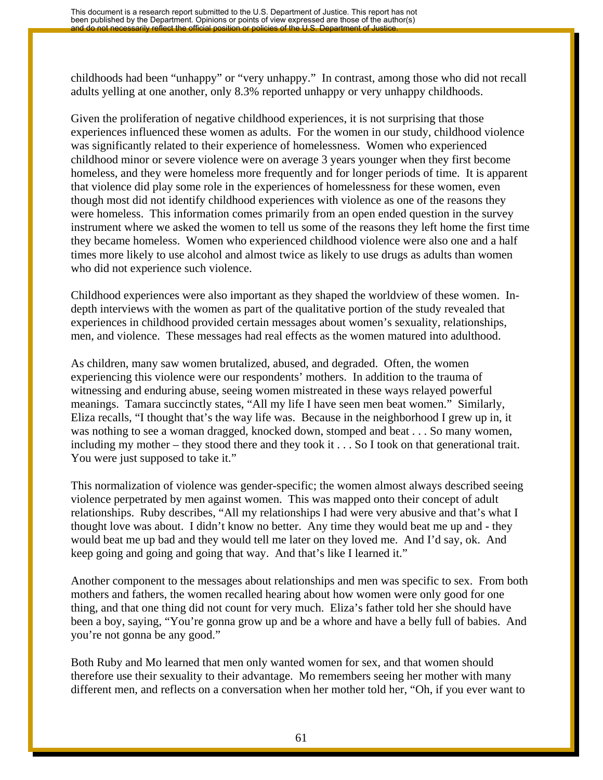childhoods had been "unhappy" or "very unhappy." In contrast, among those who did not recall adults yelling at one another, only 8.3% reported unhappy or very unhappy childhoods.

Given the proliferation of negative childhood experiences, it is not surprising that those experiences influenced these women as adults. For the women in our study, childhood violence was significantly related to their experience of homelessness. Women who experienced childhood minor or severe violence were on average 3 years younger when they first become homeless, and they were homeless more frequently and for longer periods of time. It is apparent that violence did play some role in the experiences of homelessness for these women, even though most did not identify childhood experiences with violence as one of the reasons they were homeless. This information comes primarily from an open ended question in the survey instrument where we asked the women to tell us some of the reasons they left home the first time they became homeless. Women who experienced childhood violence were also one and a half times more likely to use alcohol and almost twice as likely to use drugs as adults than women who did not experience such violence.

Childhood experiences were also important as they shaped the worldview of these women. Indepth interviews with the women as part of the qualitative portion of the study revealed that experiences in childhood provided certain messages about women's sexuality, relationships, men, and violence. These messages had real effects as the women matured into adulthood.

As children, many saw women brutalized, abused, and degraded. Often, the women experiencing this violence were our respondents' mothers. In addition to the trauma of witnessing and enduring abuse, seeing women mistreated in these ways relayed powerful meanings. Tamara succinctly states, "All my life I have seen men beat women." Similarly, Eliza recalls, "I thought that's the way life was. Because in the neighborhood I grew up in, it was nothing to see a woman dragged, knocked down, stomped and beat . . . So many women, including my mother – they stood there and they took it . . . So I took on that generational trait. You were just supposed to take it."

This normalization of violence was gender-specific; the women almost always described seeing violence perpetrated by men against women. This was mapped onto their concept of adult relationships. Ruby describes, "All my relationships I had were very abusive and that's what I thought love was about. I didn't know no better. Any time they would beat me up and - they would beat me up bad and they would tell me later on they loved me. And I'd say, ok. And keep going and going and going that way. And that's like I learned it."

Another component to the messages about relationships and men was specific to sex. From both mothers and fathers, the women recalled hearing about how women were only good for one thing, and that one thing did not count for very much. Eliza's father told her she should have been a boy, saying, "You're gonna grow up and be a whore and have a belly full of babies. And you're not gonna be any good."

Both Ruby and Mo learned that men only wanted women for sex, and that women should therefore use their sexuality to their advantage. Mo remembers seeing her mother with many different men, and reflects on a conversation when her mother told her, "Oh, if you ever want to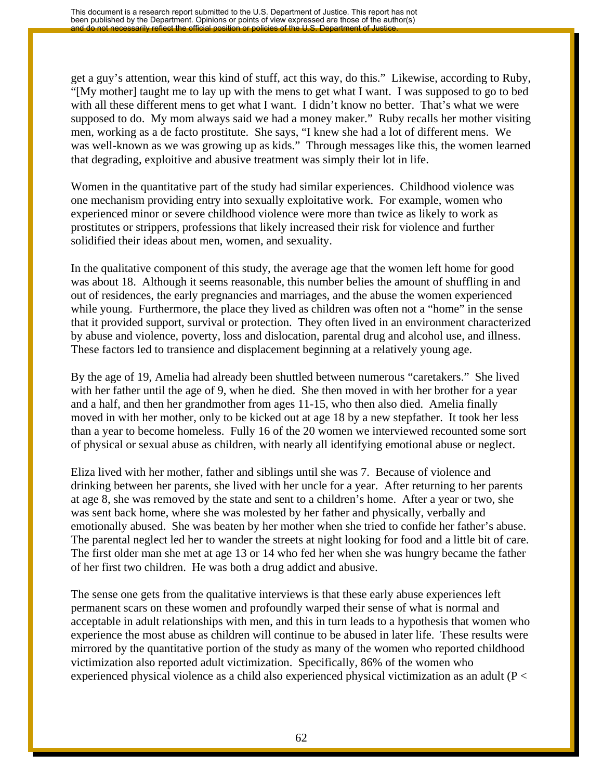get a guy's attention, wear this kind of stuff, act this way, do this." Likewise, according to Ruby, "[My mother] taught me to lay up with the mens to get what I want. I was supposed to go to bed with all these different mens to get what I want. I didn't know no better. That's what we were supposed to do. My mom always said we had a money maker." Ruby recalls her mother visiting men, working as a de facto prostitute. She says, "I knew she had a lot of different mens. We was well-known as we was growing up as kids." Through messages like this, the women learned that degrading, exploitive and abusive treatment was simply their lot in life.

Women in the quantitative part of the study had similar experiences. Childhood violence was one mechanism providing entry into sexually exploitative work. For example, women who experienced minor or severe childhood violence were more than twice as likely to work as prostitutes or strippers, professions that likely increased their risk for violence and further solidified their ideas about men, women, and sexuality.

In the qualitative component of this study, the average age that the women left home for good was about 18. Although it seems reasonable, this number belies the amount of shuffling in and out of residences, the early pregnancies and marriages, and the abuse the women experienced while young. Furthermore, the place they lived as children was often not a "home" in the sense that it provided support, survival or protection. They often lived in an environment characterized by abuse and violence, poverty, loss and dislocation, parental drug and alcohol use, and illness. These factors led to transience and displacement beginning at a relatively young age.

By the age of 19, Amelia had already been shuttled between numerous "caretakers." She lived with her father until the age of 9, when he died. She then moved in with her brother for a year and a half, and then her grandmother from ages 11-15, who then also died. Amelia finally moved in with her mother, only to be kicked out at age 18 by a new stepfather. It took her less than a year to become homeless. Fully 16 of the 20 women we interviewed recounted some sort of physical or sexual abuse as children, with nearly all identifying emotional abuse or neglect.

Eliza lived with her mother, father and siblings until she was 7. Because of violence and drinking between her parents, she lived with her uncle for a year. After returning to her parents at age 8, she was removed by the state and sent to a children's home. After a year or two, she was sent back home, where she was molested by her father and physically, verbally and emotionally abused. She was beaten by her mother when she tried to confide her father's abuse. The parental neglect led her to wander the streets at night looking for food and a little bit of care. The first older man she met at age 13 or 14 who fed her when she was hungry became the father of her first two children. He was both a drug addict and abusive.

The sense one gets from the qualitative interviews is that these early abuse experiences left permanent scars on these women and profoundly warped their sense of what is normal and acceptable in adult relationships with men, and this in turn leads to a hypothesis that women who experience the most abuse as children will continue to be abused in later life. These results were mirrored by the quantitative portion of the study as many of the women who reported childhood victimization also reported adult victimization. Specifically, 86% of the women who experienced physical violence as a child also experienced physical victimization as an adult (P <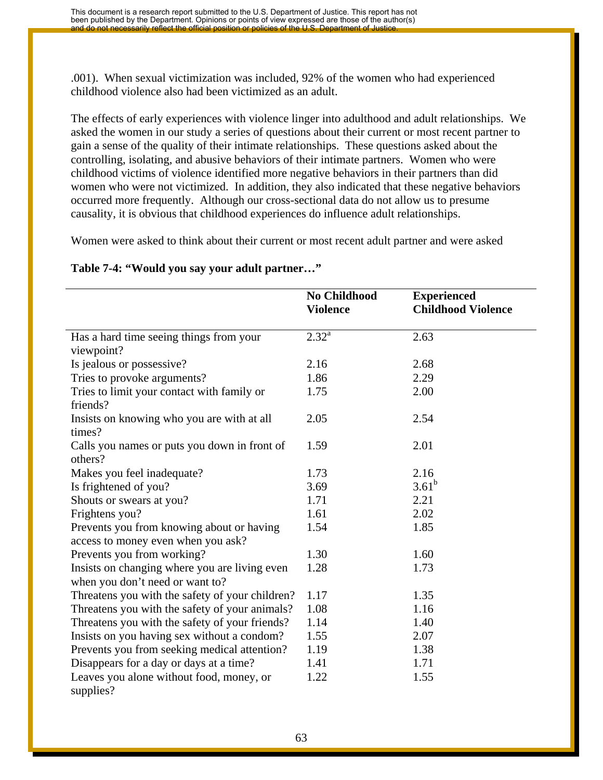.001). When sexual victimization was included, 92% of the women who had experienced childhood violence also had been victimized as an adult.

The effects of early experiences with violence linger into adulthood and adult relationships. We asked the women in our study a series of questions about their current or most recent partner to gain a sense of the quality of their intimate relationships. These questions asked about the controlling, isolating, and abusive behaviors of their intimate partners. Women who were childhood victims of violence identified more negative behaviors in their partners than did women who were not victimized. In addition, they also indicated that these negative behaviors occurred more frequently. Although our cross-sectional data do not allow us to presume causality, it is obvious that childhood experiences do influence adult relationships.

Women were asked to think about their current or most recent adult partner and were asked

**Table 7-4: "Would you say your adult partner…"** 

|                                                                                  | <b>No Childhood</b><br><b>Violence</b> | <b>Experienced</b><br><b>Childhood Violence</b> |
|----------------------------------------------------------------------------------|----------------------------------------|-------------------------------------------------|
| Has a hard time seeing things from your                                          | $2.32^{a}$                             | 2.63                                            |
| viewpoint?                                                                       |                                        |                                                 |
| Is jealous or possessive?                                                        | 2.16                                   | 2.68                                            |
| Tries to provoke arguments?                                                      | 1.86                                   | 2.29                                            |
| Tries to limit your contact with family or<br>friends?                           | 1.75                                   | 2.00                                            |
| Insists on knowing who you are with at all<br>times?                             | 2.05                                   | 2.54                                            |
| Calls you names or puts you down in front of<br>others?                          | 1.59                                   | 2.01                                            |
| Makes you feel inadequate?                                                       | 1.73                                   | 2.16                                            |
| Is frightened of you?                                                            | 3.69                                   | $3.61^{b}$                                      |
| Shouts or swears at you?                                                         | 1.71                                   | 2.21                                            |
| Frightens you?                                                                   | 1.61                                   | 2.02                                            |
| Prevents you from knowing about or having                                        | 1.54                                   | 1.85                                            |
| access to money even when you ask?                                               |                                        |                                                 |
| Prevents you from working?                                                       | 1.30                                   | 1.60                                            |
| Insists on changing where you are living even<br>when you don't need or want to? | 1.28                                   | 1.73                                            |
| Threatens you with the safety of your children?                                  | 1.17                                   | 1.35                                            |
| Threatens you with the safety of your animals?                                   | 1.08                                   | 1.16                                            |
| Threatens you with the safety of your friends?                                   | 1.14                                   | 1.40                                            |
| Insists on you having sex without a condom?                                      | 1.55                                   | 2.07                                            |
| Prevents you from seeking medical attention?                                     | 1.19                                   | 1.38                                            |
| Disappears for a day or days at a time?                                          | 1.41                                   | 1.71                                            |
| Leaves you alone without food, money, or<br>supplies?                            | 1.22                                   | 1.55                                            |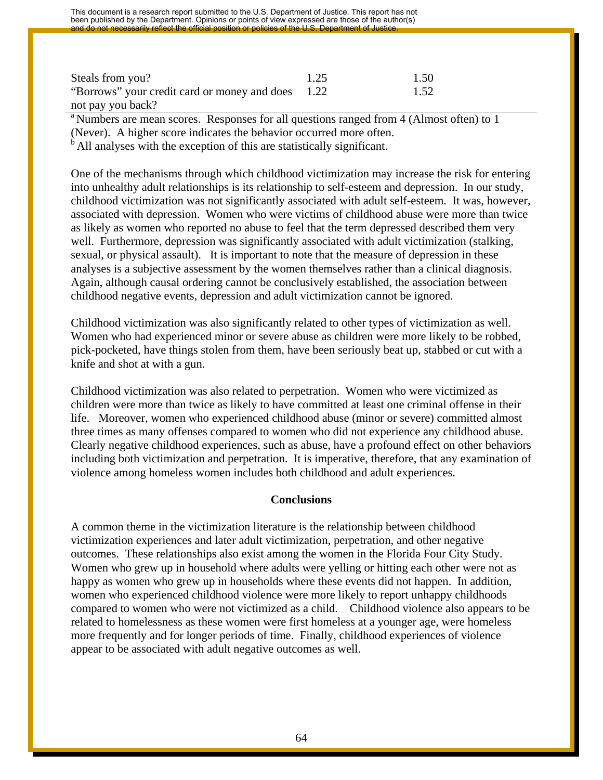| This document is a research report submitted to the U.S. Department of Justice. This report has not |  |
|-----------------------------------------------------------------------------------------------------|--|
| been published by the Department. Opinions or points of view expressed are those of the author(s)   |  |
| and do not necessarily reflect the official position or policies of the U.S. Department of Justice. |  |
|                                                                                                     |  |

| Steals from you?                                  | 1.25 | 1.50 |
|---------------------------------------------------|------|------|
| "Borrows" your credit card or money and does 1.22 |      | 1.52 |
| not pay you back?                                 |      |      |

<sup>a</sup> Numbers are mean scores. Responses for all questions ranged from 4 (Almost often) to 1 (Never). A higher score indicates the behavior occurred more often.

 $\overrightarrow{b}$  All analyses with the exception of this are statistically significant.

One of the mechanisms through which childhood victimization may increase the risk for entering into unhealthy adult relationships is its relationship to self-esteem and depression. In our study, childhood victimization was not significantly associated with adult self-esteem. It was, however, associated with depression. Women who were victims of childhood abuse were more than twice as likely as women who reported no abuse to feel that the term depressed described them very well. Furthermore, depression was significantly associated with adult victimization (stalking, sexual, or physical assault). It is important to note that the measure of depression in these analyses is a subjective assessment by the women themselves rather than a clinical diagnosis. Again, although causal ordering cannot be conclusively established, the association between childhood negative events, depression and adult victimization cannot be ignored.

Childhood victimization was also significantly related to other types of victimization as well. Women who had experienced minor or severe abuse as children were more likely to be robbed, pick-pocketed, have things stolen from them, have been seriously beat up, stabbed or cut with a knife and shot at with a gun.

Childhood victimization was also related to perpetration. Women who were victimized as children were more than twice as likely to have committed at least one criminal offense in their life. Moreover, women who experienced childhood abuse (minor or severe) committed almost three times as many offenses compared to women who did not experience any childhood abuse. Clearly negative childhood experiences, such as abuse, have a profound effect on other behaviors including both victimization and perpetration. It is imperative, therefore, that any examination of violence among homeless women includes both childhood and adult experiences.

#### **Conclusions**

A common theme in the victimization literature is the relationship between childhood victimization experiences and later adult victimization, perpetration, and other negative outcomes. These relationships also exist among the women in the Florida Four City Study. Women who grew up in household where adults were yelling or hitting each other were not as happy as women who grew up in households where these events did not happen. In addition, women who experienced childhood violence were more likely to report unhappy childhoods compared to women who were not victimized as a child. Childhood violence also appears to be related to homelessness as these women were first homeless at a younger age, were homeless more frequently and for longer periods of time. Finally, childhood experiences of violence appear to be associated with adult negative outcomes as well.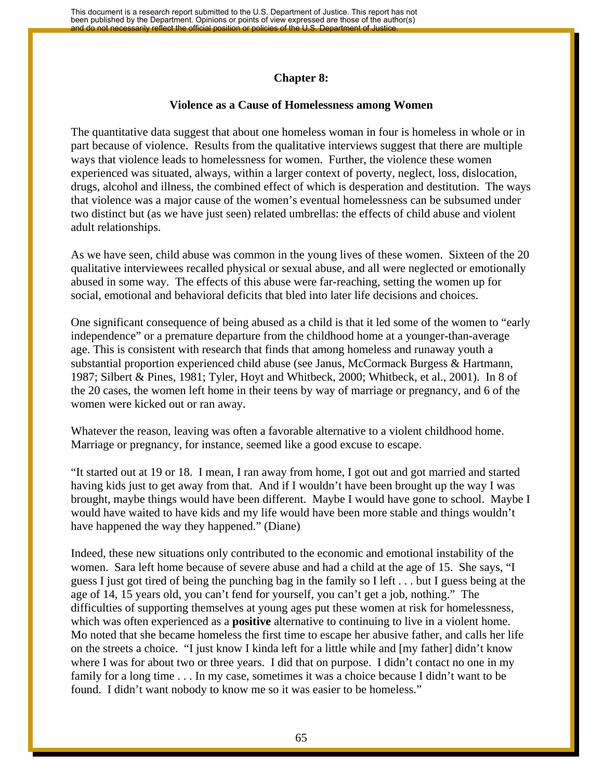#### **Chapter 8:**

#### **Violence as a Cause of Homelessness among Women**

The quantitative data suggest that about one homeless woman in four is homeless in whole or in part because of violence. Results from the qualitative interviews suggest that there are multiple ways that violence leads to homelessness for women. Further, the violence these women experienced was situated, always, within a larger context of poverty, neglect, loss, dislocation, drugs, alcohol and illness, the combined effect of which is desperation and destitution. The ways that violence was a major cause of the women's eventual homelessness can be subsumed under two distinct but (as we have just seen) related umbrellas: the effects of child abuse and violent adult relationships.

As we have seen, child abuse was common in the young lives of these women. Sixteen of the 20 qualitative interviewees recalled physical or sexual abuse, and all were neglected or emotionally abused in some way. The effects of this abuse were far-reaching, setting the women up for social, emotional and behavioral deficits that bled into later life decisions and choices.

One significant consequence of being abused as a child is that it led some of the women to "early independence" or a premature departure from the childhood home at a younger-than-average age. This is consistent with research that finds that among homeless and runaway youth a substantial proportion experienced child abuse (see Janus, McCormack Burgess & Hartmann, 1987; Silbert & Pines, 1981; Tyler, Hoyt and Whitbeck, 2000; Whitbeck, et al., 2001). In 8 of the 20 cases, the women left home in their teens by way of marriage or pregnancy, and 6 of the women were kicked out or ran away.

Whatever the reason, leaving was often a favorable alternative to a violent childhood home. Marriage or pregnancy, for instance, seemed like a good excuse to escape.

"It started out at 19 or 18. I mean, I ran away from home, I got out and got married and started having kids just to get away from that. And if I wouldn't have been brought up the way I was brought, maybe things would have been different. Maybe I would have gone to school. Maybe I would have waited to have kids and my life would have been more stable and things wouldn't have happened the way they happened." (Diane)

Indeed, these new situations only contributed to the economic and emotional instability of the women. Sara left home because of severe abuse and had a child at the age of 15. She says, "I guess I just got tired of being the punching bag in the family so I left . . . but I guess being at the age of 14, 15 years old, you can't fend for yourself, you can't get a job, nothing." The difficulties of supporting themselves at young ages put these women at risk for homelessness, which was often experienced as a **positive** alternative to continuing to live in a violent home. Mo noted that she became homeless the first time to escape her abusive father, and calls her life on the streets a choice. "I just know I kinda left for a little while and [my father] didn't know where I was for about two or three years. I did that on purpose. I didn't contact no one in my family for a long time . . . In my case, sometimes it was a choice because I didn't want to be found. I didn't want nobody to know me so it was easier to be homeless."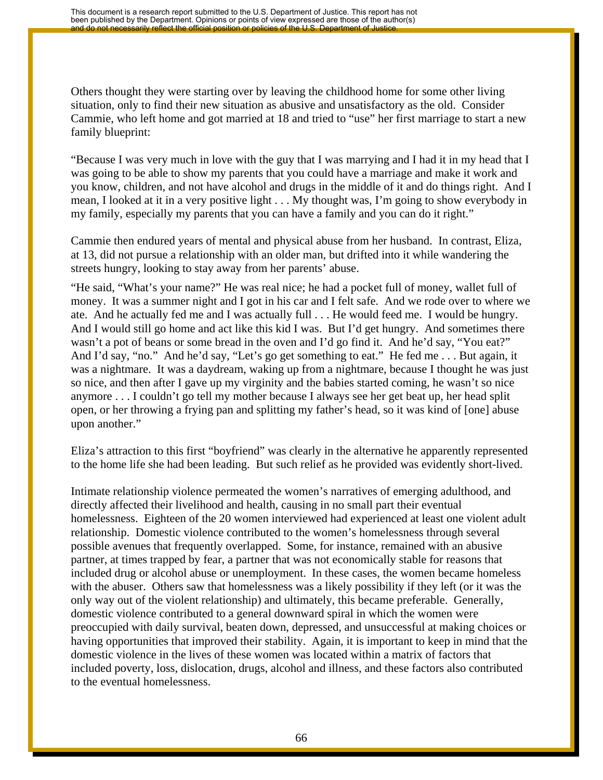Others thought they were starting over by leaving the childhood home for some other living situation, only to find their new situation as abusive and unsatisfactory as the old. Consider Cammie, who left home and got married at 18 and tried to "use" her first marriage to start a new family blueprint:

"Because I was very much in love with the guy that I was marrying and I had it in my head that I was going to be able to show my parents that you could have a marriage and make it work and you know, children, and not have alcohol and drugs in the middle of it and do things right. And I mean, I looked at it in a very positive light . . . My thought was, I'm going to show everybody in my family, especially my parents that you can have a family and you can do it right."

Cammie then endured years of mental and physical abuse from her husband. In contrast, Eliza, at 13, did not pursue a relationship with an older man, but drifted into it while wandering the streets hungry, looking to stay away from her parents' abuse.

"He said, "What's your name?" He was real nice; he had a pocket full of money, wallet full of money. It was a summer night and I got in his car and I felt safe. And we rode over to where we ate. And he actually fed me and I was actually full . . . He would feed me. I would be hungry. And I would still go home and act like this kid I was. But I'd get hungry. And sometimes there wasn't a pot of beans or some bread in the oven and I'd go find it. And he'd say, "You eat?" And I'd say, "no." And he'd say, "Let's go get something to eat." He fed me . . . But again, it was a nightmare. It was a daydream, waking up from a nightmare, because I thought he was just so nice, and then after I gave up my virginity and the babies started coming, he wasn't so nice anymore . . . I couldn't go tell my mother because I always see her get beat up, her head split open, or her throwing a frying pan and splitting my father's head, so it was kind of [one] abuse upon another."

Eliza's attraction to this first "boyfriend" was clearly in the alternative he apparently represented to the home life she had been leading. But such relief as he provided was evidently short-lived.

Intimate relationship violence permeated the women's narratives of emerging adulthood, and directly affected their livelihood and health, causing in no small part their eventual homelessness. Eighteen of the 20 women interviewed had experienced at least one violent adult relationship. Domestic violence contributed to the women's homelessness through several possible avenues that frequently overlapped. Some, for instance, remained with an abusive partner, at times trapped by fear, a partner that was not economically stable for reasons that included drug or alcohol abuse or unemployment. In these cases, the women became homeless with the abuser. Others saw that homelessness was a likely possibility if they left (or it was the only way out of the violent relationship) and ultimately, this became preferable. Generally, domestic violence contributed to a general downward spiral in which the women were preoccupied with daily survival, beaten down, depressed, and unsuccessful at making choices or having opportunities that improved their stability. Again, it is important to keep in mind that the domestic violence in the lives of these women was located within a matrix of factors that included poverty, loss, dislocation, drugs, alcohol and illness, and these factors also contributed to the eventual homelessness.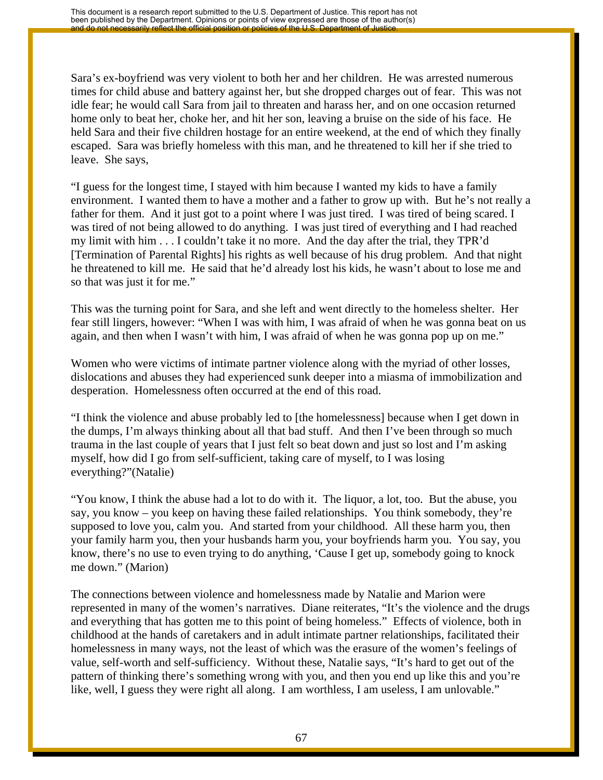Sara's ex-boyfriend was very violent to both her and her children. He was arrested numerous times for child abuse and battery against her, but she dropped charges out of fear. This was not idle fear; he would call Sara from jail to threaten and harass her, and on one occasion returned home only to beat her, choke her, and hit her son, leaving a bruise on the side of his face. He held Sara and their five children hostage for an entire weekend, at the end of which they finally escaped. Sara was briefly homeless with this man, and he threatened to kill her if she tried to leave. She says,

"I guess for the longest time, I stayed with him because I wanted my kids to have a family environment. I wanted them to have a mother and a father to grow up with. But he's not really a father for them. And it just got to a point where I was just tired. I was tired of being scared. I was tired of not being allowed to do anything. I was just tired of everything and I had reached my limit with him . . . I couldn't take it no more. And the day after the trial, they TPR'd [Termination of Parental Rights] his rights as well because of his drug problem. And that night he threatened to kill me. He said that he'd already lost his kids, he wasn't about to lose me and so that was just it for me."

This was the turning point for Sara, and she left and went directly to the homeless shelter. Her fear still lingers, however: "When I was with him, I was afraid of when he was gonna beat on us again, and then when I wasn't with him, I was afraid of when he was gonna pop up on me."

Women who were victims of intimate partner violence along with the myriad of other losses, dislocations and abuses they had experienced sunk deeper into a miasma of immobilization and desperation. Homelessness often occurred at the end of this road.

"I think the violence and abuse probably led to [the homelessness] because when I get down in the dumps, I'm always thinking about all that bad stuff. And then I've been through so much trauma in the last couple of years that I just felt so beat down and just so lost and I'm asking myself, how did I go from self-sufficient, taking care of myself, to I was losing everything?"(Natalie)

"You know, I think the abuse had a lot to do with it. The liquor, a lot, too. But the abuse, you say, you know – you keep on having these failed relationships. You think somebody, they're supposed to love you, calm you. And started from your childhood. All these harm you, then your family harm you, then your husbands harm you, your boyfriends harm you. You say, you know, there's no use to even trying to do anything, 'Cause I get up, somebody going to knock me down." (Marion)

The connections between violence and homelessness made by Natalie and Marion were represented in many of the women's narratives. Diane reiterates, "It's the violence and the drugs and everything that has gotten me to this point of being homeless." Effects of violence, both in childhood at the hands of caretakers and in adult intimate partner relationships, facilitated their homelessness in many ways, not the least of which was the erasure of the women's feelings of value, self-worth and self-sufficiency. Without these, Natalie says, "It's hard to get out of the pattern of thinking there's something wrong with you, and then you end up like this and you're like, well, I guess they were right all along. I am worthless, I am useless, I am unlovable."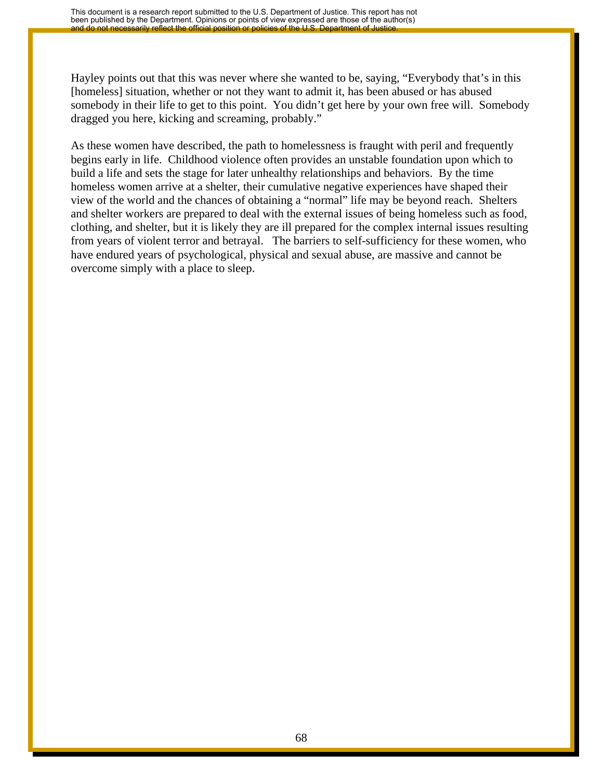Hayley points out that this was never where she wanted to be, saying, "Everybody that's in this [homeless] situation, whether or not they want to admit it, has been abused or has abused somebody in their life to get to this point. You didn't get here by your own free will. Somebody dragged you here, kicking and screaming, probably."

As these women have described, the path to homelessness is fraught with peril and frequently begins early in life. Childhood violence often provides an unstable foundation upon which to build a life and sets the stage for later unhealthy relationships and behaviors. By the time homeless women arrive at a shelter, their cumulative negative experiences have shaped their view of the world and the chances of obtaining a "normal" life may be beyond reach. Shelters and shelter workers are prepared to deal with the external issues of being homeless such as food, clothing, and shelter, but it is likely they are ill prepared for the complex internal issues resulting from years of violent terror and betrayal. The barriers to self-sufficiency for these women, who have endured years of psychological, physical and sexual abuse, are massive and cannot be overcome simply with a place to sleep.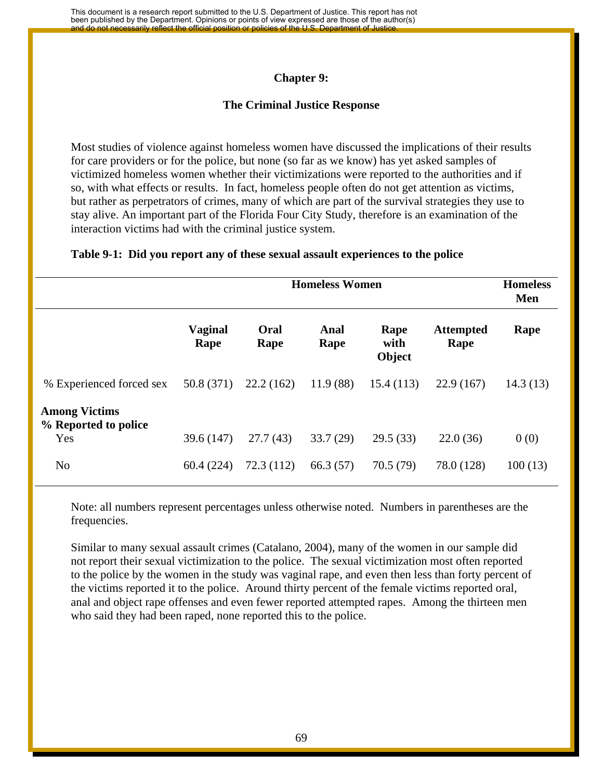## **Chapter 9:**

## **The Criminal Justice Response**

Most studies of violence against homeless women have discussed the implications of their results for care providers or for the police, but none (so far as we know) has yet asked samples of victimized homeless women whether their victimizations were reported to the authorities and if so, with what effects or results. In fact, homeless people often do not get attention as victims, but rather as perpetrators of crimes, many of which are part of the survival strategies they use to stay alive. An important part of the Florida Four City Study, therefore is an examination of the interaction victims had with the criminal justice system.

#### **Table 9-1: Did you report any of these sexual assault experiences to the police**

|                                                     | <b>Homeless Women</b>  |              |              |                        |                          | <b>Homeless</b><br>Men |
|-----------------------------------------------------|------------------------|--------------|--------------|------------------------|--------------------------|------------------------|
|                                                     | <b>Vaginal</b><br>Rape | Oral<br>Rape | Anal<br>Rape | Rape<br>with<br>Object | <b>Attempted</b><br>Rape | Rape                   |
| % Experienced forced sex                            | 50.8 (371)             | 22.2(162)    | 11.9(88)     | 15.4(113)              | 22.9(167)                | 14.3(13)               |
| <b>Among Victims</b><br>% Reported to police<br>Yes | 39.6 (147)             | 27.7(43)     | 33.7(29)     | 29.5(33)               | 22.0(36)                 | 0(0)                   |
| N <sub>o</sub>                                      | 60.4(224)              | 72.3(112)    | 66.3(57)     | 70.5(79)               | 78.0 (128)               | 100(13)                |

Note: all numbers represent percentages unless otherwise noted. Numbers in parentheses are the frequencies.

Similar to many sexual assault crimes (Catalano, 2004), many of the women in our sample did not report their sexual victimization to the police. The sexual victimization most often reported to the police by the women in the study was vaginal rape, and even then less than forty percent of the victims reported it to the police. Around thirty percent of the female victims reported oral, anal and object rape offenses and even fewer reported attempted rapes. Among the thirteen men who said they had been raped, none reported this to the police.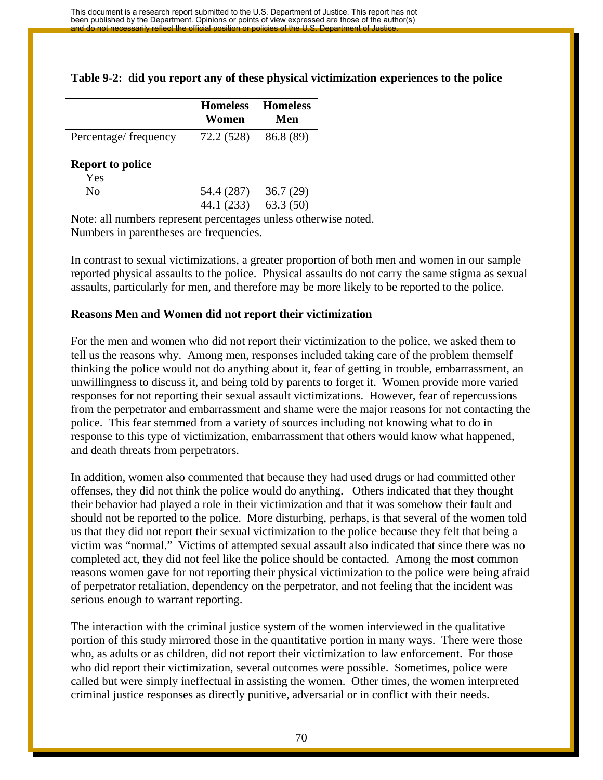## **Table 9-2: did you report any of these physical victimization experiences to the police**

|                                | <b>Homeless</b><br>Women | <b>Homeless</b><br>Men |
|--------------------------------|--------------------------|------------------------|
| Percentage/frequency           | 72.2 (528)               | 86.8 (89)              |
| <b>Report to police</b><br>Yes |                          |                        |
| N <sub>0</sub>                 | 54.4 (287)               | 36.7(29)               |
|                                | (233)<br>44.1            | 63.3(50)               |

Note: all numbers represent percentages unless otherwise noted. Numbers in parentheses are frequencies.

In contrast to sexual victimizations, a greater proportion of both men and women in our sample reported physical assaults to the police. Physical assaults do not carry the same stigma as sexual assaults, particularly for men, and therefore may be more likely to be reported to the police.

#### **Reasons Men and Women did not report their victimization**

For the men and women who did not report their victimization to the police, we asked them to tell us the reasons why. Among men, responses included taking care of the problem themself thinking the police would not do anything about it, fear of getting in trouble, embarrassment, an unwillingness to discuss it, and being told by parents to forget it. Women provide more varied responses for not reporting their sexual assault victimizations. However, fear of repercussions from the perpetrator and embarrassment and shame were the major reasons for not contacting the police. This fear stemmed from a variety of sources including not knowing what to do in response to this type of victimization, embarrassment that others would know what happened, and death threats from perpetrators.

In addition, women also commented that because they had used drugs or had committed other offenses, they did not think the police would do anything. Others indicated that they thought their behavior had played a role in their victimization and that it was somehow their fault and should not be reported to the police. More disturbing, perhaps, is that several of the women told us that they did not report their sexual victimization to the police because they felt that being a victim was "normal." Victims of attempted sexual assault also indicated that since there was no completed act, they did not feel like the police should be contacted. Among the most common reasons women gave for not reporting their physical victimization to the police were being afraid of perpetrator retaliation, dependency on the perpetrator, and not feeling that the incident was serious enough to warrant reporting.

The interaction with the criminal justice system of the women interviewed in the qualitative portion of this study mirrored those in the quantitative portion in many ways. There were those who, as adults or as children, did not report their victimization to law enforcement. For those who did report their victimization, several outcomes were possible. Sometimes, police were called but were simply ineffectual in assisting the women. Other times, the women interpreted criminal justice responses as directly punitive, adversarial or in conflict with their needs.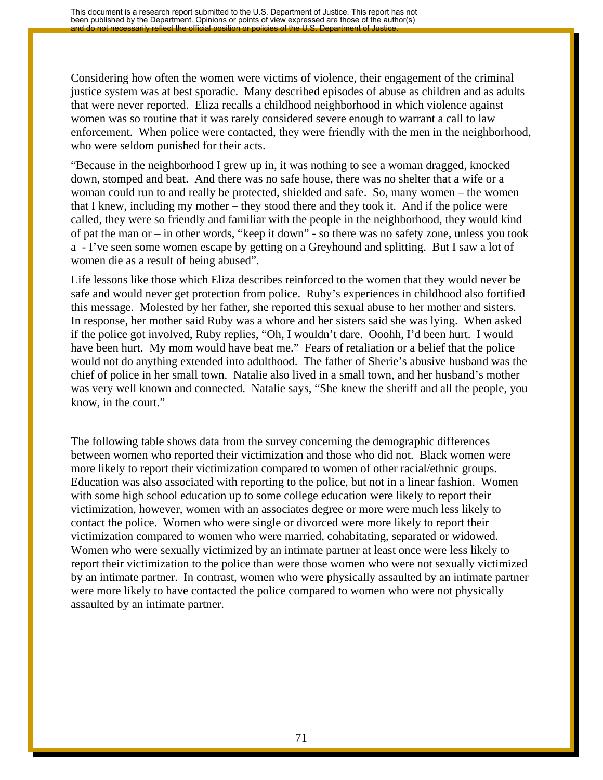Considering how often the women were victims of violence, their engagement of the criminal justice system was at best sporadic. Many described episodes of abuse as children and as adults that were never reported. Eliza recalls a childhood neighborhood in which violence against women was so routine that it was rarely considered severe enough to warrant a call to law enforcement. When police were contacted, they were friendly with the men in the neighborhood, who were seldom punished for their acts.

"Because in the neighborhood I grew up in, it was nothing to see a woman dragged, knocked down, stomped and beat. And there was no safe house, there was no shelter that a wife or a woman could run to and really be protected, shielded and safe. So, many women – the women that I knew, including my mother – they stood there and they took it. And if the police were called, they were so friendly and familiar with the people in the neighborhood, they would kind of pat the man or – in other words, "keep it down" - so there was no safety zone, unless you took a - I've seen some women escape by getting on a Greyhound and splitting. But I saw a lot of women die as a result of being abused".

Life lessons like those which Eliza describes reinforced to the women that they would never be safe and would never get protection from police. Ruby's experiences in childhood also fortified this message. Molested by her father, she reported this sexual abuse to her mother and sisters. In response, her mother said Ruby was a whore and her sisters said she was lying. When asked if the police got involved, Ruby replies, "Oh, I wouldn't dare. Ooohh, I'd been hurt. I would have been hurt. My mom would have beat me." Fears of retaliation or a belief that the police would not do anything extended into adulthood. The father of Sherie's abusive husband was the chief of police in her small town. Natalie also lived in a small town, and her husband's mother was very well known and connected. Natalie says, "She knew the sheriff and all the people, you know, in the court."

The following table shows data from the survey concerning the demographic differences between women who reported their victimization and those who did not. Black women were more likely to report their victimization compared to women of other racial/ethnic groups. Education was also associated with reporting to the police, but not in a linear fashion. Women with some high school education up to some college education were likely to report their victimization, however, women with an associates degree or more were much less likely to contact the police. Women who were single or divorced were more likely to report their victimization compared to women who were married, cohabitating, separated or widowed. Women who were sexually victimized by an intimate partner at least once were less likely to report their victimization to the police than were those women who were not sexually victimized by an intimate partner. In contrast, women who were physically assaulted by an intimate partner were more likely to have contacted the police compared to women who were not physically assaulted by an intimate partner.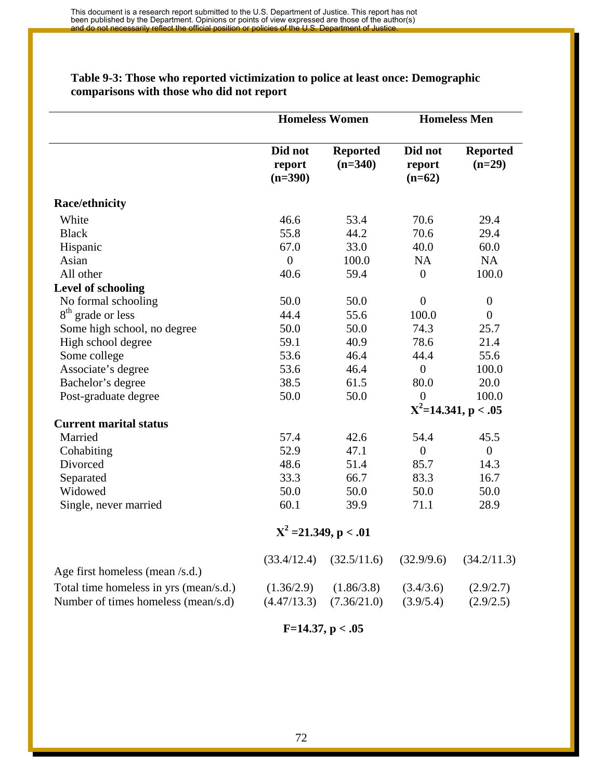|                                        | <b>Homeless Women</b>          |                              | <b>Homeless Men</b>           |                             |  |
|----------------------------------------|--------------------------------|------------------------------|-------------------------------|-----------------------------|--|
|                                        | Did not<br>report<br>$(n=390)$ | <b>Reported</b><br>$(n=340)$ | Did not<br>report<br>$(n=62)$ | <b>Reported</b><br>$(n=29)$ |  |
| Race/ethnicity                         |                                |                              |                               |                             |  |
| White                                  | 46.6                           | 53.4                         | 70.6                          | 29.4                        |  |
| <b>Black</b>                           | 55.8                           | 44.2                         | 70.6                          | 29.4                        |  |
| Hispanic                               | 67.0                           | 33.0                         | 40.0                          | 60.0                        |  |
| Asian                                  | $\overline{0}$                 | 100.0                        | <b>NA</b>                     | <b>NA</b>                   |  |
| All other                              | 40.6                           | 59.4                         | $\boldsymbol{0}$              | 100.0                       |  |
| <b>Level of schooling</b>              |                                |                              |                               |                             |  |
| No formal schooling                    | 50.0                           | 50.0                         | $\overline{0}$                | $\boldsymbol{0}$            |  |
| 8 <sup>th</sup> grade or less          | 44.4                           | 55.6                         | 100.0                         | $\overline{0}$              |  |
| Some high school, no degree            | 50.0                           | 50.0                         | 74.3                          | 25.7                        |  |
| High school degree                     | 59.1                           | 40.9                         | 78.6                          | 21.4                        |  |
| Some college                           | 53.6                           | 46.4                         | 44.4                          | 55.6                        |  |
| Associate's degree                     | 53.6                           | 46.4                         | $\boldsymbol{0}$              | 100.0                       |  |
| Bachelor's degree                      | 38.5                           | 61.5                         | 80.0                          | 20.0                        |  |
| Post-graduate degree                   | 50.0                           | 50.0                         | $\theta$                      | 100.0                       |  |
|                                        |                                |                              |                               | $X^2$ =14.341, p < .05      |  |
| <b>Current marital status</b>          |                                |                              |                               |                             |  |
| Married                                | 57.4                           | 42.6                         | 54.4                          | 45.5                        |  |
| Cohabiting                             | 52.9                           | 47.1                         | $\boldsymbol{0}$              | $\overline{0}$              |  |
| Divorced                               | 48.6                           | 51.4                         | 85.7                          | 14.3                        |  |
| Separated                              | 33.3                           | 66.7                         | 83.3                          | 16.7                        |  |
| Widowed                                | 50.0                           | 50.0                         | 50.0                          | 50.0                        |  |
| Single, never married                  | 60.1                           | 39.9                         | 71.1                          | 28.9                        |  |
|                                        |                                | $X^2 = 21.349$ , p < .01     |                               |                             |  |
| Age first homeless (mean /s.d.)        | (33.4/12.4)                    | (32.5/11.6)                  | (32.9/9.6)                    | (34.2/11.3)                 |  |
| Total time homeless in yrs (mean/s.d.) | (1.36/2.9)                     | (1.86/3.8)                   | (3.4/3.6)                     | (2.9/2.7)                   |  |
| Number of times homeless (mean/s.d)    | (4.47/13.3)                    | (7.36/21.0)                  | (3.9/5.4)                     | (2.9/2.5)                   |  |

**Table 9-3: Those who reported victimization to police at least once: Demographic comparisons with those who did not report** 

**F=14.37, p < .05**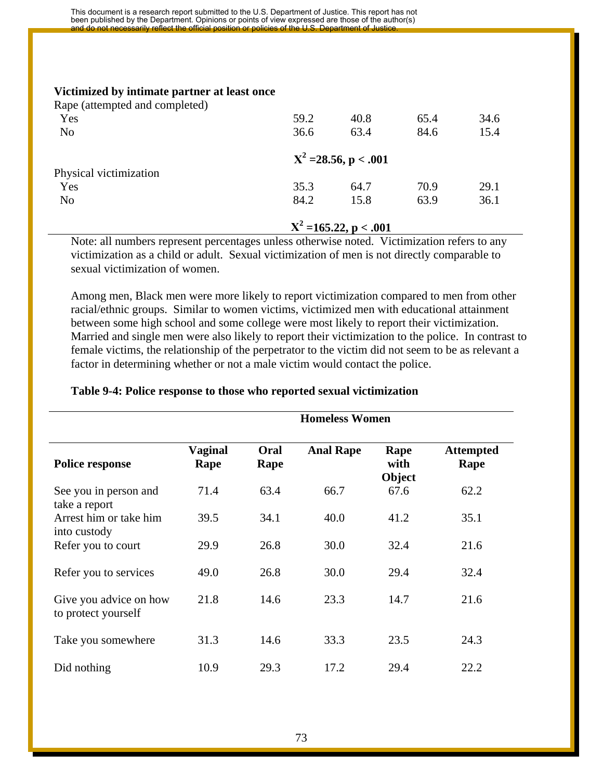#### **Victimized by intimate partner at least once**

| Rape (attempted and completed) |      |                          |      |      |
|--------------------------------|------|--------------------------|------|------|
| Yes                            | 59.2 | 40.8                     | 65.4 | 34.6 |
| No                             | 36.6 | 63.4                     | 84.6 | 15.4 |
|                                |      | $X^2 = 28.56$ , p < .001 |      |      |
| Physical victimization         |      |                          |      |      |
| Yes                            | 35.3 | 64.7                     | 70.9 | 29.1 |
| N <sub>0</sub>                 | 84.2 | 15.8                     | 63.9 | 36.1 |
|                                |      | $X^2 = 165.22, p < .001$ |      |      |

Note: all numbers represent percentages unless otherwise noted. Victimization refers to any victimization as a child or adult. Sexual victimization of men is not directly comparable to sexual victimization of women.

Among men, Black men were more likely to report victimization compared to men from other racial/ethnic groups. Similar to women victims, victimized men with educational attainment between some high school and some college were most likely to report their victimization. Married and single men were also likely to report their victimization to the police. In contrast to female victims, the relationship of the perpetrator to the victim did not seem to be as relevant a factor in determining whether or not a male victim would contact the police.

| Table 9-4: Police response to those who reported sexual victimization |  |
|-----------------------------------------------------------------------|--|
|                                                                       |  |

|                                               |                        |              | <b>Homeless Women</b> |                        |                          |
|-----------------------------------------------|------------------------|--------------|-----------------------|------------------------|--------------------------|
| <b>Police response</b>                        | <b>Vaginal</b><br>Rape | Oral<br>Rape | <b>Anal Rape</b>      | Rape<br>with<br>Object | <b>Attempted</b><br>Rape |
| See you in person and<br>take a report        | 71.4                   | 63.4         | 66.7                  | 67.6                   | 62.2                     |
| Arrest him or take him<br>into custody        | 39.5                   | 34.1         | 40.0                  | 41.2                   | 35.1                     |
| Refer you to court                            | 29.9                   | 26.8         | 30.0                  | 32.4                   | 21.6                     |
| Refer you to services                         | 49.0                   | 26.8         | 30.0                  | 29.4                   | 32.4                     |
| Give you advice on how<br>to protect yourself | 21.8                   | 14.6         | 23.3                  | 14.7                   | 21.6                     |
| Take you somewhere                            | 31.3                   | 14.6         | 33.3                  | 23.5                   | 24.3                     |
| Did nothing                                   | 10.9                   | 29.3         | 17.2                  | 29.4                   | 22.2                     |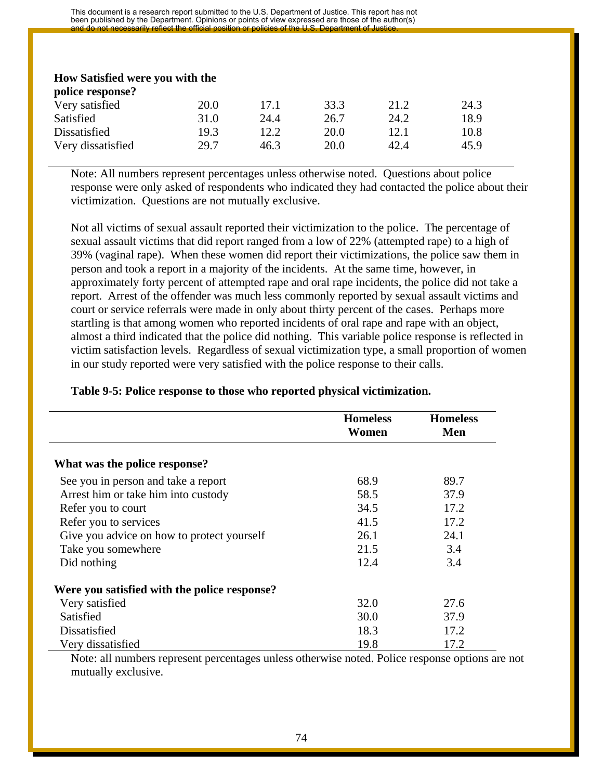|  | This document is a research report submitted to the U.S. Department of Justice. This report has not |
|--|-----------------------------------------------------------------------------------------------------|
|  | been published by the Department. Opinions or points of view expressed are those of the author(s)   |
|  | and do not necessarily reflect the official position or policies of the U.S. Department of Justice. |
|  |                                                                                                     |

| How Satisfied were you with the |      |      |      |      |      |
|---------------------------------|------|------|------|------|------|
| police response?                |      |      |      |      |      |
| Very satisfied                  | 20.0 | 17.1 | 33.3 | 21.2 | 24.3 |
| Satisfied                       | 31.0 | 24.4 | 26.7 | 24.2 | 18.9 |
| Dissatisfied                    | 19.3 | 12.2 | 20.0 | 12.1 | 10.8 |
| Very dissatisfied               | 29.7 | 46.3 | 20.0 | 42.4 | 45.9 |

Note: All numbers represent percentages unless otherwise noted. Questions about police response were only asked of respondents who indicated they had contacted the police about their victimization. Questions are not mutually exclusive.

Not all victims of sexual assault reported their victimization to the police. The percentage of sexual assault victims that did report ranged from a low of 22% (attempted rape) to a high of 39% (vaginal rape). When these women did report their victimizations, the police saw them in person and took a report in a majority of the incidents. At the same time, however, in approximately forty percent of attempted rape and oral rape incidents, the police did not take a report. Arrest of the offender was much less commonly reported by sexual assault victims and court or service referrals were made in only about thirty percent of the cases. Perhaps more startling is that among women who reported incidents of oral rape and rape with an object, almost a third indicated that the police did nothing. This variable police response is reflected in victim satisfaction levels. Regardless of sexual victimization type, a small proportion of women in our study reported were very satisfied with the police response to their calls.

|                                              | <b>Homeless</b><br>Women | <b>Homeless</b><br>Men |
|----------------------------------------------|--------------------------|------------------------|
| What was the police response?                |                          |                        |
| See you in person and take a report          | 68.9                     | 89.7                   |
| Arrest him or take him into custody          | 58.5                     | 37.9                   |
| Refer you to court                           | 34.5                     | 17.2                   |
| Refer you to services                        | 41.5                     | 17.2                   |
| Give you advice on how to protect yourself   | 26.1                     | 24.1                   |
| Take you somewhere                           | 21.5                     | 3.4                    |
| Did nothing                                  | 12.4                     | 3.4                    |
| Were you satisfied with the police response? |                          |                        |
| Very satisfied                               | 32.0                     | 27.6                   |
| Satisfied                                    | 30.0                     | 37.9                   |
| Dissatisfied                                 | 18.3                     | 17.2                   |
| Very dissatisfied                            | 19.8                     | 17.2                   |

**Table 9-5: Police response to those who reported physical victimization.**

Note: all numbers represent percentages unless otherwise noted. Police response options are not mutually exclusive.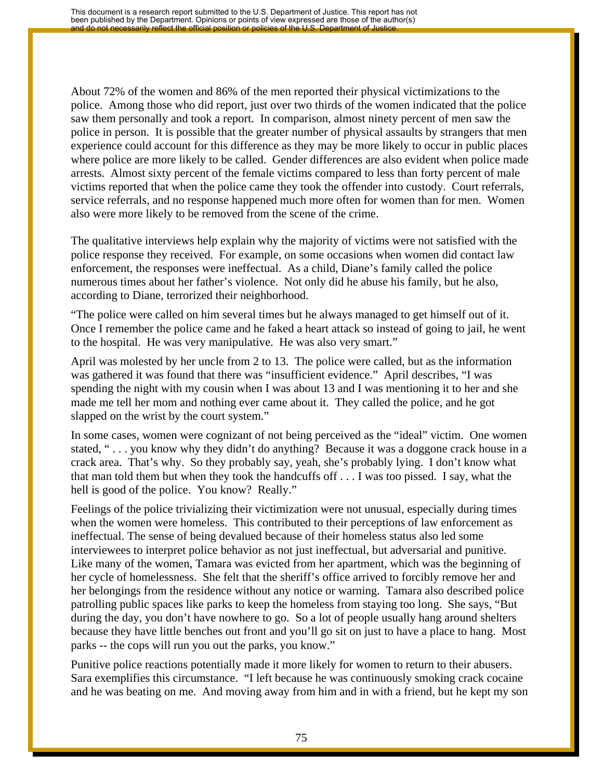About 72% of the women and 86% of the men reported their physical victimizations to the police. Among those who did report, just over two thirds of the women indicated that the police saw them personally and took a report. In comparison, almost ninety percent of men saw the police in person. It is possible that the greater number of physical assaults by strangers that men experience could account for this difference as they may be more likely to occur in public places where police are more likely to be called. Gender differences are also evident when police made arrests. Almost sixty percent of the female victims compared to less than forty percent of male victims reported that when the police came they took the offender into custody. Court referrals, service referrals, and no response happened much more often for women than for men. Women also were more likely to be removed from the scene of the crime.

The qualitative interviews help explain why the majority of victims were not satisfied with the police response they received. For example, on some occasions when women did contact law enforcement, the responses were ineffectual. As a child, Diane's family called the police numerous times about her father's violence. Not only did he abuse his family, but he also, according to Diane, terrorized their neighborhood.

"The police were called on him several times but he always managed to get himself out of it. Once I remember the police came and he faked a heart attack so instead of going to jail, he went to the hospital. He was very manipulative. He was also very smart."

April was molested by her uncle from 2 to 13. The police were called, but as the information was gathered it was found that there was "insufficient evidence." April describes, "I was spending the night with my cousin when I was about 13 and I was mentioning it to her and she made me tell her mom and nothing ever came about it. They called the police, and he got slapped on the wrist by the court system."

In some cases, women were cognizant of not being perceived as the "ideal" victim. One women stated, " . . . you know why they didn't do anything? Because it was a doggone crack house in a crack area. That's why. So they probably say, yeah, she's probably lying. I don't know what that man told them but when they took the handcuffs off . . . I was too pissed. I say, what the hell is good of the police. You know? Really."

Feelings of the police trivializing their victimization were not unusual, especially during times when the women were homeless. This contributed to their perceptions of law enforcement as ineffectual. The sense of being devalued because of their homeless status also led some interviewees to interpret police behavior as not just ineffectual, but adversarial and punitive. Like many of the women, Tamara was evicted from her apartment, which was the beginning of her cycle of homelessness. She felt that the sheriff's office arrived to forcibly remove her and her belongings from the residence without any notice or warning. Tamara also described police patrolling public spaces like parks to keep the homeless from staying too long. She says, "But during the day, you don't have nowhere to go. So a lot of people usually hang around shelters because they have little benches out front and you'll go sit on just to have a place to hang. Most parks -- the cops will run you out the parks, you know."

Punitive police reactions potentially made it more likely for women to return to their abusers. Sara exemplifies this circumstance. "I left because he was continuously smoking crack cocaine and he was beating on me. And moving away from him and in with a friend, but he kept my son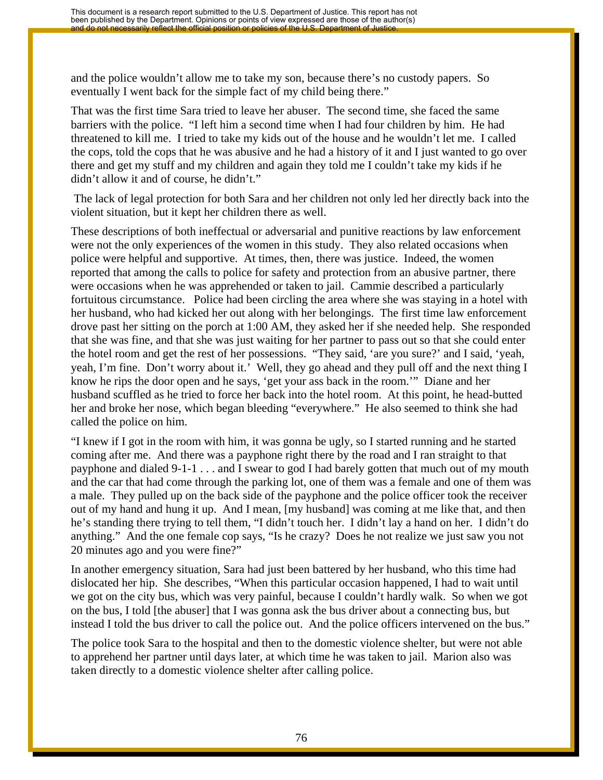and the police wouldn't allow me to take my son, because there's no custody papers. So eventually I went back for the simple fact of my child being there."

That was the first time Sara tried to leave her abuser. The second time, she faced the same barriers with the police. "I left him a second time when I had four children by him. He had threatened to kill me. I tried to take my kids out of the house and he wouldn't let me. I called the cops, told the cops that he was abusive and he had a history of it and I just wanted to go over there and get my stuff and my children and again they told me I couldn't take my kids if he didn't allow it and of course, he didn't."

 The lack of legal protection for both Sara and her children not only led her directly back into the violent situation, but it kept her children there as well.

These descriptions of both ineffectual or adversarial and punitive reactions by law enforcement were not the only experiences of the women in this study. They also related occasions when police were helpful and supportive. At times, then, there was justice. Indeed, the women reported that among the calls to police for safety and protection from an abusive partner, there were occasions when he was apprehended or taken to jail. Cammie described a particularly fortuitous circumstance. Police had been circling the area where she was staying in a hotel with her husband, who had kicked her out along with her belongings. The first time law enforcement drove past her sitting on the porch at 1:00 AM, they asked her if she needed help. She responded that she was fine, and that she was just waiting for her partner to pass out so that she could enter the hotel room and get the rest of her possessions. "They said, 'are you sure?' and I said, 'yeah, yeah, I'm fine. Don't worry about it.' Well, they go ahead and they pull off and the next thing I know he rips the door open and he says, 'get your ass back in the room.'" Diane and her husband scuffled as he tried to force her back into the hotel room. At this point, he head-butted her and broke her nose, which began bleeding "everywhere." He also seemed to think she had called the police on him.

"I knew if I got in the room with him, it was gonna be ugly, so I started running and he started coming after me. And there was a payphone right there by the road and I ran straight to that payphone and dialed 9-1-1 . . . and I swear to god I had barely gotten that much out of my mouth and the car that had come through the parking lot, one of them was a female and one of them was a male. They pulled up on the back side of the payphone and the police officer took the receiver out of my hand and hung it up. And I mean, [my husband] was coming at me like that, and then he's standing there trying to tell them, "I didn't touch her. I didn't lay a hand on her. I didn't do anything." And the one female cop says, "Is he crazy? Does he not realize we just saw you not 20 minutes ago and you were fine?"

In another emergency situation, Sara had just been battered by her husband, who this time had dislocated her hip. She describes, "When this particular occasion happened, I had to wait until we got on the city bus, which was very painful, because I couldn't hardly walk. So when we got on the bus, I told [the abuser] that I was gonna ask the bus driver about a connecting bus, but instead I told the bus driver to call the police out. And the police officers intervened on the bus."

The police took Sara to the hospital and then to the domestic violence shelter, but were not able to apprehend her partner until days later, at which time he was taken to jail. Marion also was taken directly to a domestic violence shelter after calling police.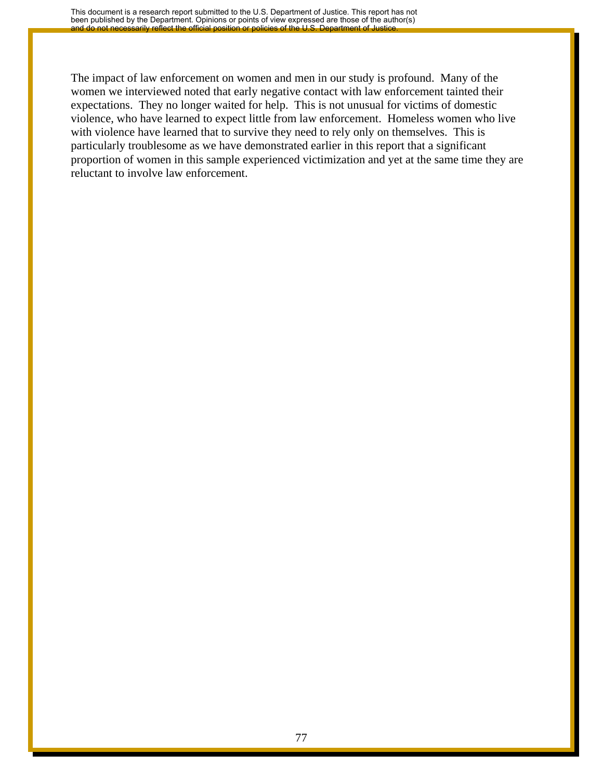The impact of law enforcement on women and men in our study is profound. Many of the women we interviewed noted that early negative contact with law enforcement tainted their expectations. They no longer waited for help. This is not unusual for victims of domestic violence, who have learned to expect little from law enforcement. Homeless women who live with violence have learned that to survive they need to rely only on themselves. This is particularly troublesome as we have demonstrated earlier in this report that a significant proportion of women in this sample experienced victimization and yet at the same time they are reluctant to involve law enforcement.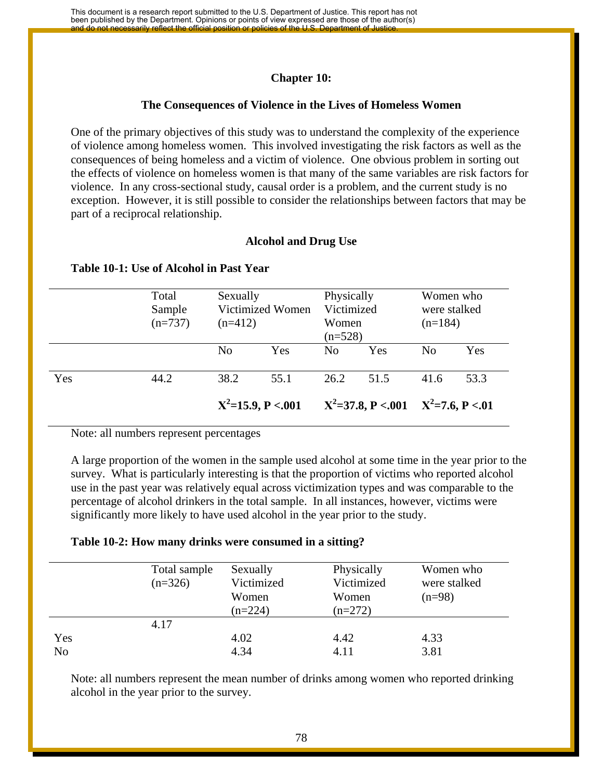## **Chapter 10:**

## **The Consequences of Violence in the Lives of Homeless Women**

One of the primary objectives of this study was to understand the complexity of the experience of violence among homeless women. This involved investigating the risk factors as well as the consequences of being homeless and a victim of violence. One obvious problem in sorting out the effects of violence on homeless women is that many of the same variables are risk factors for violence. In any cross-sectional study, causal order is a problem, and the current study is no exception. However, it is still possible to consider the relationships between factors that may be part of a reciprocal relationship.

## **Alcohol and Drug Use**

|     | Total<br>Sample<br>$(n=737)$ | Sexually<br>Victimized Women<br>$(n=412)$ |                    | Physically<br>Victimized<br>Women<br>$(n=528)$ |      | Women who<br>were stalked<br>$(n=184)$ |      |
|-----|------------------------------|-------------------------------------------|--------------------|------------------------------------------------|------|----------------------------------------|------|
|     |                              | N <sub>0</sub>                            | Yes                | N <sub>0</sub>                                 | Yes  | N <sub>0</sub>                         | Yes  |
| Yes | 44.2                         | 38.2                                      | 55.1               | 26.2                                           | 51.5 | 41.6                                   | 53.3 |
|     |                              |                                           | $X^2=15.9, P<.001$ | $X^2 = 37.8$ , P < 001 $X^2 = 7.6$ , P < 01    |      |                                        |      |

### **Table 10-1: Use of Alcohol in Past Year**

Note: all numbers represent percentages

A large proportion of the women in the sample used alcohol at some time in the year prior to the survey. What is particularly interesting is that the proportion of victims who reported alcohol use in the past year was relatively equal across victimization types and was comparable to the percentage of alcohol drinkers in the total sample. In all instances, however, victims were significantly more likely to have used alcohol in the year prior to the study.

#### **Table 10-2: How many drinks were consumed in a sitting?**

|                | Total sample<br>$(n=326)$ | Sexually<br>Victimized<br>Women<br>$(n=224)$ | Physically<br>Victimized<br>Women<br>$(n=272)$ | Women who<br>were stalked<br>$(n=98)$ |
|----------------|---------------------------|----------------------------------------------|------------------------------------------------|---------------------------------------|
|                | 4.17                      |                                              |                                                |                                       |
| Yes            |                           | 4.02                                         | 4.42                                           | 4.33                                  |
| N <sub>o</sub> |                           | 4.34                                         | 4.11                                           | 3.81                                  |

Note: all numbers represent the mean number of drinks among women who reported drinking alcohol in the year prior to the survey.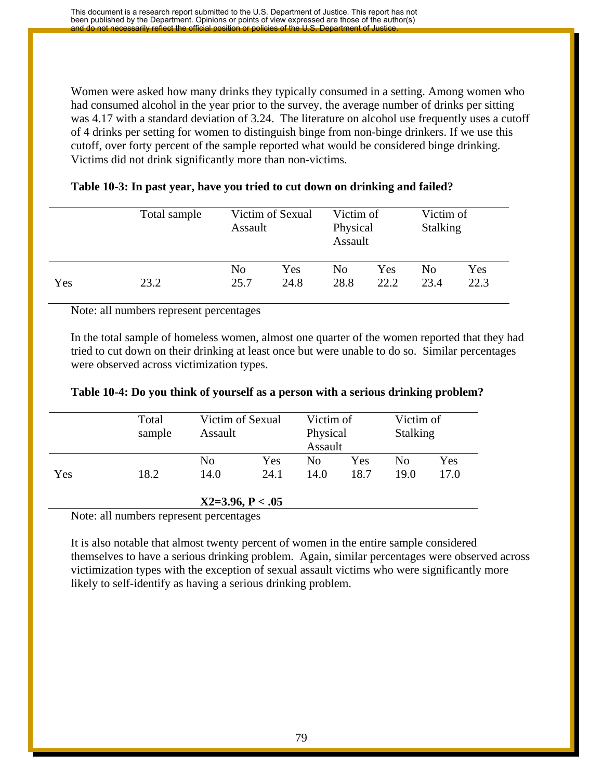Women were asked how many drinks they typically consumed in a setting. Among women who had consumed alcohol in the year prior to the survey, the average number of drinks per sitting was 4.17 with a standard deviation of 3.24. The literature on alcohol use frequently uses a cutoff of 4 drinks per setting for women to distinguish binge from non-binge drinkers. If we use this cutoff, over forty percent of the sample reported what would be considered binge drinking. Victims did not drink significantly more than non-victims.

|     | Total sample | Victim of Sexual<br>Assault |             |            | Victim of<br>Physical<br>Assault |            | Victim of<br><b>Stalking</b> |  |
|-----|--------------|-----------------------------|-------------|------------|----------------------------------|------------|------------------------------|--|
| Yes | 23.2         | N <sub>0</sub><br>25.7      | Yes<br>24.8 | No<br>28.8 | Yes<br>22.2                      | No<br>23.4 | Yes<br>22.3                  |  |

|  |  |  |  |  | Table 10-3: In past year, have you tried to cut down on drinking and failed? |  |
|--|--|--|--|--|------------------------------------------------------------------------------|--|
|  |  |  |  |  |                                                                              |  |

Note: all numbers represent percentages

In the total sample of homeless women, almost one quarter of the women reported that they had tried to cut down on their drinking at least once but were unable to do so. Similar percentages were observed across victimization types.

## **Table 10-4: Do you think of yourself as a person with a serious drinking problem?**

|     | Total<br>sample | Victim of Sexual<br>Assault |                  | Victim of<br>Physical<br>Assault |             | Victim of<br><b>Stalking</b> |             |  |
|-----|-----------------|-----------------------------|------------------|----------------------------------|-------------|------------------------------|-------------|--|
| Yes | 18.2            | No<br>14.0                  | Yes<br>24.1      | No<br>14.0                       | Yes<br>18.7 | No<br>19.0                   | Yes<br>17.0 |  |
|     |                 |                             | $X2=3.96, P<.05$ |                                  |             |                              |             |  |

Note: all numbers represent percentages

It is also notable that almost twenty percent of women in the entire sample considered themselves to have a serious drinking problem. Again, similar percentages were observed across victimization types with the exception of sexual assault victims who were significantly more likely to self-identify as having a serious drinking problem.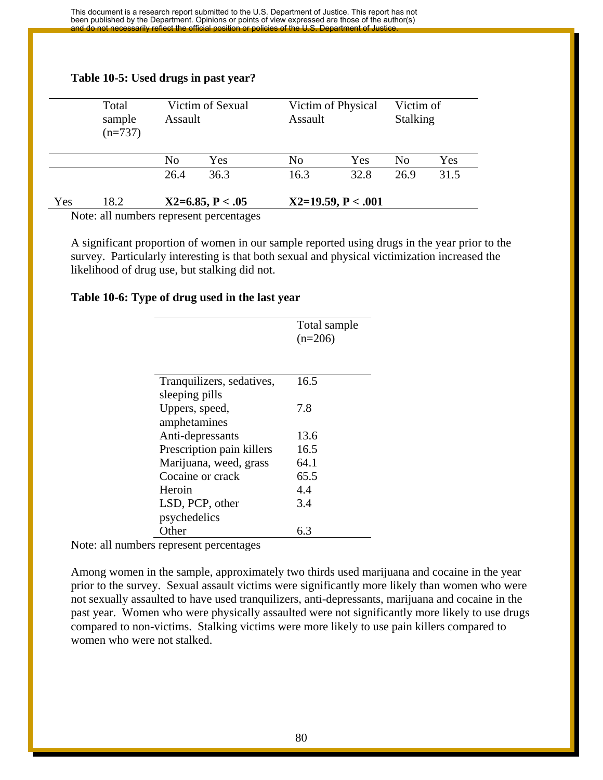This document is a research report submitted to the U.S. Department of Justice. This report has not been published by the Department. Opinions or points of view expressed are those of the author(s) and do not necessarily reflect the official position or policies of the U.S. Department of Justice.

### **Table 10-5: Used drugs in past year?**

|     | Total<br>sample<br>$(n=737)$ | Assault | Victim of Sexual   | Assault        | Victim of Physical   | Victim of<br><b>Stalking</b> |      |
|-----|------------------------------|---------|--------------------|----------------|----------------------|------------------------------|------|
|     |                              | No      | Yes                | N <sub>0</sub> | Yes                  | No                           | Yes  |
|     |                              | 26.4    | 36.3               | 16.3           | 32.8                 | 26.9                         | 31.5 |
| Yes | 18.2                         |         | $X2=6.85, P < .05$ |                | $X2=19.59, P < .001$ |                              |      |

Note: all numbers represent percentages

A significant proportion of women in our sample reported using drugs in the year prior to the survey. Particularly interesting is that both sexual and physical victimization increased the likelihood of drug use, but stalking did not.

### **Table 10-6: Type of drug used in the last year**

|                           | Total sample |
|---------------------------|--------------|
|                           | $(n=206)$    |
|                           |              |
|                           |              |
| Tranquilizers, sedatives, | 16.5         |
| sleeping pills            |              |
| Uppers, speed,            | 7.8          |
| amphetamines              |              |
| Anti-depressants          | 13.6         |
| Prescription pain killers | 16.5         |
| Marijuana, weed, grass    | 64.1         |
| Cocaine or crack          | 65.5         |
| Heroin                    | 4.4          |
| LSD, PCP, other           | 3.4          |
| psychedelics              |              |
| Other)                    | 6.3          |

Note: all numbers represent percentages

Among women in the sample, approximately two thirds used marijuana and cocaine in the year prior to the survey. Sexual assault victims were significantly more likely than women who were not sexually assaulted to have used tranquilizers, anti-depressants, marijuana and cocaine in the past year. Women who were physically assaulted were not significantly more likely to use drugs compared to non-victims. Stalking victims were more likely to use pain killers compared to women who were not stalked.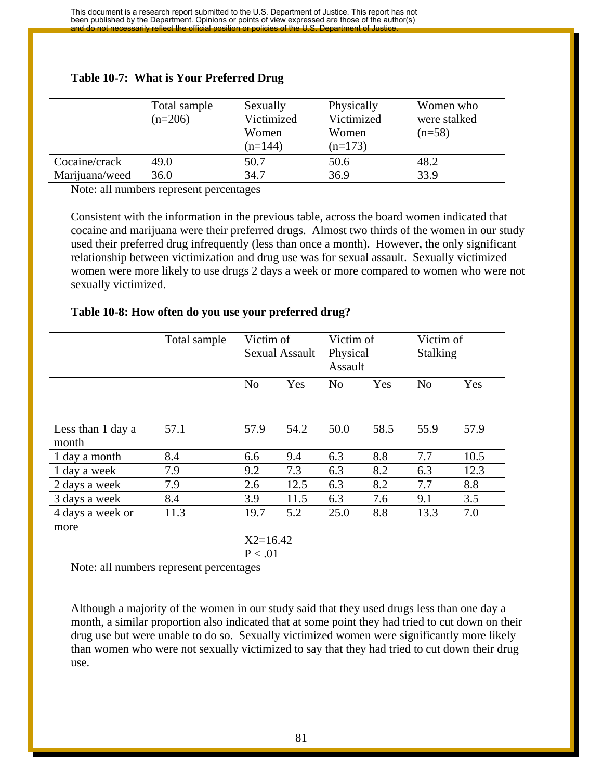## **Table 10-7: What is Your Preferred Drug**

|                | Total sample<br>$(n=206)$ | Sexually<br>Victimized<br>Women<br>$(n=144)$ | Physically<br>Victimized<br>Women<br>$(n=173)$ | Women who<br>were stalked<br>$(n=58)$ |
|----------------|---------------------------|----------------------------------------------|------------------------------------------------|---------------------------------------|
| Cocaine/crack  | 49.0                      | 50.7                                         | 50.6                                           | 48.2                                  |
| Marijuana/weed | 36.0                      | 34.7                                         | 36.9                                           | 33.9                                  |

Note: all numbers represent percentages

Consistent with the information in the previous table, across the board women indicated that cocaine and marijuana were their preferred drugs. Almost two thirds of the women in our study used their preferred drug infrequently (less than once a month). However, the only significant relationship between victimization and drug use was for sexual assault. Sexually victimized women were more likely to use drugs 2 days a week or more compared to women who were not sexually victimized.

# **Table 10-8: How often do you use your preferred drug?**

|                            | Total sample | Victim of<br><b>Sexual Assault</b> |      | Victim of<br>Physical<br>Assault |      | Victim of<br><b>Stalking</b> |      |
|----------------------------|--------------|------------------------------------|------|----------------------------------|------|------------------------------|------|
|                            |              | N <sub>o</sub>                     | Yes  | N <sub>o</sub>                   | Yes  | N <sub>o</sub>               | Yes  |
| Less than 1 day a<br>month | 57.1         | 57.9                               | 54.2 | 50.0                             | 58.5 | 55.9                         | 57.9 |
| 1 day a month              | 8.4          | 6.6                                | 9.4  | 6.3                              | 8.8  | 7.7                          | 10.5 |
| 1 day a week               | 7.9          | 9.2                                | 7.3  | 6.3                              | 8.2  | 6.3                          | 12.3 |
| 2 days a week              | 7.9          | 2.6                                | 12.5 | 6.3                              | 8.2  | 7.7                          | 8.8  |
| 3 days a week              | 8.4          | 3.9                                | 11.5 | 6.3                              | 7.6  | 9.1                          | 3.5  |
| 4 days a week or<br>more   | 11.3         | 19.7<br>$X2=16.42$                 | 5.2  | 25.0                             | 8.8  | 13.3                         | 7.0  |

 $P < .01$ 

Note: all numbers represent percentages

Although a majority of the women in our study said that they used drugs less than one day a month, a similar proportion also indicated that at some point they had tried to cut down on their drug use but were unable to do so. Sexually victimized women were significantly more likely than women who were not sexually victimized to say that they had tried to cut down their drug use.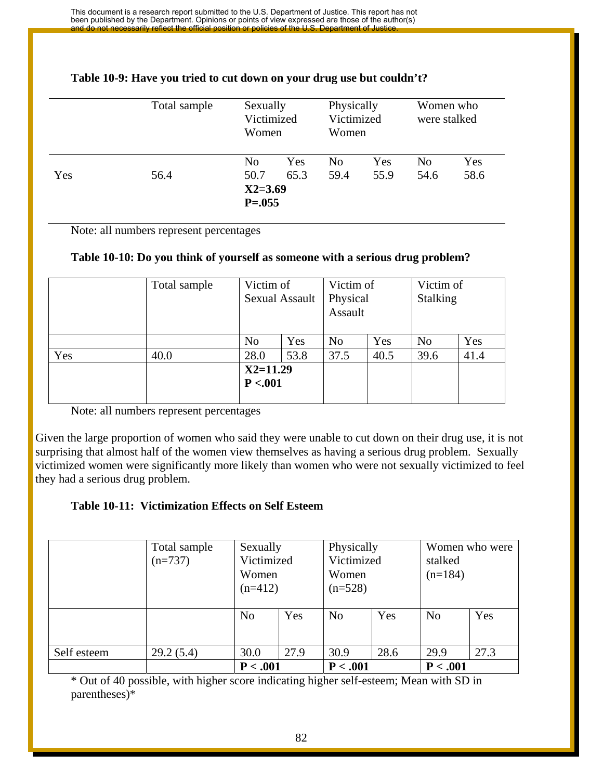|     | Total sample | Sexually<br>Victimized<br>Women          |             | Physically<br>Victimized<br>Women |             | Women who<br>were stalked |             |
|-----|--------------|------------------------------------------|-------------|-----------------------------------|-------------|---------------------------|-------------|
| Yes | 56.4         | No<br>50.7<br>$X2 = 3.69$<br>$P = 0.055$ | Yes<br>65.3 | No<br>59.4                        | Yes<br>55.9 | No<br>54.6                | Yes<br>58.6 |

# **Table 10-9: Have you tried to cut down on your drug use but couldn't?**

Note: all numbers represent percentages

# **Table 10-10: Do you think of yourself as someone with a serious drug problem?**

|     | Total sample | Victim of<br><b>Sexual Assault</b> |      |                |      | Victim of<br>Physical<br>Assault |      | Victim of<br><b>Stalking</b> |  |
|-----|--------------|------------------------------------|------|----------------|------|----------------------------------|------|------------------------------|--|
|     |              | N <sub>0</sub>                     | Yes  | N <sub>o</sub> | Yes  | No                               | Yes  |                              |  |
| Yes | 40.0         | 28.0                               | 53.8 | 37.5           | 40.5 | 39.6                             | 41.4 |                              |  |
|     |              | $X2 = 11.29$<br>P < .001           |      |                |      |                                  |      |                              |  |

Note: all numbers represent percentages

Given the large proportion of women who said they were unable to cut down on their drug use, it is not surprising that almost half of the women view themselves as having a serious drug problem. Sexually victimized women were significantly more likely than women who were not sexually victimized to feel they had a serious drug problem.

## **Table 10-11: Victimization Effects on Self Esteem**

|             | Total sample<br>$(n=737)$ | Sexually<br>Victimized<br>Women<br>$(n=412)$ |      | Physically<br>Victimized<br>Women<br>$(n=528)$ |      | Women who were<br>stalked<br>$(n=184)$ |      |
|-------------|---------------------------|----------------------------------------------|------|------------------------------------------------|------|----------------------------------------|------|
|             |                           | N <sub>o</sub>                               | Yes  | No                                             | Yes  | N <sub>o</sub>                         | Yes  |
| Self esteem | 29.2(5.4)                 | 30.0                                         | 27.9 | 30.9                                           | 28.6 | 29.9                                   | 27.3 |
|             |                           | P < .001                                     |      | P < .001                                       |      | P < .001                               |      |

\* Out of 40 possible, with higher score indicating higher self-esteem; Mean with SD in parentheses)\*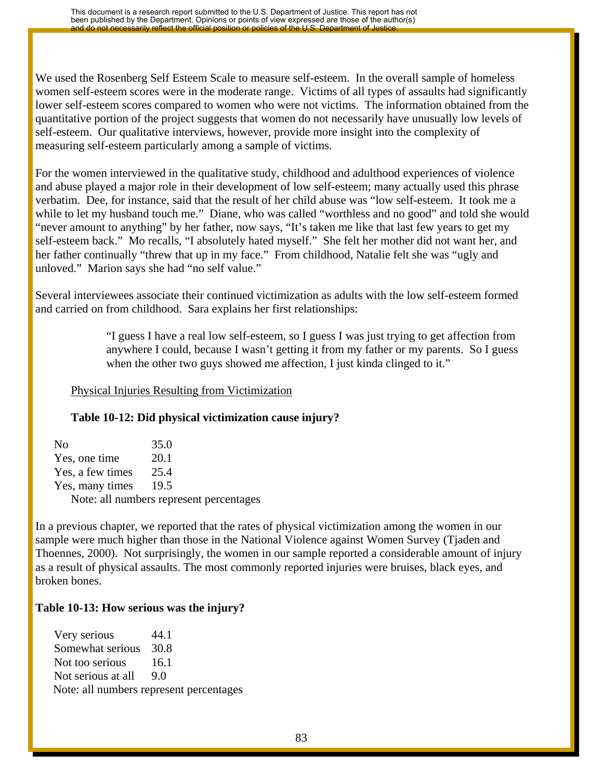This document is a research report submitted to the U.S. Department of Justice. This report has not been published by the Department. Opinions or points of view expressed are those of the author(s) and do not necessarily reflect the official position or policies of the U.S. Department of Justice.

We used the Rosenberg Self Esteem Scale to measure self-esteem. In the overall sample of homeless women self-esteem scores were in the moderate range. Victims of all types of assaults had significantly lower self-esteem scores compared to women who were not victims. The information obtained from the quantitative portion of the project suggests that women do not necessarily have unusually low levels of self-esteem. Our qualitative interviews, however, provide more insight into the complexity of measuring self-esteem particularly among a sample of victims.

For the women interviewed in the qualitative study, childhood and adulthood experiences of violence and abuse played a major role in their development of low self-esteem; many actually used this phrase verbatim. Dee, for instance, said that the result of her child abuse was "low self-esteem. It took me a while to let my husband touch me." Diane, who was called "worthless and no good" and told she would "never amount to anything" by her father, now says, "It's taken me like that last few years to get my self-esteem back." Mo recalls, "I absolutely hated myself." She felt her mother did not want her, and her father continually "threw that up in my face." From childhood, Natalie felt she was "ugly and unloved." Marion says she had "no self value."

Several interviewees associate their continued victimization as adults with the low self-esteem formed and carried on from childhood. Sara explains her first relationships:

> "I guess I have a real low self-esteem, so I guess I was just trying to get affection from anywhere I could, because I wasn't getting it from my father or my parents. So I guess when the other two guys showed me affection, I just kinda clinged to it."

Physical Injuries Resulting from Victimization

## **Table 10-12: Did physical victimization cause injury?**

| N <sub>0</sub>   | 35.0                                    |
|------------------|-----------------------------------------|
| Yes, one time    | 20.1                                    |
| Yes, a few times | 25.4                                    |
| Yes, many times  | 19.5                                    |
|                  | Note: all numbers represent percentages |

In a previous chapter, we reported that the rates of physical victimization among the women in our sample were much higher than those in the National Violence against Women Survey (Tjaden and Thoennes, 2000). Not surprisingly, the women in our sample reported a considerable amount of injury as a result of physical assaults. The most commonly reported injuries were bruises, black eyes, and broken bones.

## **Table 10-13: How serious was the injury?**

| Very serious                            | 44.1 |  |  |
|-----------------------------------------|------|--|--|
| Somewhat serious                        | 30.8 |  |  |
| Not too serious                         | 16.1 |  |  |
| Not serious at all                      | 90   |  |  |
| Note: all numbers represent percentages |      |  |  |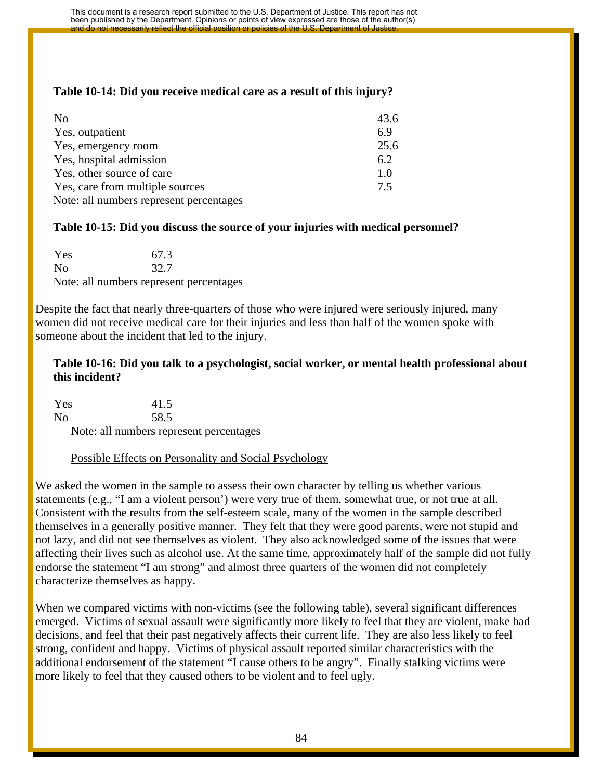# **Table 10-14: Did you receive medical care as a result of this injury?**

| N <sub>0</sub>                          | 43.6 |
|-----------------------------------------|------|
| Yes, outpatient                         | 6.9  |
| Yes, emergency room                     | 25.6 |
| Yes, hospital admission                 | 6.2  |
| Yes, other source of care               | 1.0  |
| Yes, care from multiple sources         | 7.5  |
| Note: all numbers represent percentages |      |

# **Table 10-15: Did you discuss the source of your injuries with medical personnel?**

| Yes | 67.3                                    |
|-----|-----------------------------------------|
| Nο  | 32.7                                    |
|     | Note: all numbers represent percentages |

Despite the fact that nearly three-quarters of those who were injured were seriously injured, many women did not receive medical care for their injuries and less than half of the women spoke with someone about the incident that led to the injury.

# **Table 10-16: Did you talk to a psychologist, social worker, or mental health professional about this incident?**

| Yes | 41.5                                                                                                                                                                                                                                                                                             |
|-----|--------------------------------------------------------------------------------------------------------------------------------------------------------------------------------------------------------------------------------------------------------------------------------------------------|
| No  | 58.5                                                                                                                                                                                                                                                                                             |
|     | $\mathbf{M}$ and $\mathbf{M}$ and $\mathbf{M}$ and $\mathbf{M}$ and $\mathbf{M}$ and $\mathbf{M}$ and $\mathbf{M}$ and $\mathbf{M}$ and $\mathbf{M}$ and $\mathbf{M}$ and $\mathbf{M}$ and $\mathbf{M}$ and $\mathbf{M}$ and $\mathbf{M}$ and $\mathbf{M}$ and $\mathbf{M}$ and $\mathbf{M}$ and |

Note: all numbers represent percentages

# Possible Effects on Personality and Social Psychology

We asked the women in the sample to assess their own character by telling us whether various statements (e.g., "I am a violent person') were very true of them, somewhat true, or not true at all. Consistent with the results from the self-esteem scale, many of the women in the sample described themselves in a generally positive manner. They felt that they were good parents, were not stupid and not lazy, and did not see themselves as violent. They also acknowledged some of the issues that were affecting their lives such as alcohol use. At the same time, approximately half of the sample did not fully endorse the statement "I am strong" and almost three quarters of the women did not completely characterize themselves as happy.

When we compared victims with non-victims (see the following table), several significant differences emerged. Victims of sexual assault were significantly more likely to feel that they are violent, make bad decisions, and feel that their past negatively affects their current life. They are also less likely to feel strong, confident and happy. Victims of physical assault reported similar characteristics with the additional endorsement of the statement "I cause others to be angry". Finally stalking victims were more likely to feel that they caused others to be violent and to feel ugly.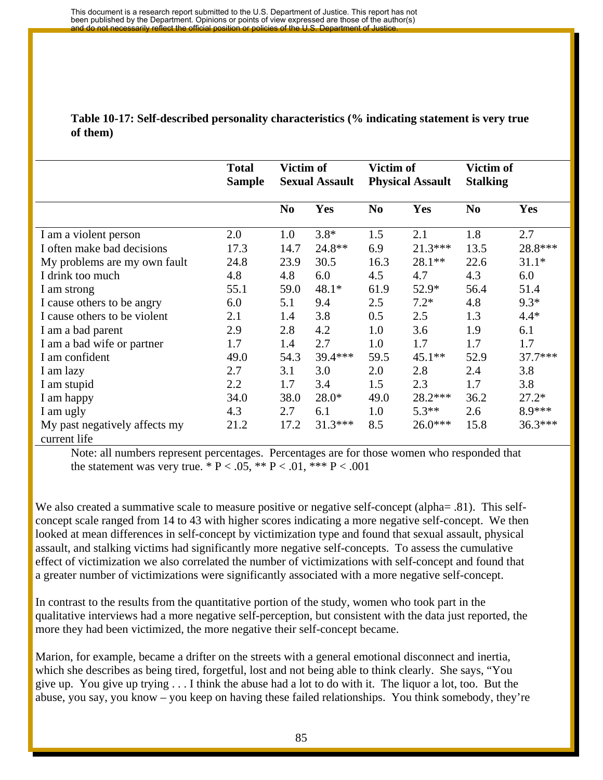|                                               | <b>Total</b>  | Victim of      |                       | Victim of      |                         | Victim of       |            |
|-----------------------------------------------|---------------|----------------|-----------------------|----------------|-------------------------|-----------------|------------|
|                                               | <b>Sample</b> |                | <b>Sexual Assault</b> |                | <b>Physical Assault</b> | <b>Stalking</b> |            |
|                                               |               |                |                       |                |                         |                 |            |
|                                               |               | N <sub>0</sub> | Yes                   | N <sub>0</sub> | Yes                     | N <sub>0</sub>  | <b>Yes</b> |
|                                               |               |                |                       |                |                         |                 |            |
| I am a violent person                         | 2.0           | 1.0            | $3.8*$                | 1.5            | 2.1                     | 1.8             | 2.7        |
| I often make bad decisions                    | 17.3          | 14.7           | 24.8**                | 6.9            | $21.3***$               | 13.5            | 28.8***    |
| My problems are my own fault                  | 24.8          | 23.9           | 30.5                  | 16.3           | 28.1**                  | 22.6            | $31.1*$    |
| I drink too much                              | 4.8           | 4.8            | 6.0                   | 4.5            | 4.7                     | 4.3             | 6.0        |
| I am strong                                   | 55.1          | 59.0           | $48.1*$               | 61.9           | 52.9*                   | 56.4            | 51.4       |
| I cause others to be angry                    | 6.0           | 5.1            | 9.4                   | 2.5            | $7.2*$                  | 4.8             | $9.3*$     |
| I cause others to be violent                  | 2.1           | 1.4            | 3.8                   | 0.5            | 2.5                     | 1.3             | $4.4*$     |
| I am a bad parent                             | 2.9           | 2.8            | 4.2                   | 1.0            | 3.6                     | 1.9             | 6.1        |
| I am a bad wife or partner                    | 1.7           | 1.4            | 2.7                   | 1.0            | 1.7                     | 1.7             | 1.7        |
| I am confident                                | 49.0          | 54.3           | 39.4***               | 59.5           | $45.1**$                | 52.9            | $37.7***$  |
| I am lazy                                     | 2.7           | 3.1            | 3.0                   | 2.0            | 2.8                     | 2.4             | 3.8        |
| I am stupid                                   | 2.2           | 1.7            | 3.4                   | 1.5            | 2.3                     | 1.7             | 3.8        |
| I am happy                                    | 34.0          | 38.0           | $28.0*$               | 49.0           | $28.2***$               | 36.2            | $27.2*$    |
| I am ugly                                     | 4.3           | 2.7            | 6.1                   | 1.0            | $5.3**$                 | 2.6             | 8.9***     |
| My past negatively affects my<br>current life | 21.2          | 17.2           | $31.3***$             | 8.5            | $26.0***$               | 15.8            | 36.3***    |

**Table 10-17: Self-described personality characteristics (% indicating statement is very true of them)** 

Note: all numbers represent percentages. Percentages are for those women who responded that the statement was very true. \* P < .05, \*\* P < .01, \*\*\* P < .001

We also created a summative scale to measure positive or negative self-concept (alpha= .81). This selfconcept scale ranged from 14 to 43 with higher scores indicating a more negative self-concept. We then looked at mean differences in self-concept by victimization type and found that sexual assault, physical assault, and stalking victims had significantly more negative self-concepts. To assess the cumulative effect of victimization we also correlated the number of victimizations with self-concept and found that a greater number of victimizations were significantly associated with a more negative self-concept.

In contrast to the results from the quantitative portion of the study, women who took part in the qualitative interviews had a more negative self-perception, but consistent with the data just reported, the more they had been victimized, the more negative their self-concept became.

Marion, for example, became a drifter on the streets with a general emotional disconnect and inertia, which she describes as being tired, forgetful, lost and not being able to think clearly. She says, "You give up. You give up trying . . . I think the abuse had a lot to do with it. The liquor a lot, too. But the abuse, you say, you know – you keep on having these failed relationships. You think somebody, they're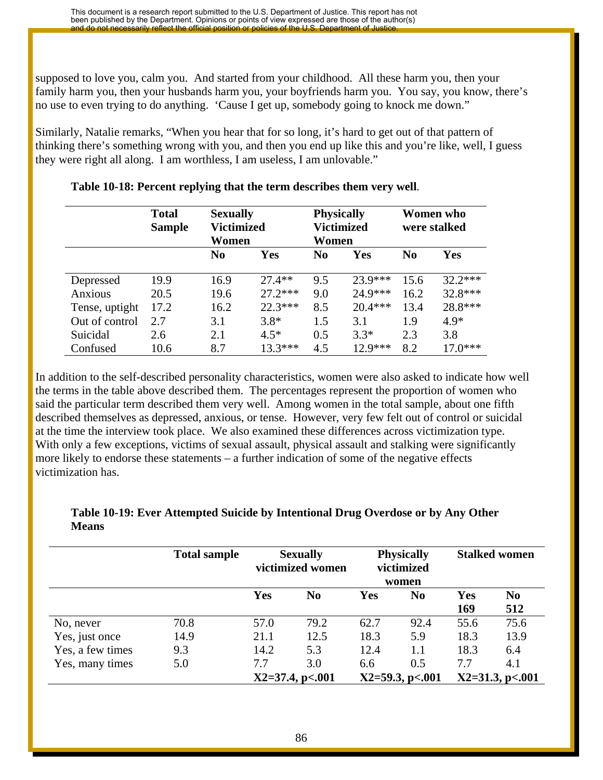supposed to love you, calm you. And started from your childhood. All these harm you, then your family harm you, then your husbands harm you, your boyfriends harm you. You say, you know, there's no use to even trying to do anything. 'Cause I get up, somebody going to knock me down."

Similarly, Natalie remarks, "When you hear that for so long, it's hard to get out of that pattern of thinking there's something wrong with you, and then you end up like this and you're like, well, I guess they were right all along. I am worthless, I am useless, I am unlovable."

|                | <b>Total</b><br><b>Sample</b> | <b>Sexually</b><br><b>Victimized</b><br>Women |           | <b>Physically</b><br><b>Victimized</b><br>Women |            | Women who<br>were stalked |            |
|----------------|-------------------------------|-----------------------------------------------|-----------|-------------------------------------------------|------------|---------------------------|------------|
|                |                               | N <sub>0</sub>                                | Yes       | N <sub>0</sub>                                  | <b>Yes</b> | N <sub>0</sub>            | <b>Yes</b> |
| Depressed      | 19.9                          | 16.9                                          | $27.4**$  | 9.5                                             | 23.9***    | 15.6                      | $32.2***$  |
| Anxious        | 20.5                          | 19.6                                          | $27.2***$ | 9.0                                             | $24.9***$  | 16.2                      | 32.8 ***   |
| Tense, uptight | 17.2                          | 16.2                                          | $22.3***$ | 8.5                                             | $20.4***$  | 13.4                      | 28.8***    |
| Out of control | 2.7                           | 3.1                                           | $3.8*$    | 1.5                                             | 3.1        | 1.9                       | $4.9*$     |
| Suicidal       | 2.6                           | 2.1                                           | $4.5*$    | 0.5                                             | $3.3*$     | 2.3                       | 3.8        |
| Confused       | 10.6                          | 8.7                                           | $13.3***$ | 4.5                                             | $12.9***$  | 8.2                       | $17.0***$  |

**Table 10-18: Percent replying that the term describes them very well**.

In addition to the self-described personality characteristics, women were also asked to indicate how well the terms in the table above described them. The percentages represent the proportion of women who said the particular term described them very well. Among women in the total sample, about one fifth described themselves as depressed, anxious, or tense. However, very few felt out of control or suicidal at the time the interview took place. We also examined these differences across victimization type. With only a few exceptions, victims of sexual assault, physical assault and stalking were significantly more likely to endorse these statements – a further indication of some of the negative effects victimization has.

# **Table 10-19: Ever Attempted Suicide by Intentional Drug Overdose or by Any Other Means**

|                  | <b>Total sample</b> | <b>Sexually</b><br>victimized women |                          | <b>Physically</b><br>victimized<br>women |                             | <b>Stalked women</b> |                             |
|------------------|---------------------|-------------------------------------|--------------------------|------------------------------------------|-----------------------------|----------------------|-----------------------------|
|                  |                     | <b>Yes</b>                          | N <sub>0</sub>           | Yes                                      | N <sub>0</sub>              | Yes<br>169           | No<br>512                   |
| No, never        | 70.8                | 57.0                                | 79.2                     | 62.7                                     | 92.4                        | 55.6                 | 75.6                        |
| Yes, just once   | 14.9                | 21.1                                | 12.5                     | 18.3                                     | 5.9                         | 18.3                 | 13.9                        |
| Yes, a few times | 9.3                 | 14.2                                | 5.3                      | 12.4                                     | 1.1                         | 18.3                 | 6.4                         |
| Yes, many times  | 5.0                 | 7.7                                 | 3.0<br>$X2=37.4, p<.001$ | 6.6                                      | 0.5<br>$X2 = 59.3$ , p<.001 | 7.7                  | 4.1<br>$X2 = 31.3$ , p<.001 |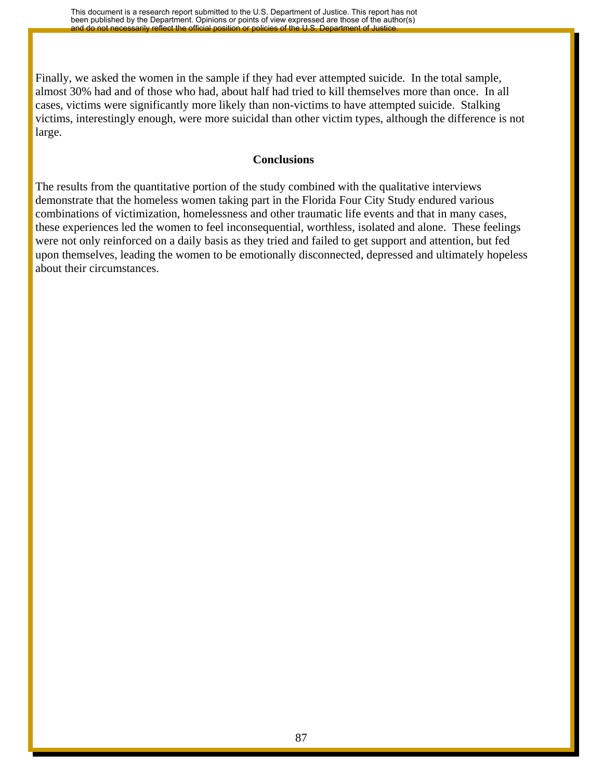Finally, we asked the women in the sample if they had ever attempted suicide. In the total sample, almost 30% had and of those who had, about half had tried to kill themselves more than once. In all cases, victims were significantly more likely than non-victims to have attempted suicide. Stalking victims, interestingly enough, were more suicidal than other victim types, although the difference is not large.

#### **Conclusions**

The results from the quantitative portion of the study combined with the qualitative interviews demonstrate that the homeless women taking part in the Florida Four City Study endured various combinations of victimization, homelessness and other traumatic life events and that in many cases, these experiences led the women to feel inconsequential, worthless, isolated and alone. These feelings were not only reinforced on a daily basis as they tried and failed to get support and attention, but fed upon themselves, leading the women to be emotionally disconnected, depressed and ultimately hopeless about their circumstances.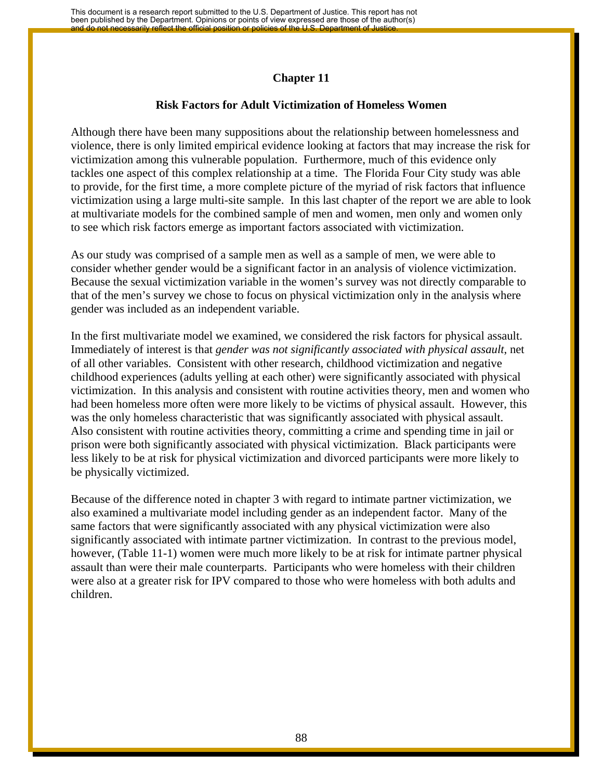### **Chapter 11**

#### **Risk Factors for Adult Victimization of Homeless Women**

Although there have been many suppositions about the relationship between homelessness and violence, there is only limited empirical evidence looking at factors that may increase the risk for victimization among this vulnerable population. Furthermore, much of this evidence only tackles one aspect of this complex relationship at a time. The Florida Four City study was able to provide, for the first time, a more complete picture of the myriad of risk factors that influence victimization using a large multi-site sample. In this last chapter of the report we are able to look at multivariate models for the combined sample of men and women, men only and women only to see which risk factors emerge as important factors associated with victimization.

As our study was comprised of a sample men as well as a sample of men, we were able to consider whether gender would be a significant factor in an analysis of violence victimization. Because the sexual victimization variable in the women's survey was not directly comparable to that of the men's survey we chose to focus on physical victimization only in the analysis where gender was included as an independent variable.

In the first multivariate model we examined, we considered the risk factors for physical assault. Immediately of interest is that *gender was not significantly associated with physical assault*, net of all other variables. Consistent with other research, childhood victimization and negative childhood experiences (adults yelling at each other) were significantly associated with physical victimization. In this analysis and consistent with routine activities theory, men and women who had been homeless more often were more likely to be victims of physical assault. However, this was the only homeless characteristic that was significantly associated with physical assault. Also consistent with routine activities theory, committing a crime and spending time in jail or prison were both significantly associated with physical victimization. Black participants were less likely to be at risk for physical victimization and divorced participants were more likely to be physically victimized.

Because of the difference noted in chapter 3 with regard to intimate partner victimization, we also examined a multivariate model including gender as an independent factor. Many of the same factors that were significantly associated with any physical victimization were also significantly associated with intimate partner victimization. In contrast to the previous model, however, (Table 11-1) women were much more likely to be at risk for intimate partner physical assault than were their male counterparts. Participants who were homeless with their children were also at a greater risk for IPV compared to those who were homeless with both adults and children.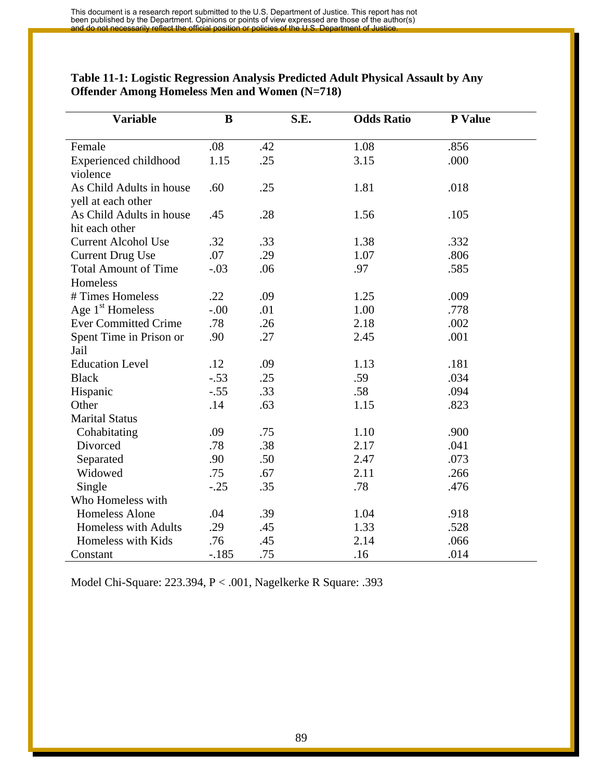| <b>Variable</b>             | B       | S.E. | <b>Odds Ratio</b> | <b>P</b> Value |
|-----------------------------|---------|------|-------------------|----------------|
| Female                      | .08     | .42  | 1.08              | .856           |
| Experienced childhood       | 1.15    | .25  | 3.15              | .000           |
| violence                    |         |      |                   |                |
| As Child Adults in house    | .60     | .25  | 1.81              | .018           |
| yell at each other          |         |      |                   |                |
| As Child Adults in house    | .45     | .28  | 1.56              | .105           |
| hit each other              |         |      |                   |                |
| <b>Current Alcohol Use</b>  | .32     | .33  | 1.38              | .332           |
| <b>Current Drug Use</b>     | .07     | .29  | 1.07              | .806           |
| <b>Total Amount of Time</b> | $-.03$  | .06  | .97               | .585           |
| Homeless                    |         |      |                   |                |
| #Times Homeless             | .22     | .09  | 1.25              | .009           |
| Age $1st$ Homeless          | $-.00$  | .01  | 1.00              | .778           |
| <b>Ever Committed Crime</b> | .78     | .26  | 2.18              | .002           |
| Spent Time in Prison or     | .90     | .27  | 2.45              | .001           |
| Jail                        |         |      |                   |                |
| <b>Education Level</b>      | .12     | .09  | 1.13              | .181           |
| <b>Black</b>                | $-.53$  | .25  | .59               | .034           |
| Hispanic                    | $-.55$  | .33  | .58               | .094           |
| Other                       | .14     | .63  | 1.15              | .823           |
| <b>Marital Status</b>       |         |      |                   |                |
| Cohabitating                | .09     | .75  | 1.10              | .900           |
| Divorced                    | .78     | .38  | 2.17              | .041           |
| Separated                   | .90     | .50  | 2.47              | .073           |
| Widowed                     | .75     | .67  | 2.11              | .266           |
| Single                      | $-.25$  | .35  | .78               | .476           |
| Who Homeless with           |         |      |                   |                |
| Homeless Alone              | .04     | .39  | 1.04              | .918           |
| Homeless with Adults        | .29     | .45  | 1.33              | .528           |
| Homeless with Kids          | .76     | .45  | 2.14              | .066           |
| Constant                    | $-.185$ | .75  | .16               | .014           |

# **Table 11-1: Logistic Regression Analysis Predicted Adult Physical Assault by Any Offender Among Homeless Men and Women (N=718)**

Model Chi-Square: 223.394, P < .001, Nagelkerke R Square: .393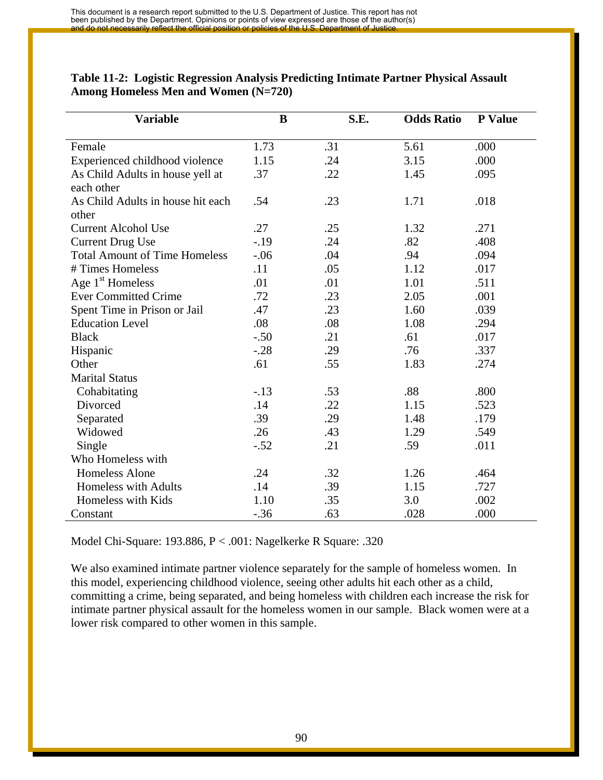| <b>Variable</b>                                | B      | S.E. | <b>Odds Ratio</b> | <b>P</b> Value |
|------------------------------------------------|--------|------|-------------------|----------------|
|                                                |        |      |                   |                |
| Female                                         | 1.73   | .31  | 5.61              | .000           |
| Experienced childhood violence                 | 1.15   | .24  | 3.15              | .000           |
| As Child Adults in house yell at<br>each other | .37    | .22  | 1.45              | .095           |
| As Child Adults in house hit each<br>other     | .54    | .23  | 1.71              | .018           |
| <b>Current Alcohol Use</b>                     | .27    | .25  | 1.32              | .271           |
| <b>Current Drug Use</b>                        | $-.19$ | .24  | .82               | .408           |
| <b>Total Amount of Time Homeless</b>           | $-.06$ | .04  | .94               | .094           |
| #Times Homeless                                | .11    | .05  | 1.12              | .017           |
| Age 1 <sup>st</sup> Homeless                   | .01    | .01  | 1.01              | .511           |
| <b>Ever Committed Crime</b>                    | .72    | .23  | 2.05              | .001           |
| Spent Time in Prison or Jail                   | .47    | .23  | 1.60              | .039           |
| <b>Education Level</b>                         | .08    | .08  | 1.08              | .294           |
| <b>Black</b>                                   | $-.50$ | .21  | .61               | .017           |
| Hispanic                                       | $-.28$ | .29  | .76               | .337           |
| Other                                          | .61    | .55  | 1.83              | .274           |
| <b>Marital Status</b>                          |        |      |                   |                |
| Cohabitating                                   | $-.13$ | .53  | .88               | .800           |
| Divorced                                       | .14    | .22  | 1.15              | .523           |
| Separated                                      | .39    | .29  | 1.48              | .179           |
| Widowed                                        | .26    | .43  | 1.29              | .549           |
| Single                                         | $-.52$ | .21  | .59               | .011           |
| Who Homeless with                              |        |      |                   |                |
| <b>Homeless Alone</b>                          | .24    | .32  | 1.26              | .464           |
| <b>Homeless with Adults</b>                    | .14    | .39  | 1.15              | .727           |
| Homeless with Kids                             | 1.10   | .35  | 3.0               | .002           |
| Constant                                       | $-.36$ | .63  | .028              | .000           |

## **Table 11-2: Logistic Regression Analysis Predicting Intimate Partner Physical Assault Among Homeless Men and Women (N=720)**

Model Chi-Square: 193.886, P < .001: Nagelkerke R Square: .320

We also examined intimate partner violence separately for the sample of homeless women. In this model, experiencing childhood violence, seeing other adults hit each other as a child, committing a crime, being separated, and being homeless with children each increase the risk for intimate partner physical assault for the homeless women in our sample. Black women were at a lower risk compared to other women in this sample.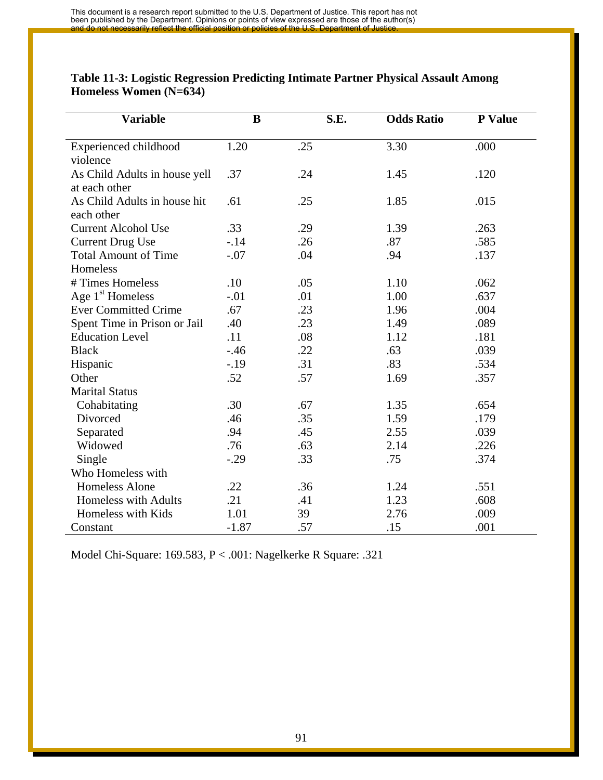| <b>Variable</b>               | B       | S.E. | <b>Odds Ratio</b> | P Value |
|-------------------------------|---------|------|-------------------|---------|
|                               |         |      |                   |         |
| Experienced childhood         | 1.20    | .25  | 3.30              | .000    |
| violence                      |         |      |                   |         |
| As Child Adults in house yell | .37     | .24  | 1.45              | .120    |
| at each other                 |         |      |                   |         |
| As Child Adults in house hit  | .61     | .25  | 1.85              | .015    |
| each other                    |         |      |                   |         |
| <b>Current Alcohol Use</b>    | .33     | .29  | 1.39              | .263    |
| <b>Current Drug Use</b>       | $-.14$  | .26  | .87               | .585    |
| <b>Total Amount of Time</b>   | $-.07$  | .04  | .94               | .137    |
| Homeless                      |         |      |                   |         |
| # Times Homeless              | .10     | .05  | 1.10              | .062    |
| Age $1st$ Homeless            | $-.01$  | .01  | 1.00              | .637    |
| <b>Ever Committed Crime</b>   | .67     | .23  | 1.96              | .004    |
| Spent Time in Prison or Jail  | .40     | .23  | 1.49              | .089    |
| <b>Education Level</b>        | .11     | .08  | 1.12              | .181    |
| <b>Black</b>                  | $-.46$  | .22  | .63               | .039    |
| Hispanic                      | $-.19$  | .31  | .83               | .534    |
| Other                         | .52     | .57  | 1.69              | .357    |
| <b>Marital Status</b>         |         |      |                   |         |
| Cohabitating                  | .30     | .67  | 1.35              | .654    |
| Divorced                      | .46     | .35  | 1.59              | .179    |
| Separated                     | .94     | .45  | 2.55              | .039    |
| Widowed                       | .76     | .63  | 2.14              | .226    |
| Single                        | $-.29$  | .33  | .75               | .374    |
| Who Homeless with             |         |      |                   |         |
| <b>Homeless Alone</b>         | .22     | .36  | 1.24              | .551    |
| <b>Homeless with Adults</b>   | .21     | .41  | 1.23              | .608    |
| Homeless with Kids            | 1.01    | 39   | 2.76              | .009    |
| Constant                      | $-1.87$ | .57  | .15               | .001    |

# **Table 11-3: Logistic Regression Predicting Intimate Partner Physical Assault Among Homeless Women (N=634)**

Model Chi-Square: 169.583, P < .001: Nagelkerke R Square: .321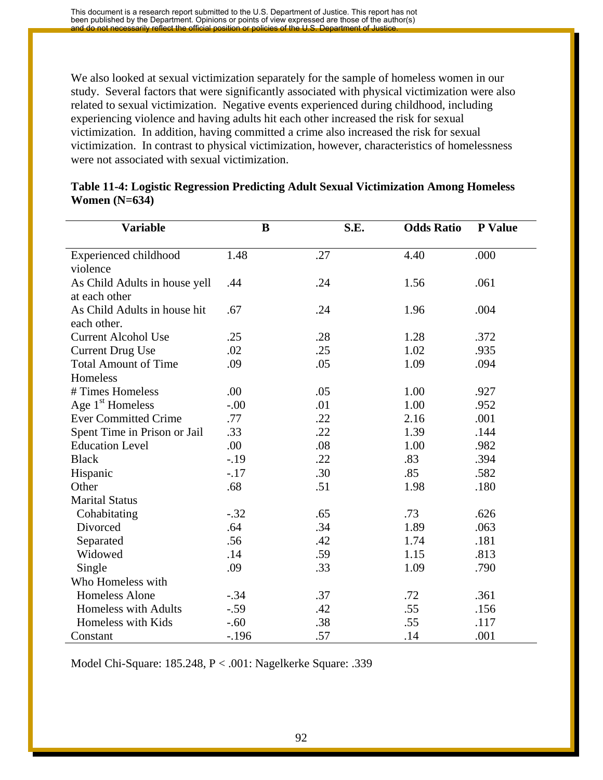This document is a research report submitted to the U.S. Department of Justice. This report has not been published by the Department. Opinions or points of view expressed are those of the author(s) and do not necessarily reflect the official position or policies of the U.S. Department of Justice.

We also looked at sexual victimization separately for the sample of homeless women in our study. Several factors that were significantly associated with physical victimization were also related to sexual victimization. Negative events experienced during childhood, including experiencing violence and having adults hit each other increased the risk for sexual victimization. In addition, having committed a crime also increased the risk for sexual victimization. In contrast to physical victimization, however, characteristics of homelessness were not associated with sexual victimization.

| <b>Variable</b>               | ${\bf B}$ | S.E. | <b>Odds Ratio</b> | P Value |
|-------------------------------|-----------|------|-------------------|---------|
| Experienced childhood         | 1.48      | .27  | 4.40              | .000    |
| violence                      |           |      |                   |         |
| As Child Adults in house yell | .44       | .24  | 1.56              | .061    |
| at each other                 |           |      |                   |         |
| As Child Adults in house hit  | .67       | .24  | 1.96              | .004    |
| each other.                   |           |      |                   |         |
| <b>Current Alcohol Use</b>    | .25       | .28  | 1.28              | .372    |
| <b>Current Drug Use</b>       | .02       | .25  | 1.02              | .935    |
| <b>Total Amount of Time</b>   | .09       | .05  | 1.09              | .094    |
| Homeless                      |           |      |                   |         |
| #Times Homeless               | .00       | .05  | 1.00              | .927    |
| Age $1st$ Homeless            | $-.00$    | .01  | 1.00              | .952    |
| <b>Ever Committed Crime</b>   | .77       | .22  | 2.16              | .001    |
| Spent Time in Prison or Jail  | .33       | .22  | 1.39              | .144    |
| <b>Education Level</b>        | .00       | .08  | 1.00              | .982    |
| <b>Black</b>                  | $-19$     | .22  | .83               | .394    |
| Hispanic                      | $-.17$    | .30  | .85               | .582    |
| Other                         | .68       | .51  | 1.98              | .180    |
| <b>Marital Status</b>         |           |      |                   |         |
| Cohabitating                  | $-.32$    | .65  | .73               | .626    |
| Divorced                      | .64       | .34  | 1.89              | .063    |
| Separated                     | .56       | .42  | 1.74              | .181    |
| Widowed                       | .14       | .59  | 1.15              | .813    |
| Single                        | .09       | .33  | 1.09              | .790    |
| Who Homeless with             |           |      |                   |         |
| <b>Homeless Alone</b>         | $-.34$    | .37  | .72               | .361    |
| <b>Homeless with Adults</b>   | $-.59$    | .42  | .55               | .156    |
| Homeless with Kids            | $-.60$    | .38  | .55               | .117    |
| Constant                      | $-.196$   | .57  | .14               | .001    |

| Table 11-4: Logistic Regression Predicting Adult Sexual Victimization Among Homeless |  |  |
|--------------------------------------------------------------------------------------|--|--|
| Women $(N=634)$                                                                      |  |  |

Model Chi-Square: 185.248, P < .001: Nagelkerke Square: .339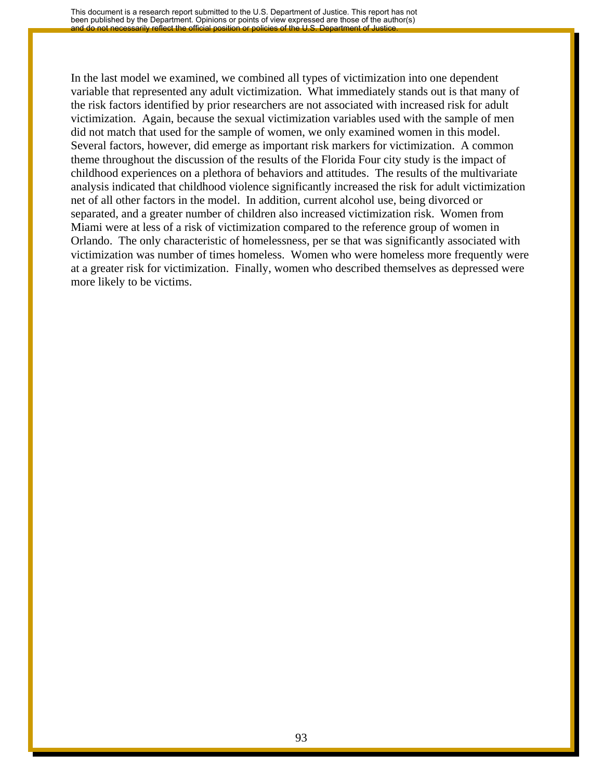In the last model we examined, we combined all types of victimization into one dependent variable that represented any adult victimization. What immediately stands out is that many of the risk factors identified by prior researchers are not associated with increased risk for adult victimization. Again, because the sexual victimization variables used with the sample of men did not match that used for the sample of women, we only examined women in this model. Several factors, however, did emerge as important risk markers for victimization. A common theme throughout the discussion of the results of the Florida Four city study is the impact of childhood experiences on a plethora of behaviors and attitudes. The results of the multivariate analysis indicated that childhood violence significantly increased the risk for adult victimization net of all other factors in the model. In addition, current alcohol use, being divorced or separated, and a greater number of children also increased victimization risk. Women from Miami were at less of a risk of victimization compared to the reference group of women in Orlando. The only characteristic of homelessness, per se that was significantly associated with victimization was number of times homeless. Women who were homeless more frequently were at a greater risk for victimization. Finally, women who described themselves as depressed were more likely to be victims.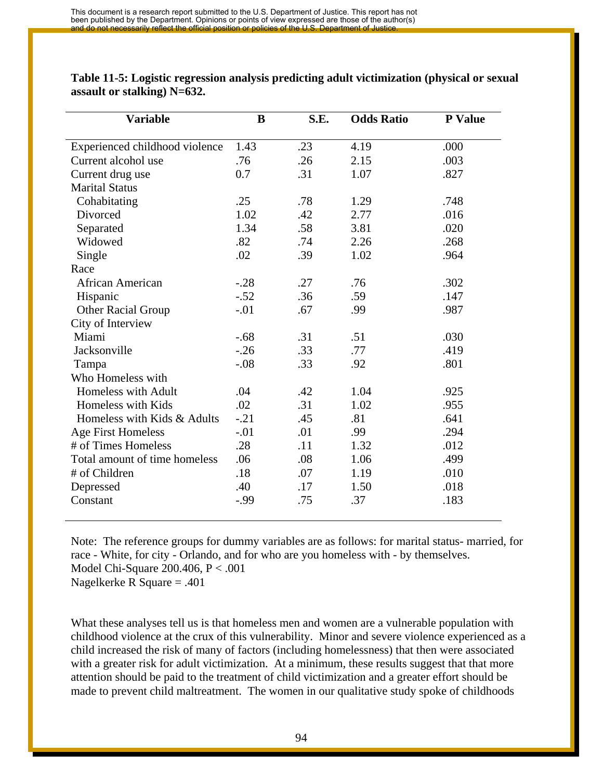| <b>Variable</b>                | B       | S.E. | <b>Odds Ratio</b> | P Value |
|--------------------------------|---------|------|-------------------|---------|
| Experienced childhood violence | 1.43    | .23  | 4.19              | .000    |
| Current alcohol use            | .76     | .26  | 2.15              | .003    |
| Current drug use               | 0.7     | .31  | 1.07              | .827    |
| <b>Marital Status</b>          |         |      |                   |         |
| Cohabitating                   | .25     | .78  | 1.29              | .748    |
| Divorced                       | 1.02    | .42  | 2.77              | .016    |
| Separated                      | 1.34    | .58  | 3.81              | .020    |
| Widowed                        | .82     | .74  | 2.26              | .268    |
| Single                         | .02     | .39  | 1.02              | .964    |
| Race                           |         |      |                   |         |
| African American               | $-.28$  | .27  | .76               | .302    |
| Hispanic                       | $-.52$  | .36  | .59               | .147    |
| <b>Other Racial Group</b>      | $-.01$  | .67  | .99               | .987    |
| City of Interview              |         |      |                   |         |
| Miami                          | $-.68$  | .31  | .51               | .030    |
| Jacksonville                   | $-0.26$ | .33  | .77               | .419    |
| Tampa                          | $-.08$  | .33  | .92               | .801    |
| Who Homeless with              |         |      |                   |         |
| Homeless with Adult            | .04     | .42  | 1.04              | .925    |
| Homeless with Kids             | .02     | .31  | 1.02              | .955    |
| Homeless with Kids & Adults    | $-.21$  | .45  | .81               | .641    |
| <b>Age First Homeless</b>      | $-.01$  | .01  | .99               | .294    |
| # of Times Homeless            | .28     | .11  | 1.32              | .012    |
| Total amount of time homeless  | .06     | .08  | 1.06              | .499    |
| # of Children                  | .18     | .07  | 1.19              | .010    |
| Depressed                      | .40     | .17  | 1.50              | .018    |
| Constant                       | $-0.99$ | .75  | .37               | .183    |

**Table 11-5: Logistic regression analysis predicting adult victimization (physical or sexual assault or stalking) N=632.** 

Note: The reference groups for dummy variables are as follows: for marital status- married, for race - White, for city - Orlando, and for who are you homeless with - by themselves. Model Chi-Square 200.406, P < .001 Nagelkerke R Square = .401

What these analyses tell us is that homeless men and women are a vulnerable population with childhood violence at the crux of this vulnerability. Minor and severe violence experienced as a child increased the risk of many of factors (including homelessness) that then were associated with a greater risk for adult victimization. At a minimum, these results suggest that that more attention should be paid to the treatment of child victimization and a greater effort should be made to prevent child maltreatment. The women in our qualitative study spoke of childhoods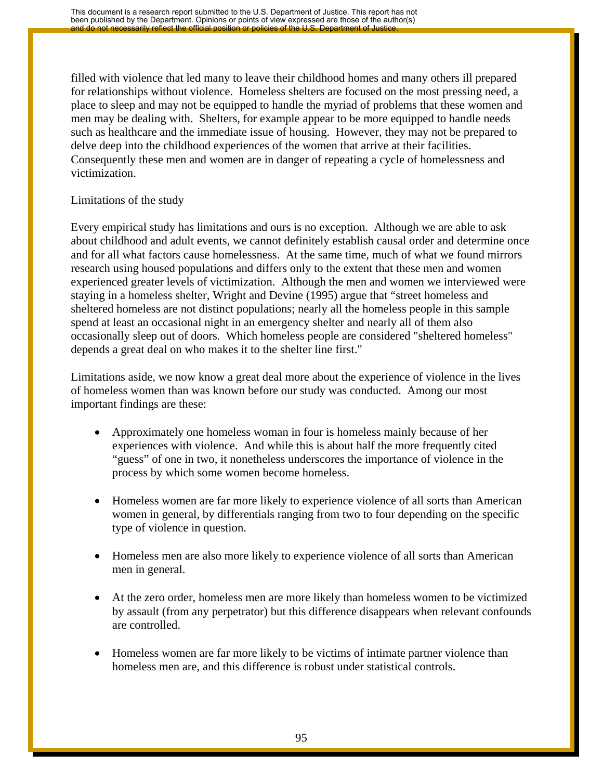This document is a research report submitted to the U.S. Department of Justice. This report has not been published by the Department. Opinions or points of view expressed are those of the author(s) and do not necessarily reflect the official position or policies of the U.S. Department of Justice.

filled with violence that led many to leave their childhood homes and many others ill prepared for relationships without violence. Homeless shelters are focused on the most pressing need, a place to sleep and may not be equipped to handle the myriad of problems that these women and men may be dealing with. Shelters, for example appear to be more equipped to handle needs such as healthcare and the immediate issue of housing. However, they may not be prepared to delve deep into the childhood experiences of the women that arrive at their facilities. Consequently these men and women are in danger of repeating a cycle of homelessness and victimization.

#### Limitations of the study

Every empirical study has limitations and ours is no exception. Although we are able to ask about childhood and adult events, we cannot definitely establish causal order and determine once and for all what factors cause homelessness. At the same time, much of what we found mirrors research using housed populations and differs only to the extent that these men and women experienced greater levels of victimization. Although the men and women we interviewed were staying in a homeless shelter, Wright and Devine (1995) argue that "street homeless and sheltered homeless are not distinct populations; nearly all the homeless people in this sample spend at least an occasional night in an emergency shelter and nearly all of them also occasionally sleep out of doors. Which homeless people are considered "sheltered homeless" depends a great deal on who makes it to the shelter line first."

Limitations aside, we now know a great deal more about the experience of violence in the lives of homeless women than was known before our study was conducted. Among our most important findings are these:

- Approximately one homeless woman in four is homeless mainly because of her experiences with violence. And while this is about half the more frequently cited "guess" of one in two, it nonetheless underscores the importance of violence in the process by which some women become homeless.
- Homeless women are far more likely to experience violence of all sorts than American women in general, by differentials ranging from two to four depending on the specific type of violence in question.
- Homeless men are also more likely to experience violence of all sorts than American men in general.
- At the zero order, homeless men are more likely than homeless women to be victimized by assault (from any perpetrator) but this difference disappears when relevant confounds are controlled.
- Homeless women are far more likely to be victims of intimate partner violence than homeless men are, and this difference is robust under statistical controls.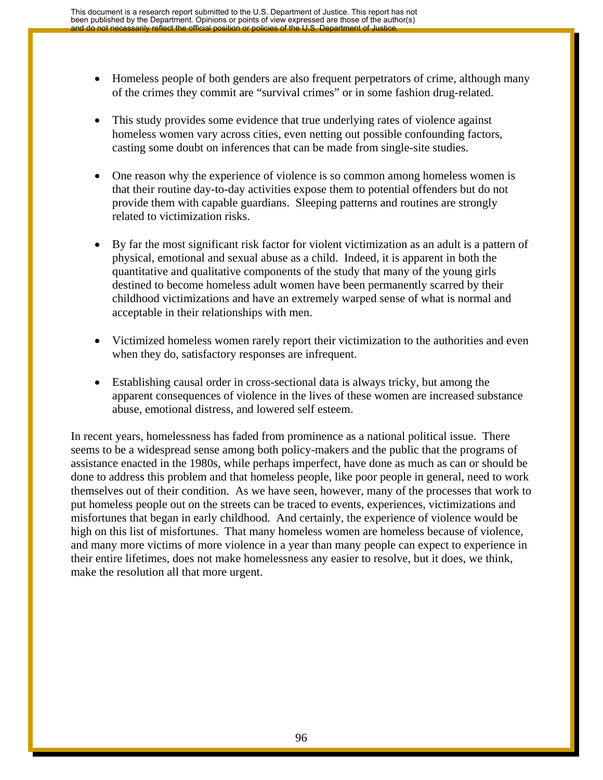- Homeless people of both genders are also frequent perpetrators of crime, although many of the crimes they commit are "survival crimes" or in some fashion drug-related.
- This study provides some evidence that true underlying rates of violence against homeless women vary across cities, even netting out possible confounding factors, casting some doubt on inferences that can be made from single-site studies.
- One reason why the experience of violence is so common among homeless women is that their routine day-to-day activities expose them to potential offenders but do not provide them with capable guardians. Sleeping patterns and routines are strongly related to victimization risks.
- By far the most significant risk factor for violent victimization as an adult is a pattern of physical, emotional and sexual abuse as a child. Indeed, it is apparent in both the quantitative and qualitative components of the study that many of the young girls destined to become homeless adult women have been permanently scarred by their childhood victimizations and have an extremely warped sense of what is normal and acceptable in their relationships with men.
- Victimized homeless women rarely report their victimization to the authorities and even when they do, satisfactory responses are infrequent.
- Establishing causal order in cross-sectional data is always tricky, but among the apparent consequences of violence in the lives of these women are increased substance abuse, emotional distress, and lowered self esteem.

In recent years, homelessness has faded from prominence as a national political issue. There seems to be a widespread sense among both policy-makers and the public that the programs of assistance enacted in the 1980s, while perhaps imperfect, have done as much as can or should be done to address this problem and that homeless people, like poor people in general, need to work themselves out of their condition. As we have seen, however, many of the processes that work to put homeless people out on the streets can be traced to events, experiences, victimizations and misfortunes that began in early childhood. And certainly, the experience of violence would be high on this list of misfortunes. That many homeless women are homeless because of violence, and many more victims of more violence in a year than many people can expect to experience in their entire lifetimes, does not make homelessness any easier to resolve, but it does, we think, make the resolution all that more urgent.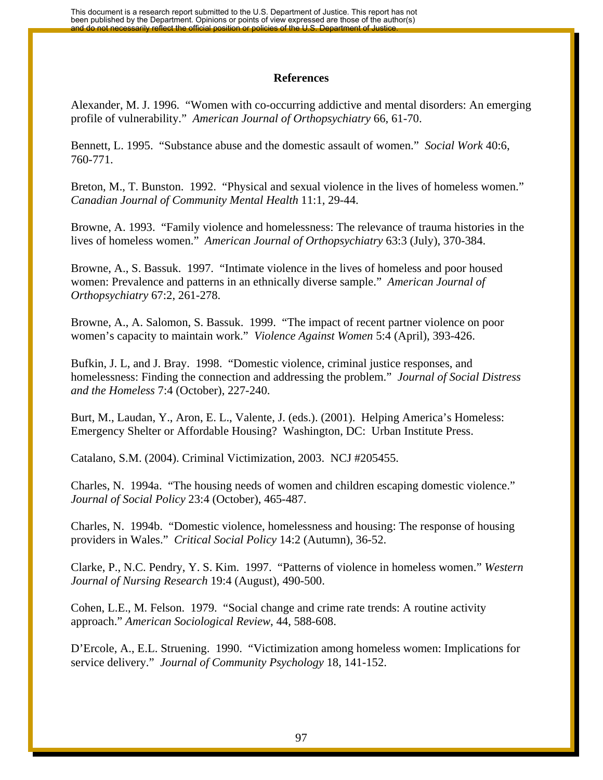### **References**

Alexander, M. J. 1996. "Women with co-occurring addictive and mental disorders: An emerging profile of vulnerability." *American Journal of Orthopsychiatry* 66, 61-70.

Bennett, L. 1995. "Substance abuse and the domestic assault of women." *Social Work* 40:6, 760-771.

Breton, M., T. Bunston. 1992. "Physical and sexual violence in the lives of homeless women." *Canadian Journal of Community Mental Health* 11:1, 29-44.

Browne, A. 1993. "Family violence and homelessness: The relevance of trauma histories in the lives of homeless women." *American Journal of Orthopsychiatry* 63:3 (July), 370-384.

Browne, A., S. Bassuk. 1997. "Intimate violence in the lives of homeless and poor housed women: Prevalence and patterns in an ethnically diverse sample." *American Journal of Orthopsychiatry* 67:2, 261-278.

Browne, A., A. Salomon, S. Bassuk. 1999. "The impact of recent partner violence on poor women's capacity to maintain work." *Violence Against Women* 5:4 (April), 393-426.

Bufkin, J. L, and J. Bray. 1998. "Domestic violence, criminal justice responses, and homelessness: Finding the connection and addressing the problem." *Journal of Social Distress and the Homeless* 7:4 (October), 227-240.

Burt, M., Laudan, Y., Aron, E. L., Valente, J. (eds.). (2001). Helping America's Homeless: Emergency Shelter or Affordable Housing? Washington, DC: Urban Institute Press.

Catalano, S.M. (2004). Criminal Victimization, 2003. NCJ #205455.

Charles, N. 1994a. "The housing needs of women and children escaping domestic violence." *Journal of Social Policy* 23:4 (October), 465-487.

Charles, N. 1994b. "Domestic violence, homelessness and housing: The response of housing providers in Wales." *Critical Social Policy* 14:2 (Autumn), 36-52.

Clarke, P., N.C. Pendry, Y. S. Kim. 1997. "Patterns of violence in homeless women." *Western Journal of Nursing Research* 19:4 (August), 490-500.

Cohen, L.E., M. Felson. 1979. "Social change and crime rate trends: A routine activity approach." *American Sociological Review*, 44, 588-608.

D'Ercole, A., E.L. Struening. 1990. "Victimization among homeless women: Implications for service delivery." *Journal of Community Psychology* 18, 141-152.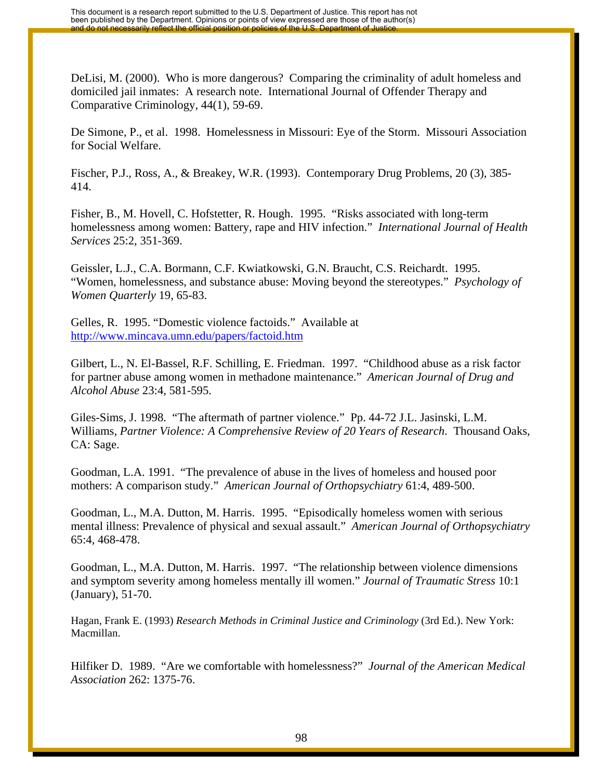DeLisi, M. (2000). Who is more dangerous? Comparing the criminality of adult homeless and domiciled jail inmates: A research note. International Journal of Offender Therapy and Comparative Criminology, 44(1), 59-69.

De Simone, P., et al. 1998. Homelessness in Missouri: Eye of the Storm. Missouri Association for Social Welfare.

Fischer, P.J., Ross, A., & Breakey, W.R. (1993). Contemporary Drug Problems, 20 (3), 385- 414.

Fisher, B., M. Hovell, C. Hofstetter, R. Hough. 1995. "Risks associated with long-term homelessness among women: Battery, rape and HIV infection." *International Journal of Health Services* 25:2, 351-369.

Geissler, L.J., C.A. Bormann, C.F. Kwiatkowski, G.N. Braucht, C.S. Reichardt. 1995. "Women, homelessness, and substance abuse: Moving beyond the stereotypes." *Psychology of Women Quarterly* 19, 65-83.

Gelles, R. 1995. "Domestic violence factoids." Available at http://www.mincava.umn.edu/papers/factoid.htm

Gilbert, L., N. El-Bassel, R.F. Schilling, E. Friedman. 1997. "Childhood abuse as a risk factor for partner abuse among women in methadone maintenance." *American Journal of Drug and Alcohol Abuse* 23:4, 581-595.

Giles-Sims, J. 1998. "The aftermath of partner violence." Pp. 44-72 J.L. Jasinski, L.M. Williams, *Partner Violence: A Comprehensive Review of 20 Years of Research*. Thousand Oaks, CA: Sage.

Goodman, L.A. 1991. "The prevalence of abuse in the lives of homeless and housed poor mothers: A comparison study." *American Journal of Orthopsychiatry* 61:4, 489-500.

Goodman, L., M.A. Dutton, M. Harris. 1995. "Episodically homeless women with serious mental illness: Prevalence of physical and sexual assault." *American Journal of Orthopsychiatry* 65:4, 468-478.

Goodman, L., M.A. Dutton, M. Harris. 1997. "The relationship between violence dimensions and symptom severity among homeless mentally ill women." *Journal of Traumatic Stress* 10:1 (January), 51-70.

Hagan, Frank E. (1993) *Research Methods in Criminal Justice and Criminology* (3rd Ed.). New York: Macmillan.

Hilfiker D. 1989. "Are we comfortable with homelessness?" *Journal of the American Medical Association* 262: 1375-76.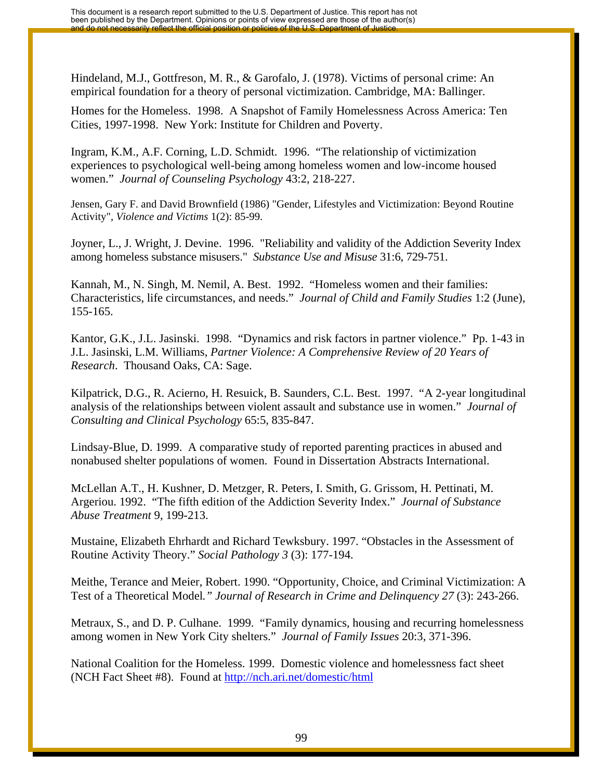Hindeland, M.J., Gottfreson, M. R., & Garofalo, J. (1978). Victims of personal crime: An empirical foundation for a theory of personal victimization. Cambridge, MA: Ballinger.

Homes for the Homeless. 1998. A Snapshot of Family Homelessness Across America: Ten Cities, 1997-1998. New York: Institute for Children and Poverty.

Ingram, K.M., A.F. Corning, L.D. Schmidt. 1996. "The relationship of victimization experiences to psychological well-being among homeless women and low-income housed women." *Journal of Counseling Psychology* 43:2, 218-227.

Jensen, Gary F. and David Brownfield (1986) "Gender, Lifestyles and Victimization: Beyond Routine Activity", *Violence and Victims* 1(2): 85-99.

Joyner, L., J. Wright, J. Devine. 1996. "Reliability and validity of the Addiction Severity Index among homeless substance misusers." *Substance Use and Misuse* 31:6, 729-751.

Kannah, M., N. Singh, M. Nemil, A. Best. 1992. "Homeless women and their families: Characteristics, life circumstances, and needs." *Journal of Child and Family Studies* 1:2 (June), 155-165.

Kantor, G.K., J.L. Jasinski. 1998. "Dynamics and risk factors in partner violence." Pp. 1-43 in J.L. Jasinski, L.M. Williams, *Partner Violence: A Comprehensive Review of 20 Years of Research*. Thousand Oaks, CA: Sage.

Kilpatrick, D.G., R. Acierno, H. Resuick, B. Saunders, C.L. Best. 1997. "A 2-year longitudinal analysis of the relationships between violent assault and substance use in women." *Journal of Consulting and Clinical Psychology* 65:5, 835-847.

Lindsay-Blue, D. 1999. A comparative study of reported parenting practices in abused and nonabused shelter populations of women. Found in Dissertation Abstracts International.

McLellan A.T., H. Kushner, D. Metzger, R. Peters, I. Smith, G. Grissom, H. Pettinati, M. Argeriou. 1992. "The fifth edition of the Addiction Severity Index." *Journal of Substance Abuse Treatment* 9, 199-213.

Mustaine, Elizabeth Ehrhardt and Richard Tewksbury. 1997. "Obstacles in the Assessment of Routine Activity Theory." *Social Pathology 3* (3): 177-194.

Meithe, Terance and Meier, Robert. 1990. "Opportunity, Choice, and Criminal Victimization: A Test of a Theoretical Model*." Journal of Research in Crime and Delinquency 27* (3): 243-266.

Metraux, S., and D. P. Culhane. 1999. "Family dynamics, housing and recurring homelessness among women in New York City shelters." *Journal of Family Issues* 20:3, 371-396.

National Coalition for the Homeless. 1999. Domestic violence and homelessness fact sheet (NCH Fact Sheet #8). Found at http://nch.ari.net/domestic/html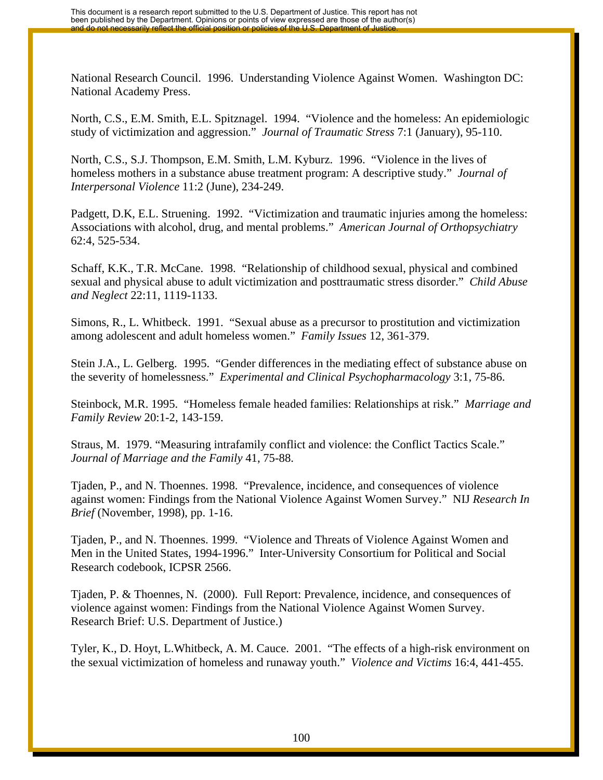National Research Council. 1996. Understanding Violence Against Women. Washington DC: National Academy Press.

North, C.S., E.M. Smith, E.L. Spitznagel. 1994. "Violence and the homeless: An epidemiologic study of victimization and aggression." *Journal of Traumatic Stress* 7:1 (January), 95-110.

North, C.S., S.J. Thompson, E.M. Smith, L.M. Kyburz. 1996. "Violence in the lives of homeless mothers in a substance abuse treatment program: A descriptive study." *Journal of Interpersonal Violence* 11:2 (June), 234-249.

Padgett, D.K, E.L. Struening. 1992. "Victimization and traumatic injuries among the homeless: Associations with alcohol, drug, and mental problems." *American Journal of Orthopsychiatry* 62:4, 525-534.

Schaff, K.K., T.R. McCane. 1998. "Relationship of childhood sexual, physical and combined sexual and physical abuse to adult victimization and posttraumatic stress disorder." *Child Abuse and Neglect* 22:11, 1119-1133.

Simons, R., L. Whitbeck. 1991. "Sexual abuse as a precursor to prostitution and victimization among adolescent and adult homeless women." *Family Issues* 12, 361-379.

Stein J.A., L. Gelberg. 1995. "Gender differences in the mediating effect of substance abuse on the severity of homelessness." *Experimental and Clinical Psychopharmacology* 3:1, 75-86.

Steinbock, M.R. 1995. "Homeless female headed families: Relationships at risk." *Marriage and Family Review* 20:1-2, 143-159.

Straus, M. 1979. "Measuring intrafamily conflict and violence: the Conflict Tactics Scale." *Journal of Marriage and the Family* 41, 75-88.

Tjaden, P., and N. Thoennes. 1998. "Prevalence, incidence, and consequences of violence against women: Findings from the National Violence Against Women Survey." NIJ *Research In Brief* (November, 1998), pp. 1-16.

Tjaden, P., and N. Thoennes. 1999. "Violence and Threats of Violence Against Women and Men in the United States, 1994-1996." Inter-University Consortium for Political and Social Research codebook, ICPSR 2566.

Tjaden, P. & Thoennes, N. (2000). Full Report: Prevalence, incidence, and consequences of violence against women: Findings from the National Violence Against Women Survey. Research Brief: U.S. Department of Justice.)

Tyler, K., D. Hoyt, L.Whitbeck, A. M. Cauce. 2001. "The effects of a high-risk environment on the sexual victimization of homeless and runaway youth." *Violence and Victims* 16:4, 441-455.